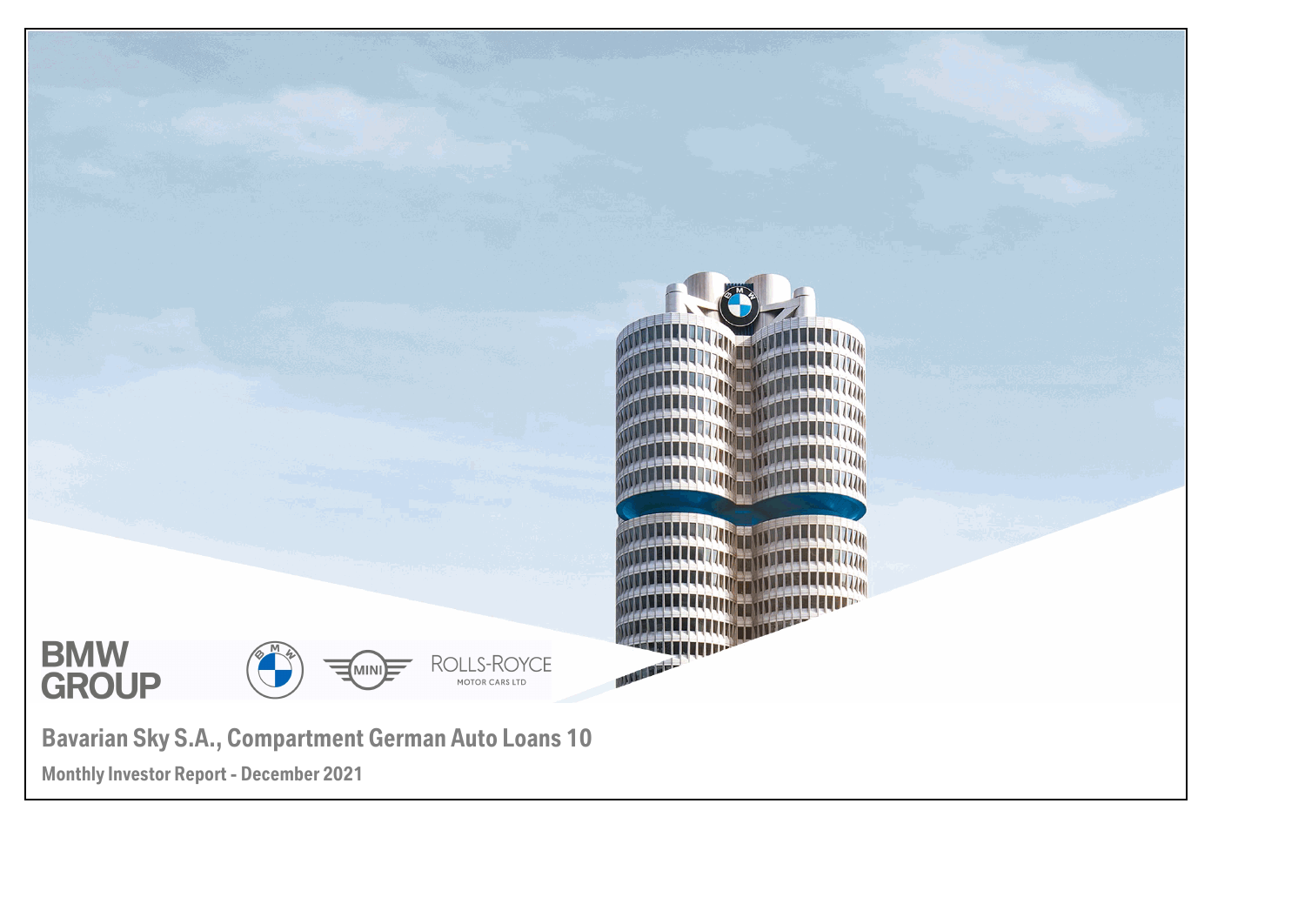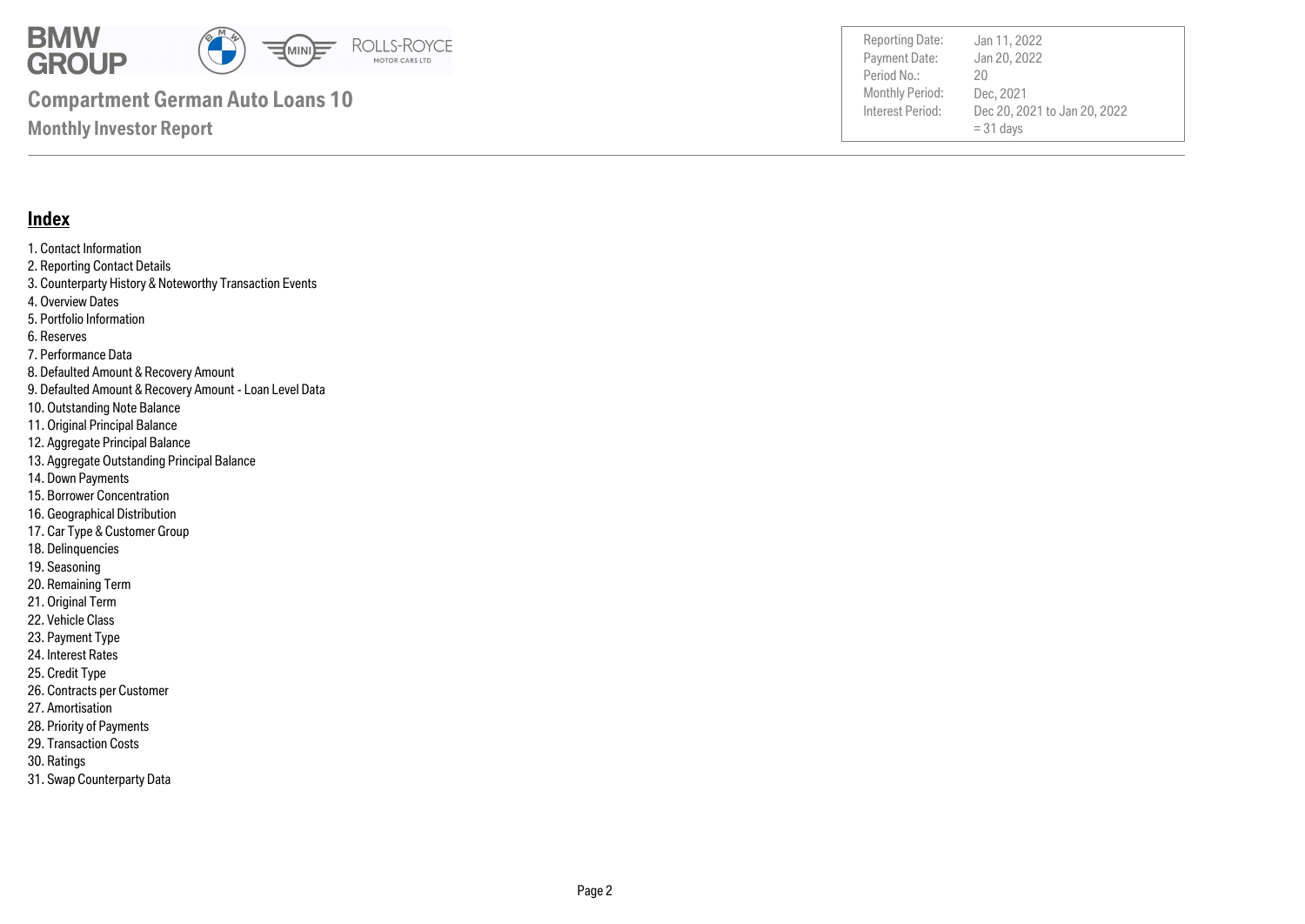

Payment Date: Period No.: Dec 20, 2021 to Jan 20, 2022  $= 31$  days Jan 20, 2022 Dec, 2021 20 Reporting Date: Jan 11, 2022

### **Index**

1. Contact Information 2. Reporting Contact Details 3. Counterparty History & Noteworthy Transaction Events 4. Overview Dates 5. Portfolio Information 6. Reserves 7. Performance Data 8. Defaulted Amount & Recovery Amount 9. Defaulted Amount & Recovery Amount - Loan Level Data 10. Outstanding Note Balance 11. Original Principal Balance 12. Aggregate Principal Balance 13. Aggregate Outstanding Principal Balance 14. Down Payments 15. Borrower Concentration 16. Geographical Distribution 17. Car Type & Customer Group 18. Delinquencies 19. Seasoning 20. Remaining Term 21. Original Term 22. Vehicle Class 23. Payment Type

- 24. Interest Rates
- 25. Credit Type
- 26. Contracts per Customer
- 27. Amortisation
- 28. Priority of Payments
- 29. Transaction Costs
- 30. Ratings
- 31. Swap Counterparty Data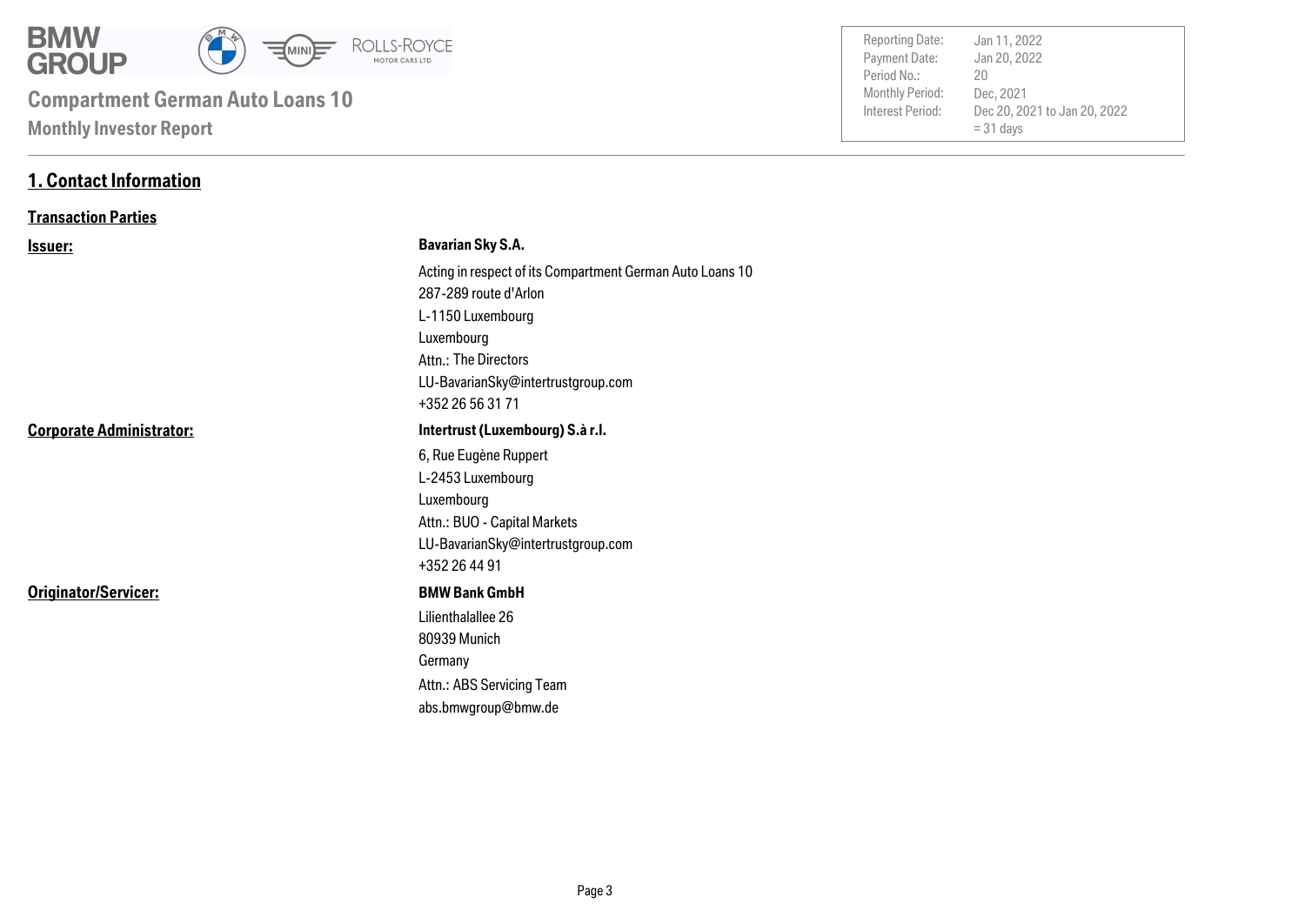

| <b>Monthly Period:</b><br>Interest Period: | Dec, 2021<br>Dec 20, 2021 to Jan 20, 2022<br>$= 31$ days |
|--------------------------------------------|----------------------------------------------------------|
|                                            |                                                          |
| Period No.:                                | 20                                                       |
| Payment Date:                              | Jan 20, 2022                                             |
| <b>Reporting Date:</b>                     | Jan 11, 2022                                             |

### **1. Contact Information**

### **Transaction Parties**

| <u>Issuer:</u>                  | <b>Bavarian Sky S.A.</b>                                  |
|---------------------------------|-----------------------------------------------------------|
|                                 | Acting in respect of its Compartment German Auto Loans 10 |
|                                 | 287-289 route d'Arlon                                     |
|                                 | L-1150 Luxembourg                                         |
|                                 | Luxembourg                                                |
|                                 | Attn.: The Directors                                      |
|                                 | LU-BavarianSky@intertrustgroup.com                        |
|                                 | +352 26 56 31 71                                          |
| <b>Corporate Administrator:</b> | Intertrust (Luxembourg) S.à r.l.                          |
|                                 | 6, Rue Eugène Ruppert                                     |
|                                 | L-2453 Luxembourg                                         |
|                                 | Luxembourg                                                |
|                                 | Attn.: BUO - Capital Markets                              |
|                                 | LU-BavarianSky@intertrustgroup.com                        |
|                                 | +352 26 44 91                                             |
| Originator/Servicer:            | <b>BMW Bank GmbH</b>                                      |
|                                 | Lilienthalallee 26                                        |
|                                 | 80939 Munich                                              |
|                                 | Germany                                                   |
|                                 | Attn.: ABS Servicing Team                                 |
|                                 | abs.bmwgroup@bmw.de                                       |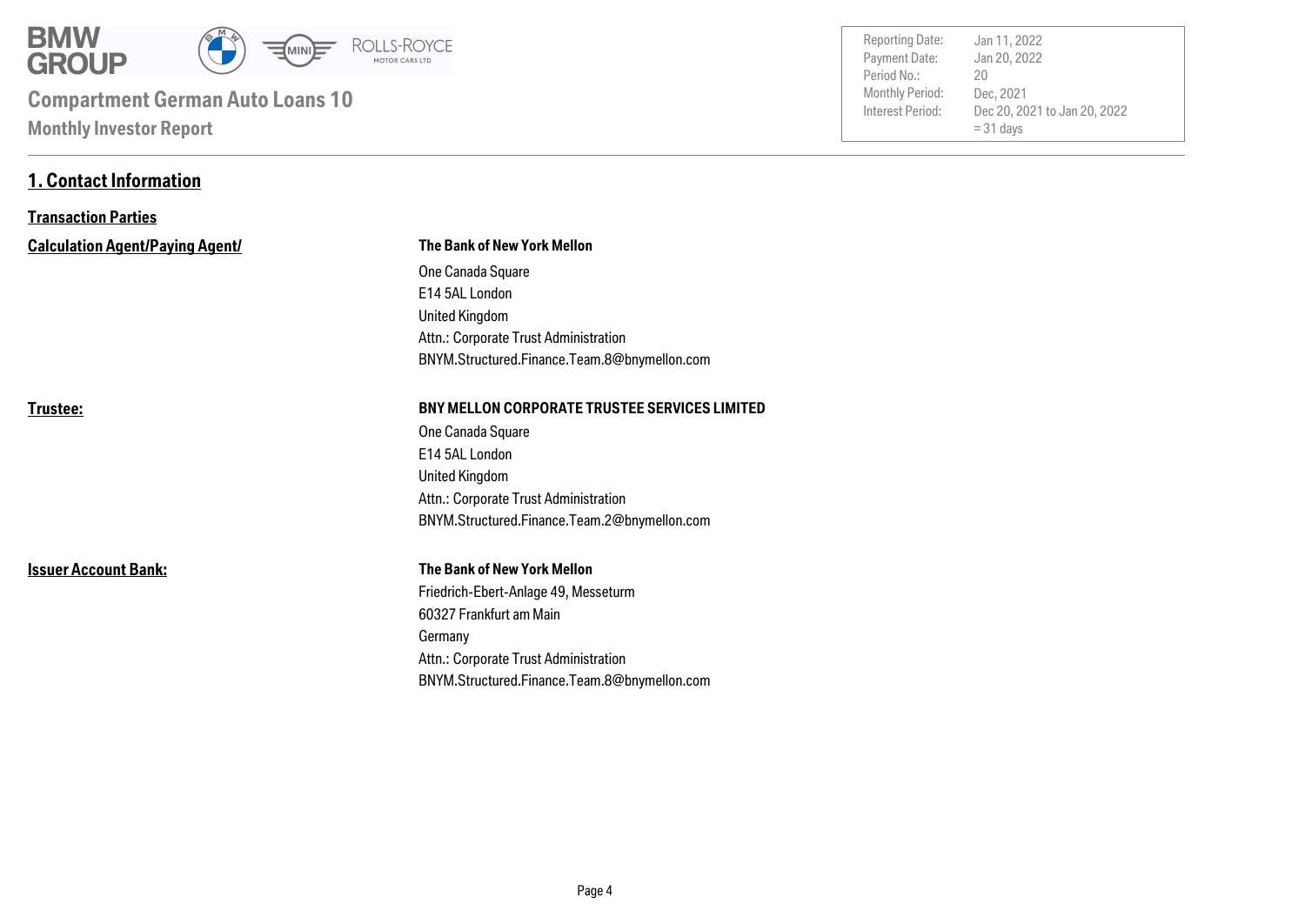

**1. Contact Information**

| <b>Reporting Date:</b> | Jan 11, 2022                 |
|------------------------|------------------------------|
| Payment Date:          | Jan 20, 2022                 |
| Period No.:            | 20                           |
| Monthly Period:        | Dec, 2021                    |
| Interest Period:       | Dec 20, 2021 to Jan 20, 2022 |
|                        | $= 31$ days                  |
|                        |                              |

| <b>Transaction Parties</b>             |                                                      |  |  |
|----------------------------------------|------------------------------------------------------|--|--|
| <b>Calculation Agent/Paying Agent/</b> | <b>The Bank of New York Mellon</b>                   |  |  |
|                                        | One Canada Square                                    |  |  |
|                                        | E14 5AL London                                       |  |  |
|                                        | <b>United Kingdom</b>                                |  |  |
|                                        | Attn.: Corporate Trust Administration                |  |  |
|                                        | BNYM.Structured.Finance.Team.8@bnymellon.com         |  |  |
| Trustee:                               | <b>BNY MELLON CORPORATE TRUSTEE SERVICES LIMITED</b> |  |  |
|                                        | One Canada Square                                    |  |  |
|                                        | E14 5AL London                                       |  |  |
|                                        | <b>United Kingdom</b>                                |  |  |
|                                        | Attn.: Corporate Trust Administration                |  |  |
|                                        | BNYM.Structured.Finance.Team.2@bnymellon.com         |  |  |
| <b>Issuer Account Bank:</b>            | <b>The Bank of New York Mellon</b>                   |  |  |
|                                        | Friedrich-Ebert-Anlage 49, Messeturm                 |  |  |
|                                        | 60327 Frankfurt am Main                              |  |  |
|                                        | Germany                                              |  |  |
|                                        | Attn.: Corporate Trust Administration                |  |  |
|                                        | BNYM.Structured.Finance.Team.8@bnymellon.com         |  |  |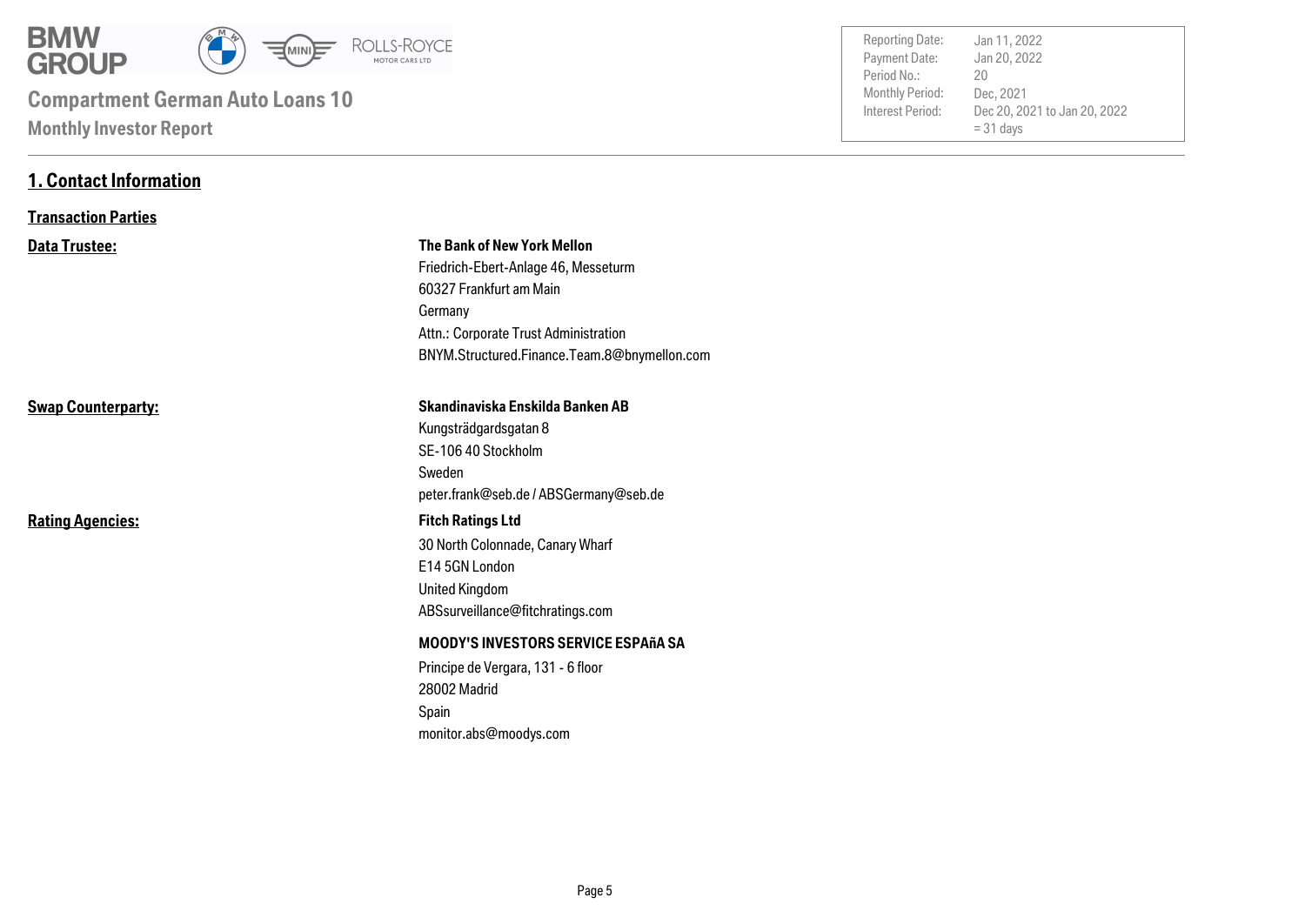

**1. Contact Information**

| <b>Reporting Date:</b><br>Payment Date:<br>Period No.:<br>Monthly Period:<br>Interest Period: | Jan 11, 2022<br>Jan 20, 2022<br>20<br>Dec, 2021<br>Dec 20, 2021 to Jan 20, 2022<br>$= 31$ days |  |
|-----------------------------------------------------------------------------------------------|------------------------------------------------------------------------------------------------|--|
|                                                                                               |                                                                                                |  |

| <b>Transaction Parties</b> |                                                                                                                                                                                                    |
|----------------------------|----------------------------------------------------------------------------------------------------------------------------------------------------------------------------------------------------|
| <b>Data Trustee:</b>       | The Bank of New York Mellon<br>Friedrich-Ebert-Anlage 46, Messeturm<br>60327 Frankfurt am Main<br>Germany<br>Attn.: Corporate Trust Administration<br>BNYM.Structured.Finance.Team.8@bnymellon.com |
| <b>Swap Counterparty:</b>  | Skandinaviska Enskilda Banken AB<br>Kungsträdgardsgatan 8<br>SE-106 40 Stockholm<br>Sweden<br>peter.frank@seb.de/ABSGermany@seb.de                                                                 |
| <b>Rating Agencies:</b>    | <b>Fitch Ratings Ltd</b><br>30 North Colonnade, Canary Wharf<br>E14 5GN London<br><b>United Kingdom</b><br>ABSsurveillance@fitchratings.com                                                        |
|                            | <b>MOODY'S INVESTORS SERVICE ESPAñA SA</b><br>Principe de Vergara, 131 - 6 floor<br>28002 Madrid<br>Spain<br>monitor.abs@moodys.com                                                                |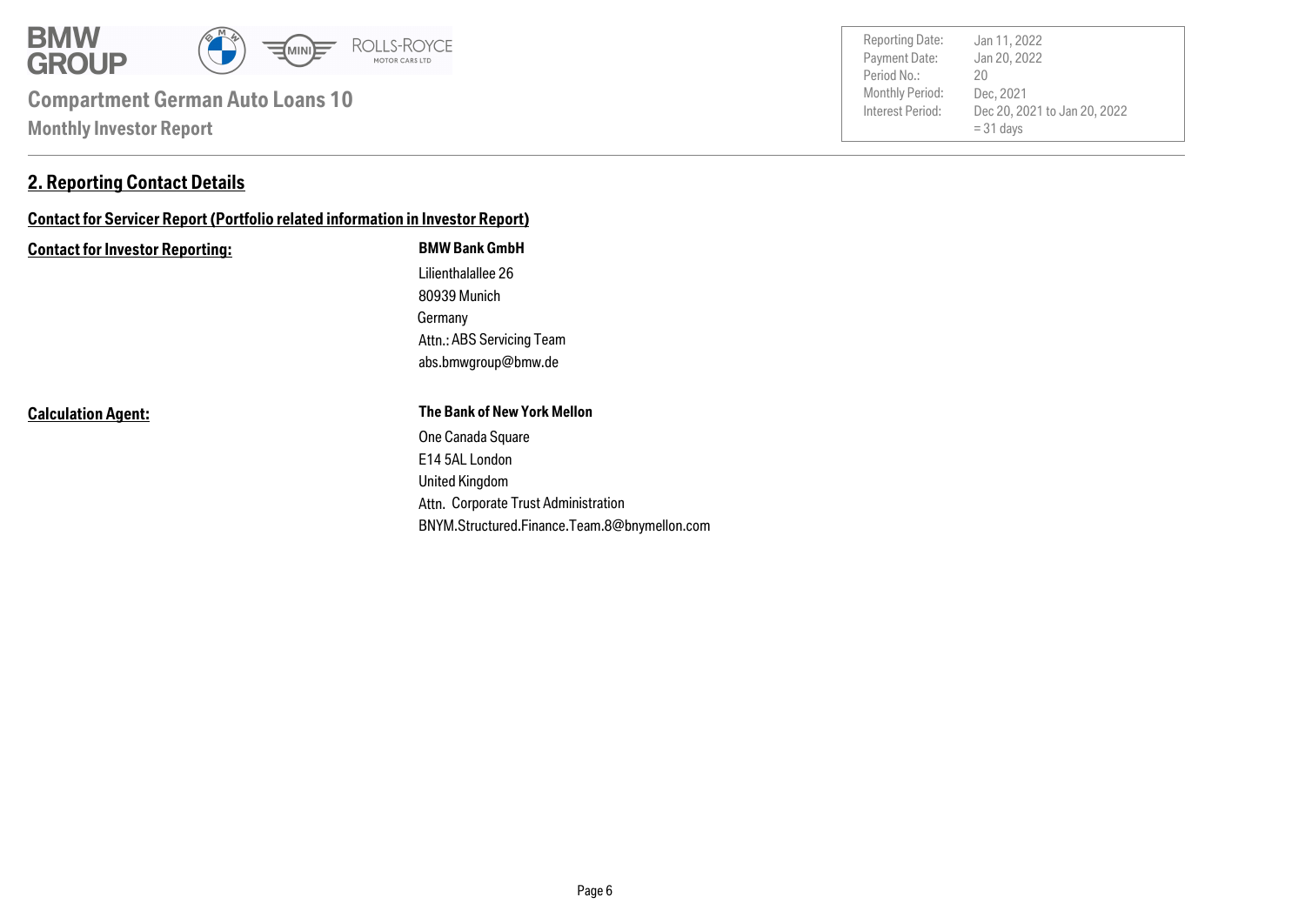

### **2. Reporting Contact Details**

### **Contact for Servicer Report (Portfolio related information in Investor Report)**

#### **Contact for Investor Reporting: BMW Bank GmbH**

Germany 80939 Munich Lilienthalallee 26 abs.bmwgroup@bmw.de Attn.: ABS Servicing Team

**Calculation Agent:**

#### **The Bank of New York Mellon**

Attn. Corporate Trust Administration United Kingdom E14 5AL London One Canada Square BNYM.Structured.Finance.Team.8@bnymellon.com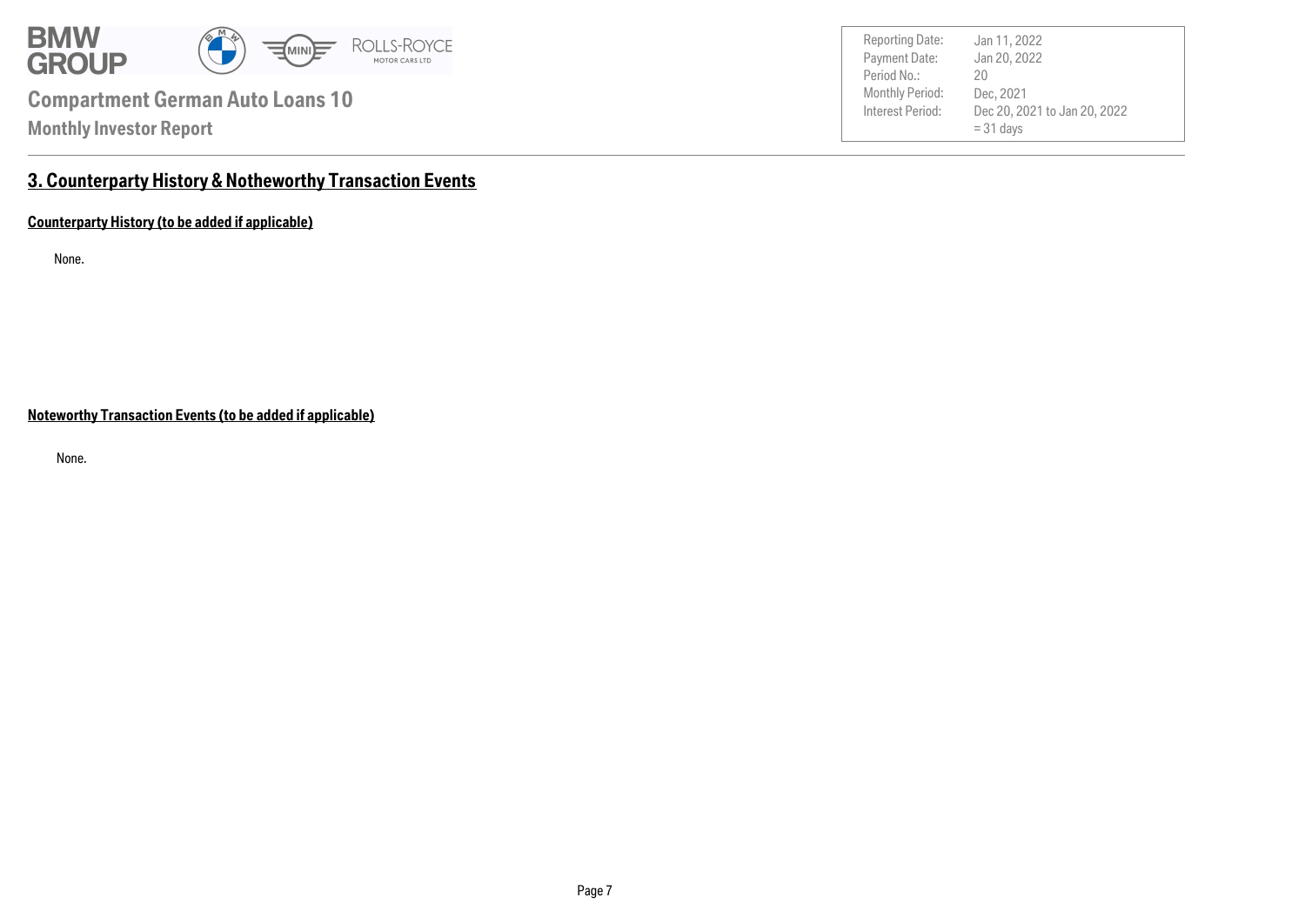

Payment Date: Period No.: Dec 20, 2021 to Jan 20, 2022  $= 31$  days Jan 20, 2022 Dec, 2021 20 Reporting Date: Jan 11, 2022

### **3. Counterparty History & Notheworthy Transaction Events**

**Counterparty History (to be added if applicable)**

None.

**Noteworthy Transaction Events (to be added if applicable)**

None.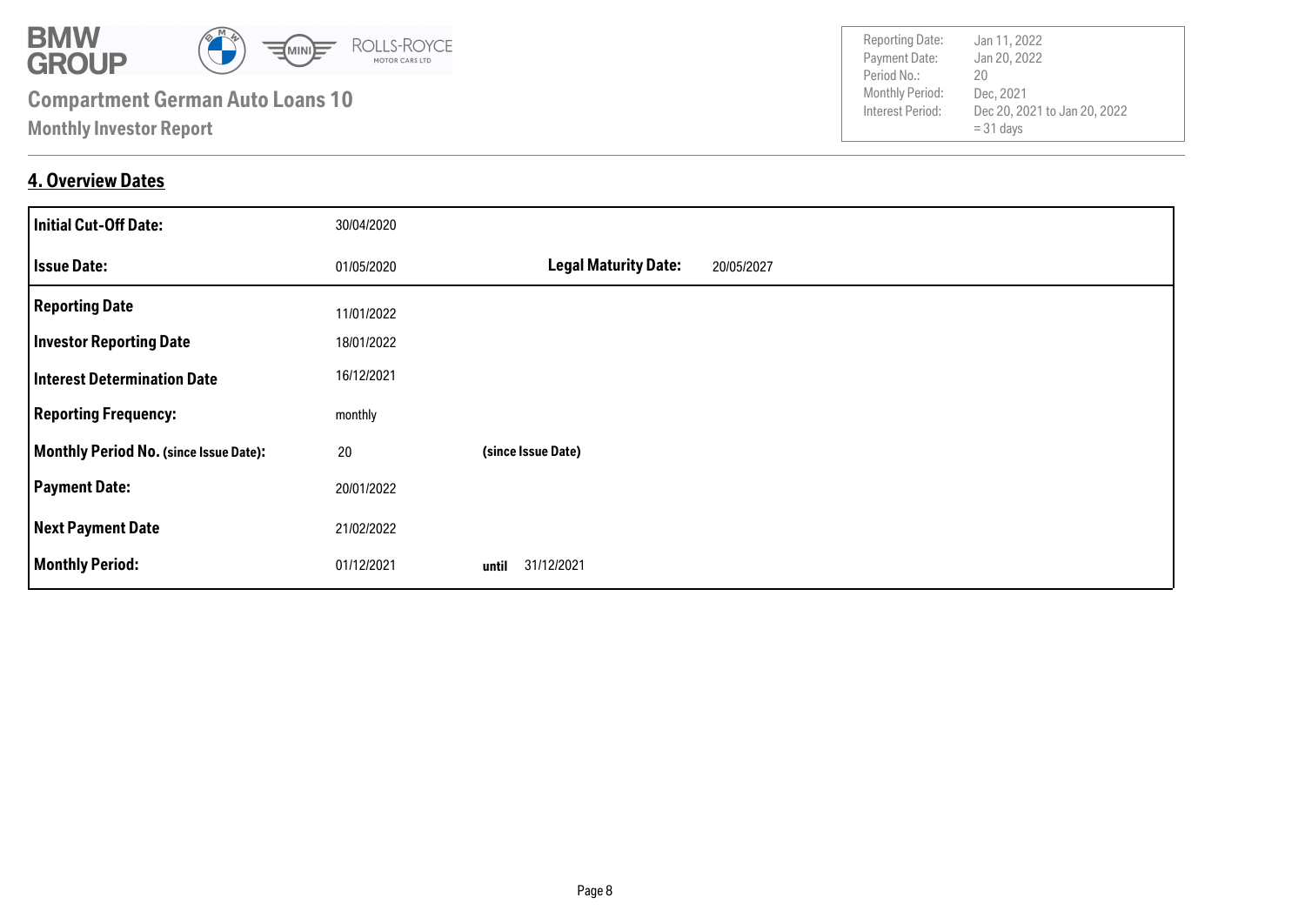

### **4. Overview Dates**

| <b>Initial Cut-Off Date:</b>           | 30/04/2020 |                                           |
|----------------------------------------|------------|-------------------------------------------|
| <b>Issue Date:</b>                     | 01/05/2020 | <b>Legal Maturity Date:</b><br>20/05/2027 |
| <b>Reporting Date</b>                  | 11/01/2022 |                                           |
| <b>Investor Reporting Date</b>         | 18/01/2022 |                                           |
| <b>Interest Determination Date</b>     | 16/12/2021 |                                           |
| <b>Reporting Frequency:</b>            | monthly    |                                           |
| Monthly Period No. (since Issue Date): | 20         | (since Issue Date)                        |
| <b>Payment Date:</b>                   | 20/01/2022 |                                           |
| <b>Next Payment Date</b>               | 21/02/2022 |                                           |
| <b>Monthly Period:</b>                 | 01/12/2021 | 31/12/2021<br>until                       |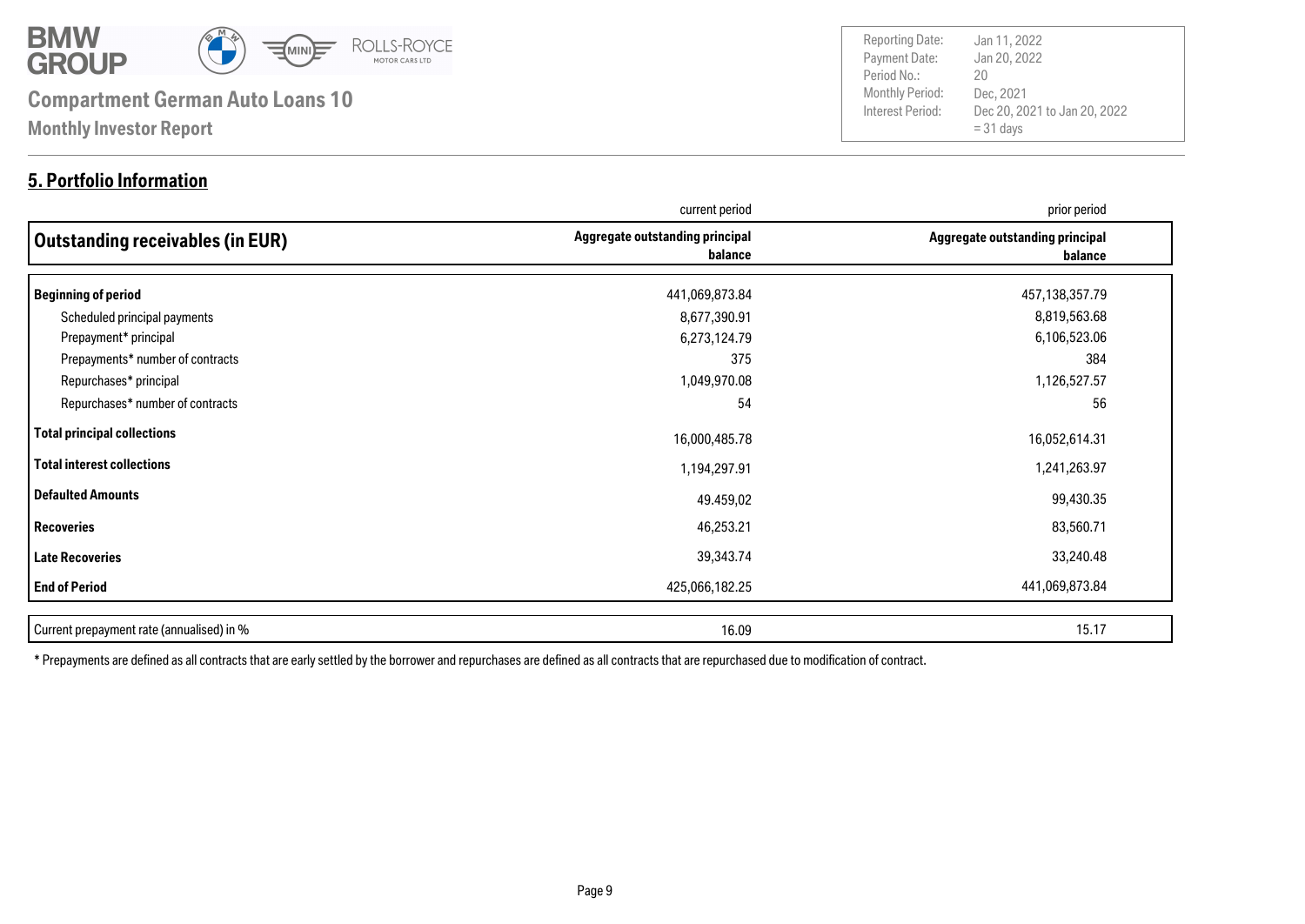

### **5. Portfolio Information**

Payment Date: Period No.: Dec 20, 2021 to Jan 20, 2022  $= 31$  days Jan 20, 2022 Dec, 2021 20 Reporting Date: Jan 11, 2022

|                                           | current period                             | prior period                               |
|-------------------------------------------|--------------------------------------------|--------------------------------------------|
| Outstanding receivables (in EUR)          | Aggregate outstanding principal<br>balance | Aggregate outstanding principal<br>balance |
| Beginning of period                       | 441,069,873.84                             | 457,138,357.79                             |
| Scheduled principal payments              | 8,677,390.91                               | 8,819,563.68                               |
| Prepayment* principal                     | 6,273,124.79                               | 6,106,523.06                               |
| Prepayments* number of contracts          | 375                                        | 384                                        |
| Repurchases* principal                    | 1,049,970.08                               | 1,126,527.57                               |
| Repurchases* number of contracts          | 54                                         | 56                                         |
| Total principal collections               | 16,000,485.78                              | 16,052,614.31                              |
| Total interest collections                | 1,194,297.91                               | 1,241,263.97                               |
| Defaulted Amounts                         | 49.459,02                                  | 99,430.35                                  |
| <b>Recoveries</b>                         | 46,253.21                                  | 83,560.71                                  |
| Late Recoveries                           | 39,343.74                                  | 33,240.48                                  |
| <b>End of Period</b>                      | 425,066,182.25                             | 441,069,873.84                             |
| Current prepayment rate (annualised) in % | 16.09                                      | 15.17                                      |

\* Prepayments are defined as all contracts that are early settled by the borrower and repurchases are defined as all contracts that are repurchased due to modification of contract.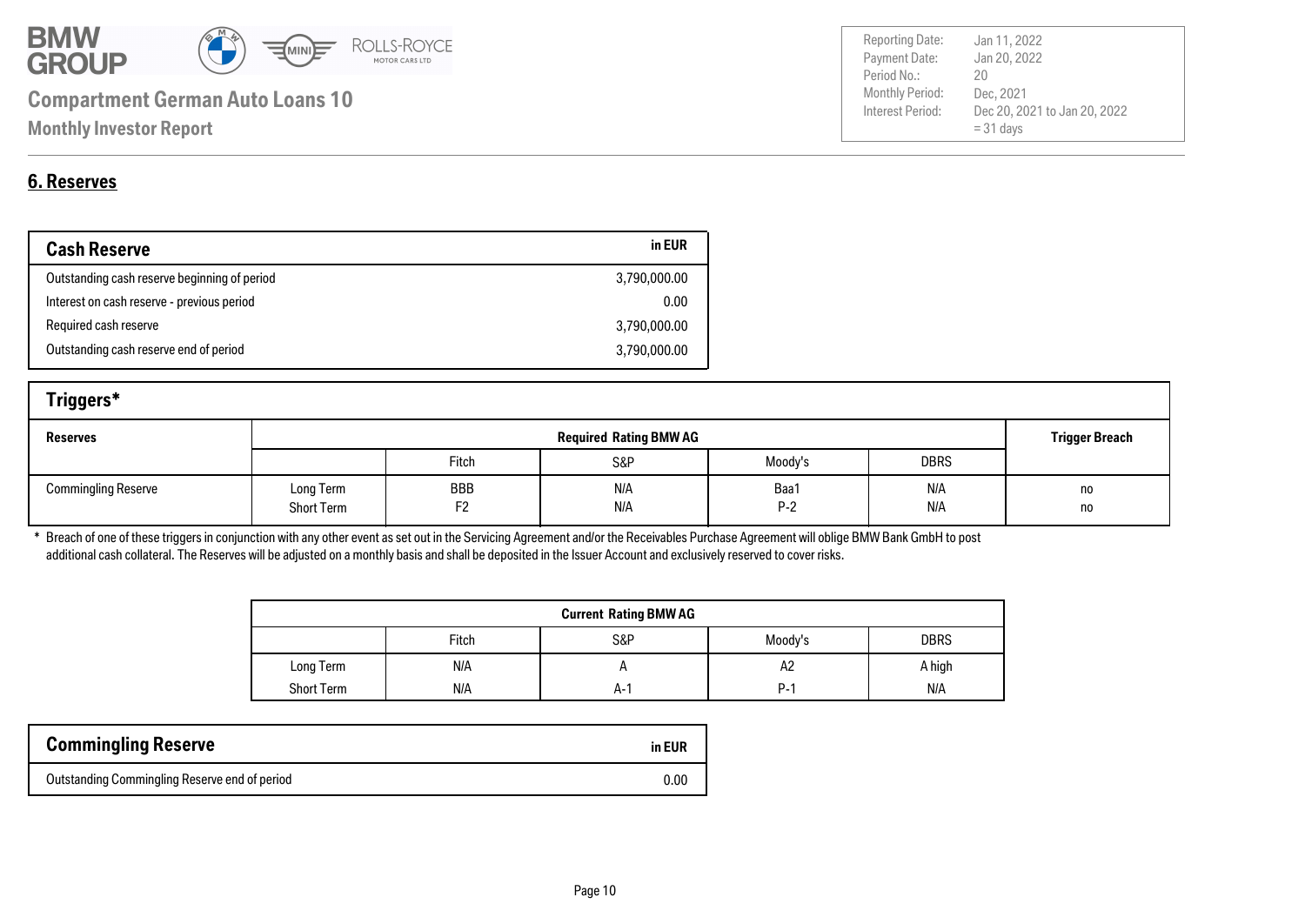

| <b>6. Reserves</b> |
|--------------------|

| <b>Cash Reserve</b>                          | in EUR       |
|----------------------------------------------|--------------|
| Outstanding cash reserve beginning of period | 3,790,000.00 |
| Interest on cash reserve - previous period   | 0.00         |
| Required cash reserve                        | 3,790,000.00 |
| Outstanding cash reserve end of period       | 3,790,000.00 |

| Triggers*                  |                                |           |            |               |             |                       |
|----------------------------|--------------------------------|-----------|------------|---------------|-------------|-----------------------|
| <b>Reserves</b>            | <b>Required Rating BMW AG</b>  |           |            |               |             | <b>Trigger Breach</b> |
|                            |                                | Fitch     | S&P        | Moody's       | <b>DBRS</b> |                       |
| <b>Commingling Reserve</b> | Long Term<br><b>Short Term</b> | BBB<br>F2 | N/A<br>N/A | Baa1<br>$P-2$ | N/A<br>N/A  | no<br>no              |

\* Breach of one of these triggers in conjunction with any other event as set out in the Servicing Agreement and/or the Receivables Purchase Agreement will oblige BMW Bank GmbH to post additional cash collateral. The Reserves will be adjusted on a monthly basis and shall be deposited in the Issuer Account and exclusively reserved to cover risks.

| <b>Current Rating BMW AG</b> |       |     |         |             |  |
|------------------------------|-------|-----|---------|-------------|--|
|                              | Fitch | S&P | Moody's | <b>DBRS</b> |  |
| Long Term                    | N/A   |     | Α2      | A high      |  |
| <b>Short Term</b>            | N/A   | A-1 | P-1     | N/A         |  |

| <b>Commingling Reserve</b>                    | in EUR |
|-----------------------------------------------|--------|
| Outstanding Commingling Reserve end of period | 0.00   |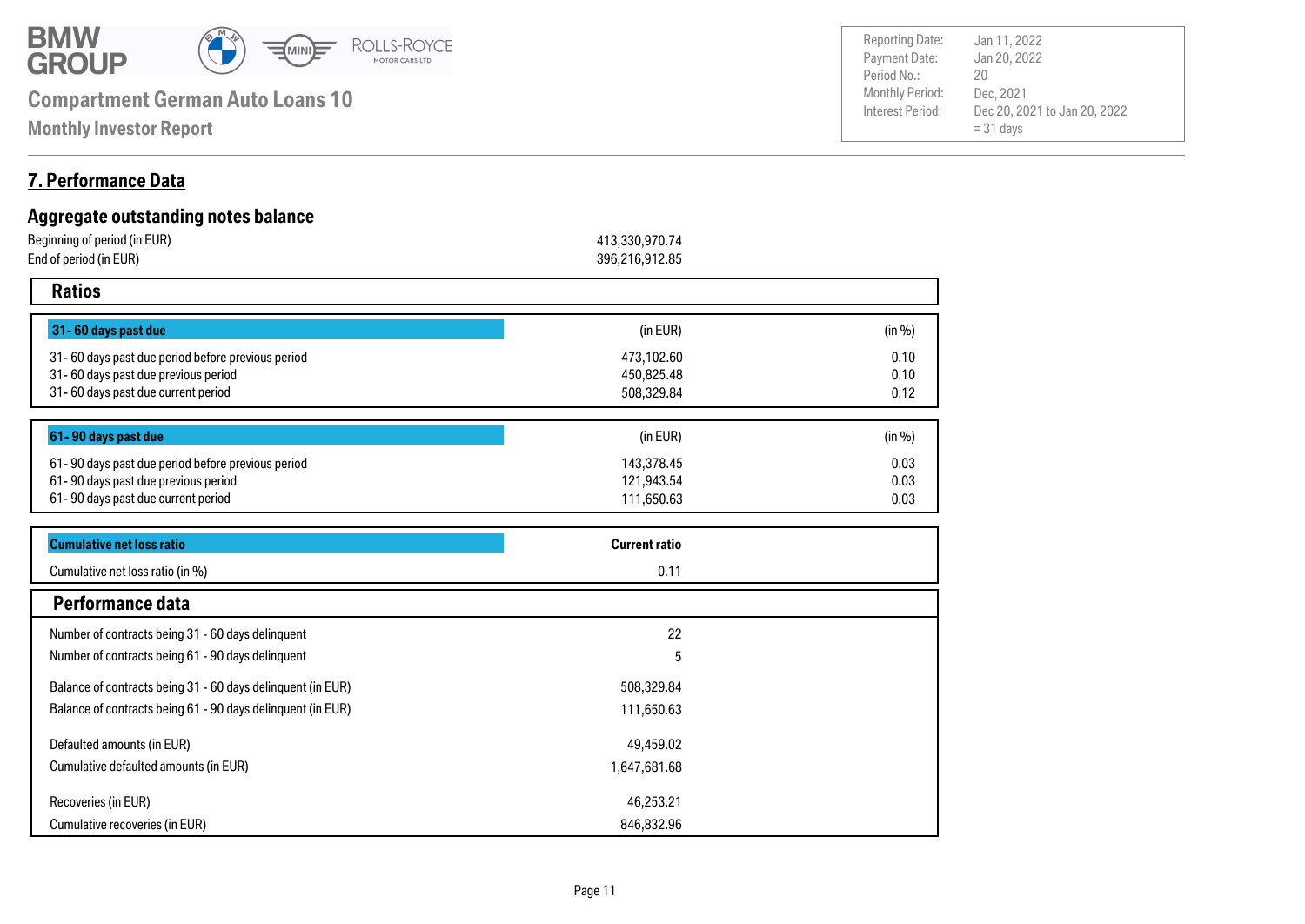

**Monthly Investor Report**

### **7. Performance Data**

#### **Aggregate outstanding notes balance** Beginning of period (in EUR) 413,330,970.74 End of period (in EUR) 396,216,912.85  **Ratios 31- 60 days past due** 31- 60 days past due period before previous period 0.10 31- 60 days past due previous period 0.10 31- 60 days past due current period 0.12 **61- 90 days past due** 61- 90 days past due period before previous period 0.03 0.03 61- 90 days past due current period 0.03 61- 90 days past due previous period 508,329.84 111,650.63 143,378.45 121,943.54 473,102.60 450,825.48  $(in EUR)$  (in %)  $(in EUR)$  (in %) Cumulative net loss ratio (in %) **Cumulative net loss ratio Current ratio** 0.11

|                                                             | .            |  |
|-------------------------------------------------------------|--------------|--|
| Performance data                                            |              |  |
| Number of contracts being 31 - 60 days delinquent           | 22           |  |
| Number of contracts being 61 - 90 days delinquent           | 5            |  |
| Balance of contracts being 31 - 60 days delinquent (in EUR) | 508,329.84   |  |
| Balance of contracts being 61 - 90 days delinguent (in EUR) | 111,650.63   |  |
| Defaulted amounts (in EUR)                                  | 49,459.02    |  |
| Cumulative defaulted amounts (in EUR)                       | 1,647,681.68 |  |
| Recoveries (in EUR)                                         | 46,253.21    |  |
| Cumulative recoveries (in EUR)                              | 846,832.96   |  |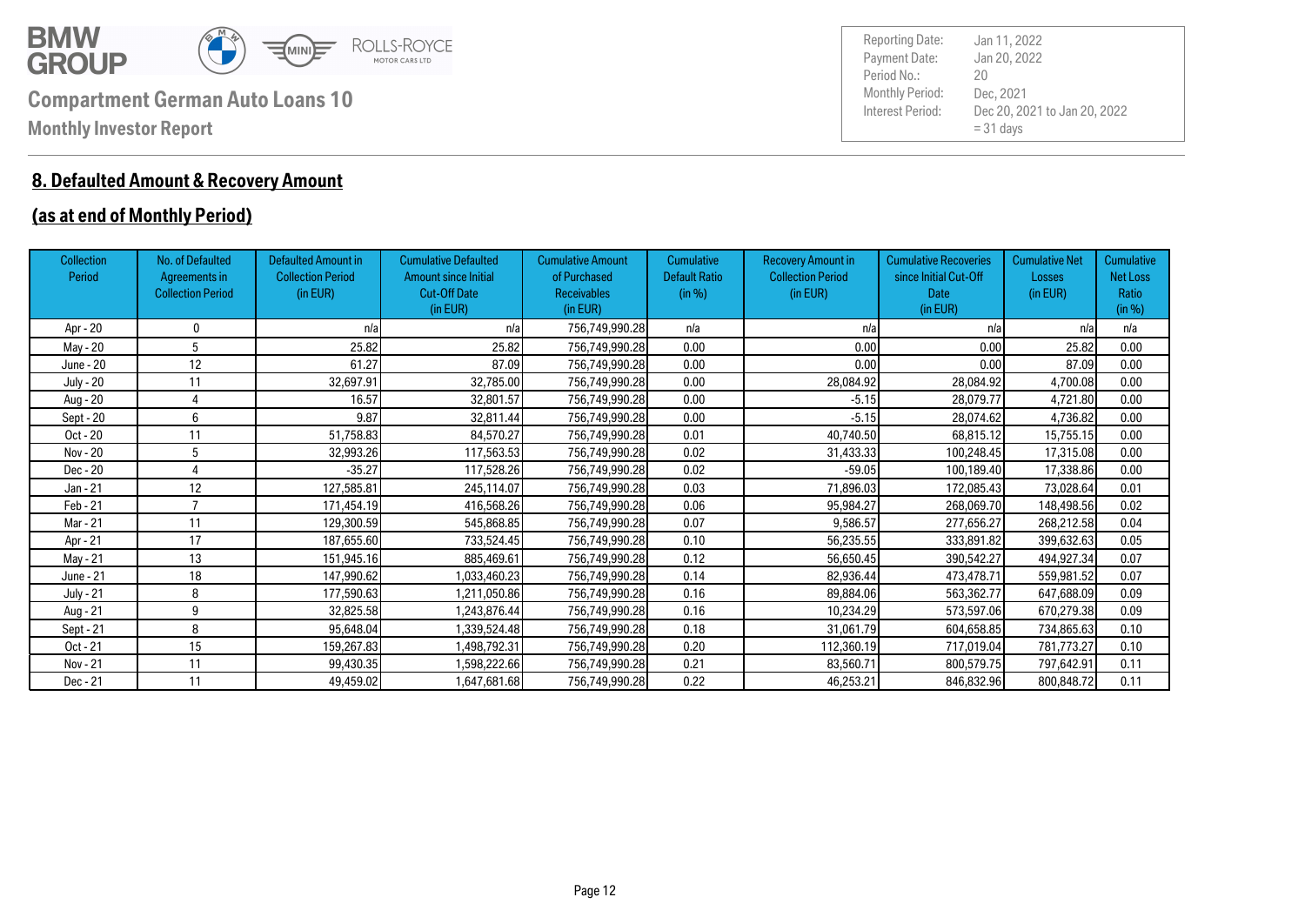

### **8. Defaulted Amount & Recovery Amount**

### **(as at end of Monthly Period)**

| <b>Collection</b><br>Period | No. of Defaulted<br>Agreements in<br><b>Collection Period</b> | <b>Defaulted Amount in</b><br><b>Collection Period</b><br>(in EUR) | <b>Cumulative Defaulted</b><br><b>Amount since Initial</b><br><b>Cut-Off Date</b><br>(in EUR) | <b>Cumulative Amount</b><br>of Purchased<br><b>Receivables</b><br>(in EUR) | <b>Cumulative</b><br><b>Default Ratio</b><br>(in %) | <b>Recovery Amount in</b><br><b>Collection Period</b><br>(in EUR) | <b>Cumulative Recoveries</b><br>since Initial Cut-Off<br><b>Date</b><br>(in EUR) | <b>Cumulative Net</b><br>Losses<br>(in EUR) | Cumulative<br>Net Loss<br>Ratio<br>(in %) |
|-----------------------------|---------------------------------------------------------------|--------------------------------------------------------------------|-----------------------------------------------------------------------------------------------|----------------------------------------------------------------------------|-----------------------------------------------------|-------------------------------------------------------------------|----------------------------------------------------------------------------------|---------------------------------------------|-------------------------------------------|
| Apr - 20                    | 0                                                             | n/a                                                                | n/a                                                                                           | 756,749,990.28                                                             | n/a                                                 | n/a                                                               | n/a                                                                              | n/a                                         | n/a                                       |
| May - 20                    | 5                                                             | 25.82                                                              | 25.82                                                                                         | 756,749,990.28                                                             | 0.00                                                | 0.00                                                              | 0.00                                                                             | 25.82                                       | 0.00                                      |
| June - 20                   | 12                                                            | 61.27                                                              | 87.09                                                                                         | 756,749,990.28                                                             | 0.00                                                | 0.00                                                              | 0.00                                                                             | 87.09                                       | 0.00                                      |
| July - 20                   | 11                                                            | 32,697.91                                                          | 32,785.00                                                                                     | 756,749,990.28                                                             | 0.00                                                | 28,084.92                                                         | 28,084.92                                                                        | 4,700.08                                    | 0.00                                      |
| Aug - 20                    |                                                               | 16.57                                                              | 32,801.57                                                                                     | 756,749,990.28                                                             | 0.00                                                | $-5.15$                                                           | 28,079.77                                                                        | 4,721.80                                    | 0.00                                      |
| Sept - 20                   | 6                                                             | 9.87                                                               | 32,811.44                                                                                     | 756,749,990.28                                                             | 0.00                                                | $-5.15$                                                           | 28,074.62                                                                        | 4,736.82                                    | 0.00                                      |
| Oct - 20                    | 11                                                            | 51,758.83                                                          | 84,570.27                                                                                     | 756,749,990.28                                                             | 0.01                                                | 40,740.50                                                         | 68,815.12                                                                        | 15,755.15                                   | 0.00                                      |
| Nov - 20                    | 5                                                             | 32,993.26                                                          | 117,563.53                                                                                    | 756,749,990.28                                                             | 0.02                                                | 31,433.33                                                         | 100,248.45                                                                       | 17,315.08                                   | 0.00                                      |
| Dec - 20                    |                                                               | $-35.27$                                                           | 117,528.26                                                                                    | 756,749,990.28                                                             | 0.02                                                | $-59.05$                                                          | 100,189.40                                                                       | 17,338.86                                   | 0.00                                      |
| Jan - 21                    | 12                                                            | 127,585.81                                                         | 245,114.07                                                                                    | 756,749,990.28                                                             | 0.03                                                | 71,896.03                                                         | 172,085.43                                                                       | 73,028.64                                   | 0.01                                      |
| Feb - 21                    | $\overline{ }$                                                | 171,454.19                                                         | 416,568.26                                                                                    | 756,749,990.28                                                             | 0.06                                                | 95,984.27                                                         | 268,069.70                                                                       | 148,498.56                                  | 0.02                                      |
| Mar - 21                    | 11                                                            | 129,300.59                                                         | 545,868.85                                                                                    | 756,749,990.28                                                             | 0.07                                                | 9,586.57                                                          | 277,656.27                                                                       | 268,212.58                                  | 0.04                                      |
| Apr - 21                    | 17                                                            | 187,655.60                                                         | 733,524.45                                                                                    | 756,749,990.28                                                             | 0.10                                                | 56,235.55                                                         | 333,891.82                                                                       | 399,632.63                                  | 0.05                                      |
| May - 21                    | 13                                                            | 151,945.16                                                         | 885,469.61                                                                                    | 756.749.990.28                                                             | 0.12                                                | 56.650.45                                                         | 390.542.27                                                                       | 494,927.34                                  | 0.07                                      |
| June - 21                   | 18                                                            | 147,990.62                                                         | 1,033,460.23                                                                                  | 756,749,990.28                                                             | 0.14                                                | 82,936.44                                                         | 473,478.71                                                                       | 559,981.52                                  | 0.07                                      |
| <b>July - 21</b>            | 8                                                             | 177,590.63                                                         | 1,211,050.86                                                                                  | 756,749,990.28                                                             | 0.16                                                | 89,884.06                                                         | 563,362.77                                                                       | 647,688.09                                  | 0.09                                      |
| Aug - 21                    | 9                                                             | 32,825.58                                                          | 1,243,876.44                                                                                  | 756,749,990.28                                                             | 0.16                                                | 10,234.29                                                         | 573,597.06                                                                       | 670,279.38                                  | 0.09                                      |
| Sept - 21                   | 8                                                             | 95,648.04                                                          | 1,339,524.48                                                                                  | 756,749,990.28                                                             | 0.18                                                | 31.061.79                                                         | 604,658.85                                                                       | 734,865.63                                  | 0.10                                      |
| $Oct - 21$                  | 15                                                            | 159,267.83                                                         | 1,498,792.31                                                                                  | 756,749,990.28                                                             | 0.20                                                | 112,360.19                                                        | 717,019.04                                                                       | 781,773.27                                  | 0.10                                      |
| Nov - 21                    | 11                                                            | 99,430.35                                                          | 1,598,222.66                                                                                  | 756,749,990.28                                                             | 0.21                                                | 83,560.71                                                         | 800,579.75                                                                       | 797,642.91                                  | 0.11                                      |
| Dec - 21                    | 11                                                            | 49,459.02                                                          | 1,647,681.68                                                                                  | 756,749,990.28                                                             | 0.22                                                | 46,253.21                                                         | 846,832.96                                                                       | 800,848.72                                  | 0.11                                      |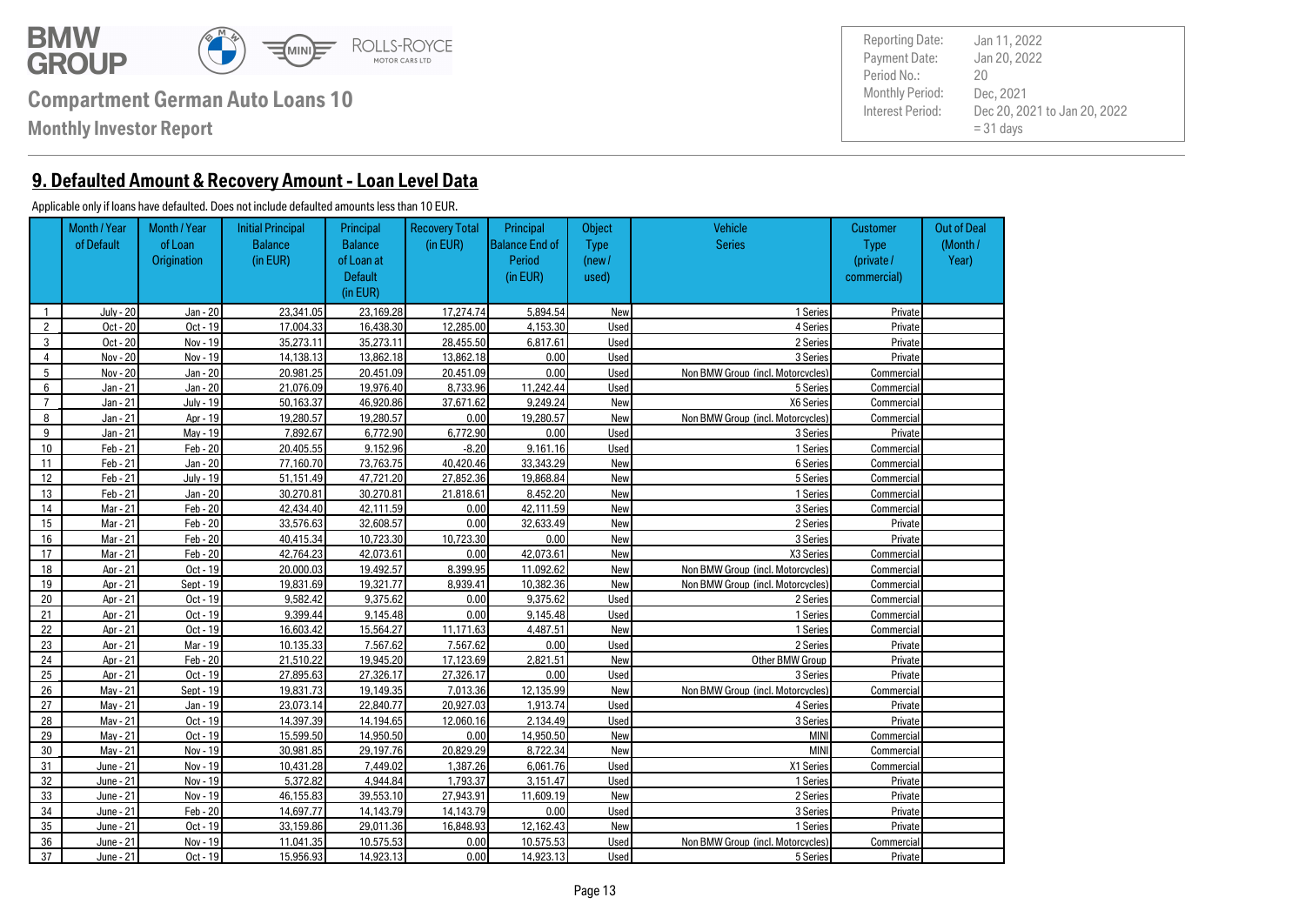

**Monthly Investor Report**

**9. Defaulted Amount & Recovery Amount - Loan Level Data**

#### Applicable only if loans have defaulted. Does not include defaulted amounts less than 10 EUR.

|                | Month / Year | Month / Year | <b>Initial Principal</b> | Principal      | <b>Recovery Total</b> | Principal             | Object      | Vehicle                           | <b>Customer</b> | <b>Out of Deal</b> |
|----------------|--------------|--------------|--------------------------|----------------|-----------------------|-----------------------|-------------|-----------------------------------|-----------------|--------------------|
|                | of Default   | of Loan      | <b>Balance</b>           | <b>Balance</b> | (in EUR)              | <b>Balance End of</b> | <b>Type</b> | <b>Series</b>                     | <b>Type</b>     | (Month/            |
|                |              | Origination  | (in EUR)                 | of Loan at     |                       | Period                | (new /      |                                   | (private /      | Year)              |
|                |              |              |                          | <b>Default</b> |                       | (in EUR)              | used)       |                                   | commercial)     |                    |
|                |              |              |                          | (in EUR)       |                       |                       |             |                                   |                 |                    |
| $\mathbf{1}$   | July - 20    | Jan - 20     | 23.341.05                | 23.169.28      | 17.274.74             | 5.894.54              | New         | 1 Series                          | Private         |                    |
| $\overline{2}$ | Oct - 20     | Oct - 19     | 17.004.33                | 16.438.30      | 12.285.00             | 4.153.30              | Used        | 4 Series                          | Private         |                    |
| 3              | Oct - 20     | Nov - 19     | 35.273.11                | 35.273.11      | 28,455,50             | 6,817,61              | Used        | 2 Series                          | Private         |                    |
| $\overline{4}$ | Nov - 20     | Nov - 19     | 14.138.13                | 13.862.18      | 13.862.18             | 0.00                  | Used        | 3 Series                          | Private         |                    |
| 5              | Nov - 20     | Jan - 20     | 20.981.25                | 20.451.09      | 20.451.09             | 0.00                  | Used        | Non BMW Group (incl. Motorcycles) | Commercial      |                    |
| 6              | Jan - 21     | Jan - 20     | 21.076.09                | 19.976.40      | 8.733.96              | 11.242.44             | Used        | 5 Series                          | Commercial      |                    |
| $\overline{7}$ | Jan - 21     | July - 19    | 50.163.37                | 46.920.86      | 37.671.62             | 9.249.24              | New         | X6 Series                         | Commercial      |                    |
| 8              | Jan - 21     | Apr - 19     | 19.280.57                | 19.280.57      | 0.00                  | 19.280.57             | New         | Non BMW Group (incl. Motorcycles) | Commercial      |                    |
| 9              | Jan - 21     | Mav - 19     | 7.892.67                 | 6.772.90       | 6.772.90              | 0.00                  | Used        | 3 Series                          | Private         |                    |
| 10             | Feb - 21     | Feb - 20     | 20.405.55                | 9.152.96       | $-8.20$               | 9.161.16              | Used        | 1 Series                          | Commercial      |                    |
| 11             | $Feb - 21$   | Jan - 20     | 77.160.70                | 73.763.75      | 40.420.46             | 33.343.29             | New         | 6 Series                          | Commercial      |                    |
| 12             | Feb - 21     | July - 19    | 51.151.49                | 47.721.20      | 27.852.36             | 19.868.84             | New         | 5 Series                          | Commercial      |                    |
| 13             | Feb - 21     | Jan - 20     | 30.270.81                | 30.270.81      | 21.818.61             | 8.452.20              | New         | 1 Series                          | Commercial      |                    |
| 14             | Mar - 21     | Feb - 20     | 42.434.40                | 42.111.59      | 0.00                  | 42.111.59             | New         | 3 Series                          | Commercial      |                    |
| 15             | Mar - 21     | Feb - 20     | 33.576.63                | 32.608.57      | 0.00                  | 32.633.49             | New         | 2 Series                          | Private         |                    |
| 16             | Mar - 21     | Feb - 20     | 40.415.34                | 10.723.30      | 10.723.30             | 0.00                  | New         | 3 Series                          | Private         |                    |
| 17             | Mar - 21     | Feb - 20     | 42.764.23                | 42.073.61      | 0.00                  | 42.073.61             | New         | X3 Series                         | Commercial      |                    |
| 18             | Apr - 21     | Oct - 19     | 20.000.03                | 19.492.57      | 8.399.95              | 11.092.62             | New         | Non BMW Group (incl. Motorcycles) | Commercial      |                    |
| 19             | Apr - 21     | Sept - 19    | 19.831.69                | 19.321.77      | 8.939.41              | 10.382.36             | New         | Non BMW Group (incl. Motorcycles) | Commercial      |                    |
| 20             | Apr - 21     | Oct - 19     | 9.582.42                 | 9.375.62       | 0.00                  | 9.375.62              | Used        | 2 Series                          | Commercial      |                    |
| 21             | Apr - 21     | Oct - 19     | 9.399.44                 | 9.145.48       | 0.00                  | 9.145.48              | Used        | 1 Series                          | Commercial      |                    |
| 22             | Apr - 21     | Oct - 19     | 16.603.42                | 15.564.27      | 11.171.63             | 4.487.51              | New         | 1 Series                          | Commercial      |                    |
| 23             | Apr - 21     | Mar - 19     | 10.135.33                | 7.567.62       | 7.567.62              | 0.00                  | Used        | 2 Series                          | Private         |                    |
| 24             | Apr - 21     | $Feb - 20$   | 21.510.22                | 19.945.20      | 17.123.69             | 2.821.51              | New         | Other BMW Group                   | Private         |                    |
| 25             | Apr - 21     | Oct - 19     | 27.895.63                | 27.326.17      | 27.326.17             | 0.00                  | Used        | 3 Series                          | Private         |                    |
| 26             | Mav - 21     | Sept - 19    | 19.831.73                | 19.149.35      | 7.013.36              | 12.135.99             | New         | Non BMW Group (incl. Motorcycles) | Commercial      |                    |
| 27             | Mav - 21     | Jan - 19     | 23.073.14                | 22.840.77      | 20.927.03             | 1.913.74              | Used        | 4 Series                          | Private         |                    |
| 28             | Mav - 21     | Oct - 19     | 14.397.39                | 14.194.65      | 12.060.16             | 2.134.49              | Used        | 3 Series                          | Private         |                    |
| 29             | Mav - 21     | $Oct - 19$   | 15.599.50                | 14.950.50      | 0.00                  | 14.950.50             | New         | MIN                               | Commercial      |                    |
| 30             | Mav - 21     | Nov - 19     | 30.981.85                | 29.197.76      | 20.829.29             | 8.722.34              | New         | <b>MIN</b>                        | Commercial      |                    |
| 31             | June - 21    | Nov - 19     | 10.431.28                | 7.449.02       | 1.387.26              | 6.061.76              | Used        | X1 Series                         | Commercial      |                    |
| 32             | June - 21    | Nov - 19     | 5.372.82                 | 4.944.84       | 1.793.37              | 3.151.47              | Used        | 1 Series                          | Private         |                    |
| 33             | June - 21    | Nov - 19     | 46.155.83                | 39.553.10      | 27.943.91             | 11.609.19             | New         | 2 Series                          | Private         |                    |
| 34             | June - 21    | $Feb - 20$   | 14.697.77                | 14.143.79      | 14.143.79             | 0.00                  | Used        | 3 Series                          | Private         |                    |
| 35             | June - 21    | Oct - 19     | 33.159.86                | 29.011.36      | 16.848.93             | 12.162.43             | New         | 1 Series                          | Private         |                    |
| 36             | June - 21    | Nov - 19     | 11.041.35                | 10.575.53      | 0.00                  | 10.575.53             | Used        | Non BMW Group (incl. Motorcycles) | Commercial      |                    |
| 37             | June - 21    | Oct - 19     | 15.956.93                | 14.923.13      | 0.00                  | 14.923.13             | <b>Used</b> | 5 Series                          | Private         |                    |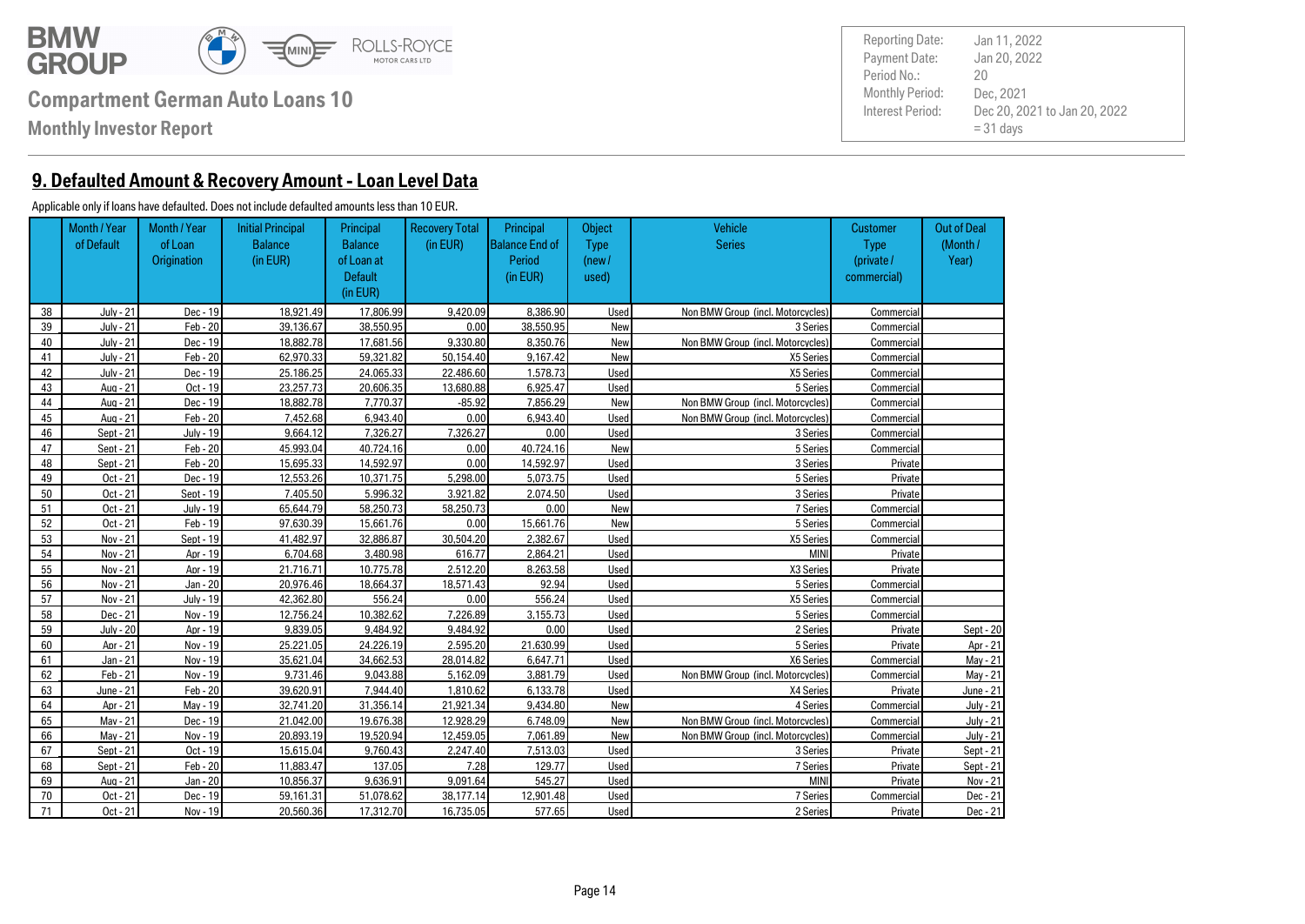

**Monthly Investor Report**

**9. Defaulted Amount & Recovery Amount - Loan Level Data**

#### Applicable only if loans have defaulted. Does not include defaulted amounts less than 10 EUR.

|    | Month / Year<br>of Default | Month / Year<br>of Loan<br><b>Origination</b> | <b>Initial Principal</b><br><b>Balance</b><br>(in EUR) | Principal<br><b>Balance</b><br>of Loan at<br><b>Default</b> | <b>Recovery Total</b><br>(in EUR) | Principal<br><b>Balance End of</b><br>Period<br>(in EUR) | Object<br>Type<br>(new /<br>used) | Vehicle<br><b>Series</b>          | <b>Customer</b><br><b>Type</b><br>(private /<br>commercial) | <b>Out of Deal</b><br>(Month/<br>Year) |
|----|----------------------------|-----------------------------------------------|--------------------------------------------------------|-------------------------------------------------------------|-----------------------------------|----------------------------------------------------------|-----------------------------------|-----------------------------------|-------------------------------------------------------------|----------------------------------------|
|    |                            |                                               |                                                        | (in EUR)                                                    |                                   |                                                          |                                   |                                   |                                                             |                                        |
| 38 | July - 21                  | Dec - 19                                      | 18.921.49                                              | 17.806.99                                                   | 9.420.09                          | 8.386.90                                                 | Used                              | Non BMW Group (incl. Motorcycles) | Commercial                                                  |                                        |
| 39 | <b>July - 21</b>           | $Feb - 20$                                    | 39.136.67                                              | 38.550.95                                                   | 0.00                              | 38.550.95                                                | New                               | 3 Series                          | Commercial                                                  |                                        |
| 40 | July - 21                  | Dec - 19                                      | 18.882.78                                              | 17.681.56                                                   | 9.330.80                          | 8.350.76                                                 | New                               | Non BMW Group (incl. Motorcycles) | Commercial                                                  |                                        |
| 41 | <b>July - 21</b>           | Feb - 20                                      | 62.970.33                                              | 59.321.82                                                   | 50.154.40                         | 9.167.42                                                 | New                               | X5 Series                         | Commercial                                                  |                                        |
| 42 | July - 21                  | Dec - 19                                      | 25.186.25                                              | 24.065.33                                                   | 22.486.60                         | 1.578.73                                                 | Used                              | X5 Series                         | Commercial                                                  |                                        |
| 43 | Aua - 21                   | $Oct - 19$                                    | 23.257.73                                              | 20.606.35                                                   | 13.680.88                         | 6.925.47                                                 | Used                              | 5 Series                          | Commercial                                                  |                                        |
| 44 | Aua - 21                   | Dec - 19                                      | 18.882.78                                              | 7.770.37                                                    | $-85.92$                          | 7.856.29                                                 | New                               | Non BMW Group (incl. Motorcycles) | Commercial                                                  |                                        |
| 45 | Aua - 21                   | $Feb - 20$                                    | 7.452.68                                               | 6.943.40                                                    | 0.00                              | 6.943.40                                                 | Used                              | Non BMW Group (incl. Motorcycles) | Commercial                                                  |                                        |
| 46 | Sept - 21                  | July - 19                                     | 9.664.12                                               | 7.326.27                                                    | 7.326.27                          | 0.00                                                     | Used                              | 3 Series                          | Commercial                                                  |                                        |
| 47 | Sept - 21                  | $Feb - 20$                                    | 45.993.04                                              | 40.724.16                                                   | 0.00                              | 40.724.16                                                | New                               | 5 Series                          | Commercial                                                  |                                        |
| 48 | Sept - 21                  | $Feb - 20$                                    | 15.695.33                                              | 14.592.97                                                   | 0.00                              | 14.592.97                                                | Used                              | 3 Series                          | Private                                                     |                                        |
| 49 | Oct - 21                   | Dec - 19                                      | 12.553.26                                              | 10.371.75                                                   | 5.298.00                          | 5.073.75                                                 | Used                              | 5 Series                          | Private                                                     |                                        |
| 50 | Oct - 21                   | Sept - 19                                     | 7.405.50                                               | 5.996.32                                                    | 3.921.82                          | 2.074.50                                                 | Used                              | 3 Series                          | Private                                                     |                                        |
| 51 | Oct - 21                   | July - 19                                     | 65.644.79                                              | 58.250.73                                                   | 58.250.73                         | 0.00                                                     | New                               | 7 Series                          | Commercial                                                  |                                        |
| 52 | Oct - 21                   | $Feb - 19$                                    | 97.630.39                                              | 15.661.76                                                   | 0.00                              | 15.661.76                                                | New                               | 5 Series                          | Commercial                                                  |                                        |
| 53 | Nov - 21                   | Sept - 19                                     | 41.482.97                                              | 32.886.87                                                   | 30.504.20                         | 2.382.67                                                 | Used                              | X5 Series                         | Commercial                                                  |                                        |
| 54 | Nov - 21                   | Apr - 19                                      | 6.704.68                                               | 3.480.98                                                    | 616.77                            | 2.864.21                                                 | Used                              | <b>MINI</b>                       | Private                                                     |                                        |
| 55 | Nov - 21                   | Apr - 19                                      | 21.716.71                                              | 10.775.78                                                   | 2.512.20                          | 8.263.58                                                 | Used                              | X3 Series                         | Private                                                     |                                        |
| 56 | Nov - 21                   | Jan - 20                                      | 20.976.46                                              | 18.664.37                                                   | 18.571.43                         | 92.94                                                    | Used                              | 5 Series                          | Commercial                                                  |                                        |
| 57 | Nov - 21                   | July - 19                                     | 42.362.80                                              | 556.24                                                      | 0.00                              | 556.24                                                   | Used                              | X5 Series                         | Commercial                                                  |                                        |
| 58 | Dec - 21                   | Nov - 19                                      | 12.756.24                                              | 10.382.62                                                   | 7.226.89                          | 3.155.73                                                 | Used                              | 5 Series                          | Commercial                                                  |                                        |
| 59 | July - 20                  | Apr - 19                                      | 9.839.05                                               | 9.484.92                                                    | 9.484.92                          | 0.00                                                     | Used                              | 2 Series                          | Private                                                     | Sept - 20                              |
| 60 | Apr - 21                   | Nov - 19                                      | 25.221.05                                              | 24.226.19                                                   | 2.595.20                          | 21.630.99                                                | Used                              | 5 Series                          | Private                                                     | Apr - 21                               |
| 61 | Jan - 21                   | Nov - 19                                      | 35.621.04                                              | 34.662.53                                                   | 28.014.82                         | 6.647.71                                                 | Used                              | X6 Series                         | Commercial                                                  | May - 21                               |
| 62 | Feb - 21                   | Nov - 19                                      | 9.731.46                                               | 9.043.88                                                    | 5.162.09                          | 3.881.79                                                 | Used                              | Non BMW Group (incl. Motorcycles) | Commercial                                                  | May - 21                               |
| 63 | June - 21                  | $Feb - 20$                                    | 39.620.91                                              | 7.944.40                                                    | 1.810.62                          | 6.133.78                                                 | Used                              | X4 Series                         | Private                                                     | June - 21                              |
| 64 | Apr - 21                   | Mav - 19                                      | 32.741.20                                              | 31.356.14                                                   | 21.921.34                         | 9.434.80                                                 | New                               | 4 Series                          | Commercial                                                  | <b>July - 21</b>                       |
| 65 | Mav - 21                   | Dec - 19                                      | 21.042.00                                              | 19.676.38                                                   | 12.928.29                         | 6.748.09                                                 | New                               | Non BMW Group (incl. Motorcycles) | Commercial                                                  | <b>July - 21</b>                       |
| 66 | Mav - 21                   | Nov - 19                                      | 20.893.19                                              | 19.520.94                                                   | 12.459.05                         | 7.061.89                                                 | New                               | Non BMW Group (incl. Motorcycles) | Commercial                                                  | <b>July - 21</b>                       |
| 67 | Sept - 21                  | Oct - 19                                      | 15.615.04                                              | 9.760.43                                                    | 2.247.40                          | 7.513.03                                                 | Used                              | 3 Series                          | Private                                                     | Sept - 21                              |
| 68 | Sept - 21                  | $Feb - 20$                                    | 11.883.47                                              | 137.05                                                      | 7.28                              | 129.77                                                   | Used                              | 7 Series                          | Private                                                     | Sept - 21                              |
| 69 | Aug - 21                   | Jan - 20                                      | 10.856.37                                              | 9.636.91                                                    | 9.091.64                          | 545.27                                                   | Used                              | <b>MINI</b>                       | Private                                                     | Nov - 21                               |
| 70 | Oct - 21                   | Dec - 19                                      | 59.161.31                                              | 51.078.62                                                   | 38.177.14                         | 12.901.48                                                | Used                              | 7 Series                          | Commercial                                                  | Dec - 21                               |
| 71 | Oct - 21                   | Nov - 19                                      | 20.560.36                                              | 17.312.70                                                   | 16.735.05                         | 577.65                                                   | Used                              | 2 Series                          | Private                                                     | Dec - 21                               |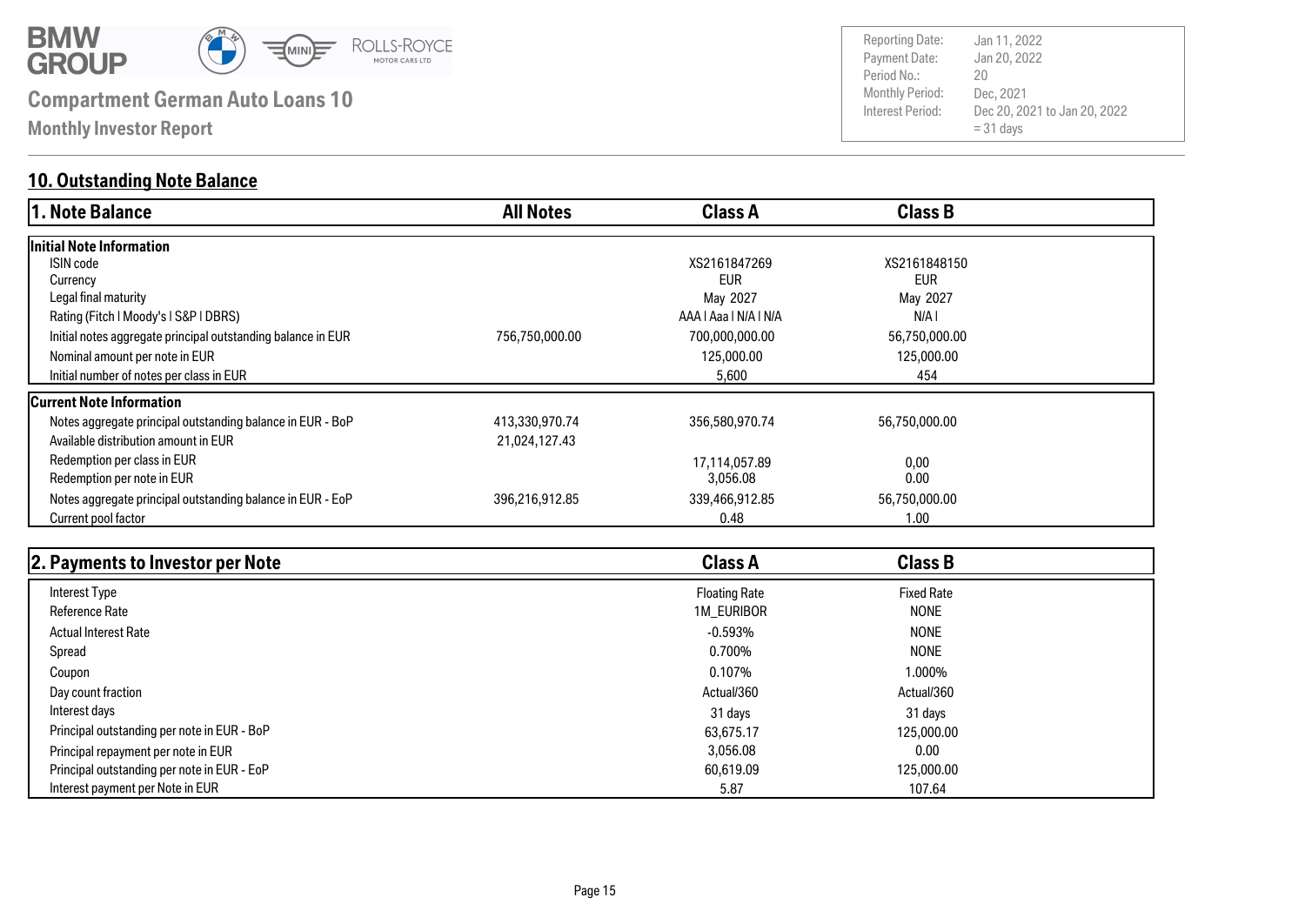

**Monthly Investor Report**

### **10. Outstanding Note Balance**

| 1. Note Balance                                              | <b>All Notes</b> | <b>Class A</b>        | <b>Class B</b> |  |
|--------------------------------------------------------------|------------------|-----------------------|----------------|--|
| Initial Note Information                                     |                  |                       |                |  |
| <b>ISIN</b> code                                             |                  | XS2161847269          | XS2161848150   |  |
| Currency                                                     |                  | <b>EUR</b>            | <b>EUR</b>     |  |
| Legal final maturity                                         |                  | May 2027              | May 2027       |  |
| Rating (Fitch   Moody's   S&P   DBRS)                        |                  | AAA   Aaa   N/A   N/A | N/A I          |  |
| Initial notes aggregate principal outstanding balance in EUR | 756,750,000.00   | 700,000,000.00        | 56,750,000.00  |  |
| Nominal amount per note in EUR                               |                  | 125,000.00            | 125,000.00     |  |
| Initial number of notes per class in EUR                     |                  | 5,600                 | 454            |  |
| <b>Current Note Information</b>                              |                  |                       |                |  |
| Notes aggregate principal outstanding balance in EUR - BoP   | 413,330,970.74   | 356,580,970.74        | 56,750,000.00  |  |
| Available distribution amount in EUR                         | 21,024,127.43    |                       |                |  |
| Redemption per class in EUR                                  |                  | 17,114,057.89         | 0,00           |  |
| Redemption per note in EUR                                   |                  | 3,056.08              | 0.00           |  |
| Notes aggregate principal outstanding balance in EUR - EoP   | 396,216,912.85   | 339,466,912.85        | 56,750,000.00  |  |
| Current pool factor                                          |                  | 0.48                  | 1.00           |  |

| 2. Payments to Investor per Note            | <b>Class A</b>       | <b>Class B</b>    |  |
|---------------------------------------------|----------------------|-------------------|--|
| Interest Type                               | <b>Floating Rate</b> | <b>Fixed Rate</b> |  |
| <b>Reference Rate</b>                       | 1M_EURIBOR           | <b>NONE</b>       |  |
| <b>Actual Interest Rate</b>                 | $-0.593\%$           | <b>NONE</b>       |  |
| Spread                                      | 0.700%               | <b>NONE</b>       |  |
| Coupon                                      | 0.107%               | 1.000%            |  |
| Day count fraction                          | Actual/360           | Actual/360        |  |
| Interest days                               | 31 days              | 31 days           |  |
| Principal outstanding per note in EUR - BoP | 63,675.17            | 125,000,00        |  |
| Principal repayment per note in EUR         | 3,056.08             | 0.00              |  |
| Principal outstanding per note in EUR - EoP | 60,619.09            | 125,000.00        |  |
| Interest payment per Note in EUR            | 5.87                 | 107.64            |  |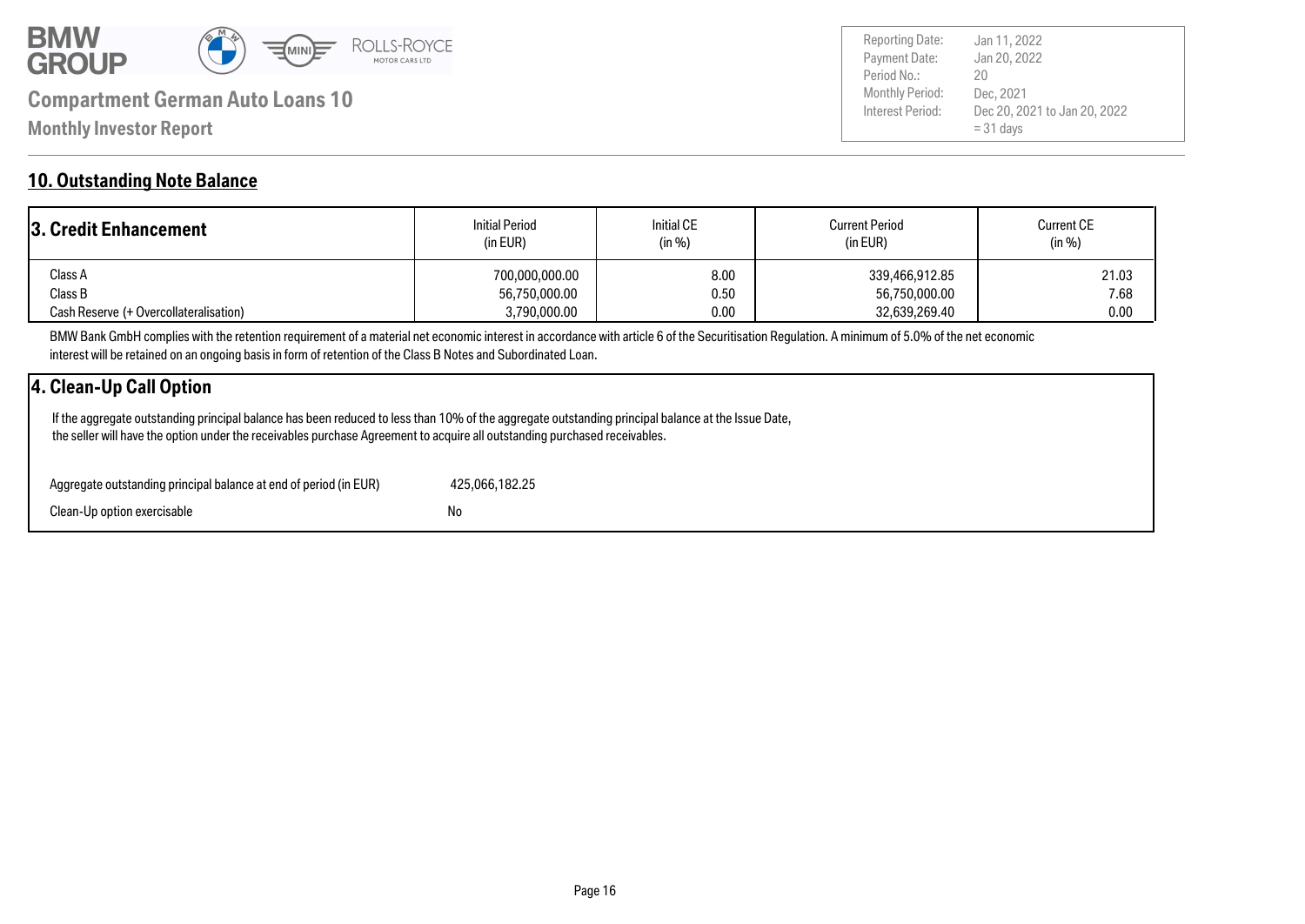

Payment Date: Period No.: Dec 20, 2021 to Jan 20, 2022  $= 31$  days Jan 20, 2022 Dec, 2021 20 Reporting Date: Jan 11, 2022

### **10. Outstanding Note Balance**

| <b>3. Credit Enhancement</b>           | <b>Initial Period</b><br>(in EUR) | <b>Initial CE</b><br>(in %) | <b>Current Period</b><br>(in EUR) | <b>Current CE</b><br>(in %) |
|----------------------------------------|-----------------------------------|-----------------------------|-----------------------------------|-----------------------------|
| Class A                                | 700.000.000.00                    | 8.00                        | 339,466,912.85                    | 21.03                       |
| Class B                                | 56,750,000.00                     | 0.50                        | 56,750,000.00                     | 7.68                        |
| Cash Reserve (+ Overcollateralisation) | 3,790,000.00                      | 0.00                        | 32,639,269.40                     | 0.00                        |

BMW Bank GmbH complies with the retention requirement of a material net economic interest in accordance with article 6 of the Securitisation Regulation. A minimum of 5.0% of the net economic interest will be retained on an ongoing basis in form of retention of the Class B Notes and Subordinated Loan.

### **4. Clean-Up Call Option**

 If the aggregate outstanding principal balance has been reduced to less than 10% of the aggregate outstanding principal balance at the Issue Date, the seller will have the option under the receivables purchase Agreement to acquire all outstanding purchased receivables.

| Aggregate outstanding principal balance at end of period (in EUR) | 425.066.182.25 |
|-------------------------------------------------------------------|----------------|
| Clean-Up option exercisable                                       | No             |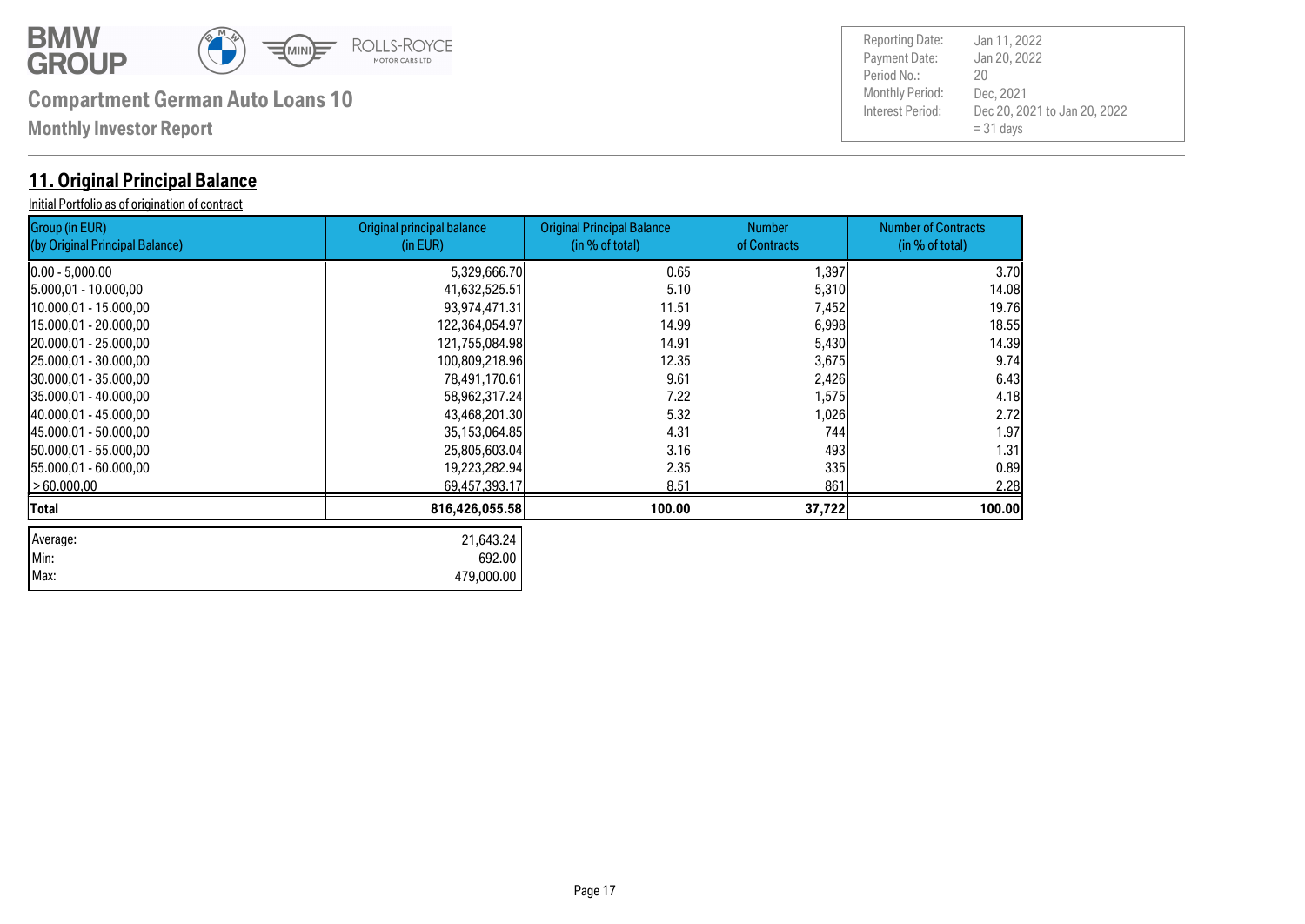

| Max: 479,000.00

# **Compartment German Auto Loans 10** Monthly Period:

**Monthly Investor Report**

### **11. Original Principal Balance**

Initial Portfolio as of origination of contract

| <b>Group (in EUR)</b><br>(by Original Principal Balance) | Original principal balance<br>(in EUR) | <b>Original Principal Balance</b><br>(in % of total) | <b>Number</b><br>of Contracts | <b>Number of Contracts</b><br>(in % of total) |
|----------------------------------------------------------|----------------------------------------|------------------------------------------------------|-------------------------------|-----------------------------------------------|
| 10.00 - 5,000.00                                         | 5,329,666.70                           | 0.65                                                 | 1,397                         | 3.70                                          |
| 5.000,01 - 10.000,00                                     | 41,632,525.51                          | 5.10                                                 | 5,310                         | 14.08                                         |
| 10.000,01 - 15.000,00                                    | 93,974,471.31                          | 11.51                                                | 7,452                         | 19.76                                         |
| 15.000,01 - 20.000,00                                    | 122,364,054.97                         | 14.99                                                | 6,998                         | 18.55                                         |
| 20.000,01 - 25.000,00                                    | 121,755,084.98                         | 14.91                                                | 5,430                         | 14.39                                         |
| 25.000,01 - 30.000,00                                    | 100,809,218.96                         | 12.35                                                | 3,675                         | 9.74                                          |
| 30.000,01 - 35.000,00                                    | 78,491,170.61                          | 9.61                                                 | 2,426                         | 6.43                                          |
| 35.000,01 - 40.000,00                                    | 58,962,317.24                          | 7.22                                                 | 1,575                         | 4.18                                          |
| 40.000,01 - 45.000,00                                    | 43,468,201.30                          | 5.32                                                 | 1,026                         | 2.72                                          |
| 145.000,01 - 50.000,00                                   | 35,153,064.85                          | 4.31                                                 | 744                           | 1.97                                          |
| 150.000,01 - 55.000,00                                   | 25,805,603.04                          | 3.16                                                 | 493                           | 1.31                                          |
| [55.000,01 - 60.000,00                                   | 19,223,282.94                          | 2.35                                                 | 335                           | 0.89                                          |
| >60.000,00                                               | 69,457,393.17                          | 8.51                                                 | 861                           | 2.28                                          |
| Total                                                    | 816,426,055.58                         | 100.00                                               | 37,722                        | 100.00                                        |
| Average:                                                 | 21,643.24                              |                                                      |                               |                                               |
| Min:                                                     | 692.00                                 |                                                      |                               |                                               |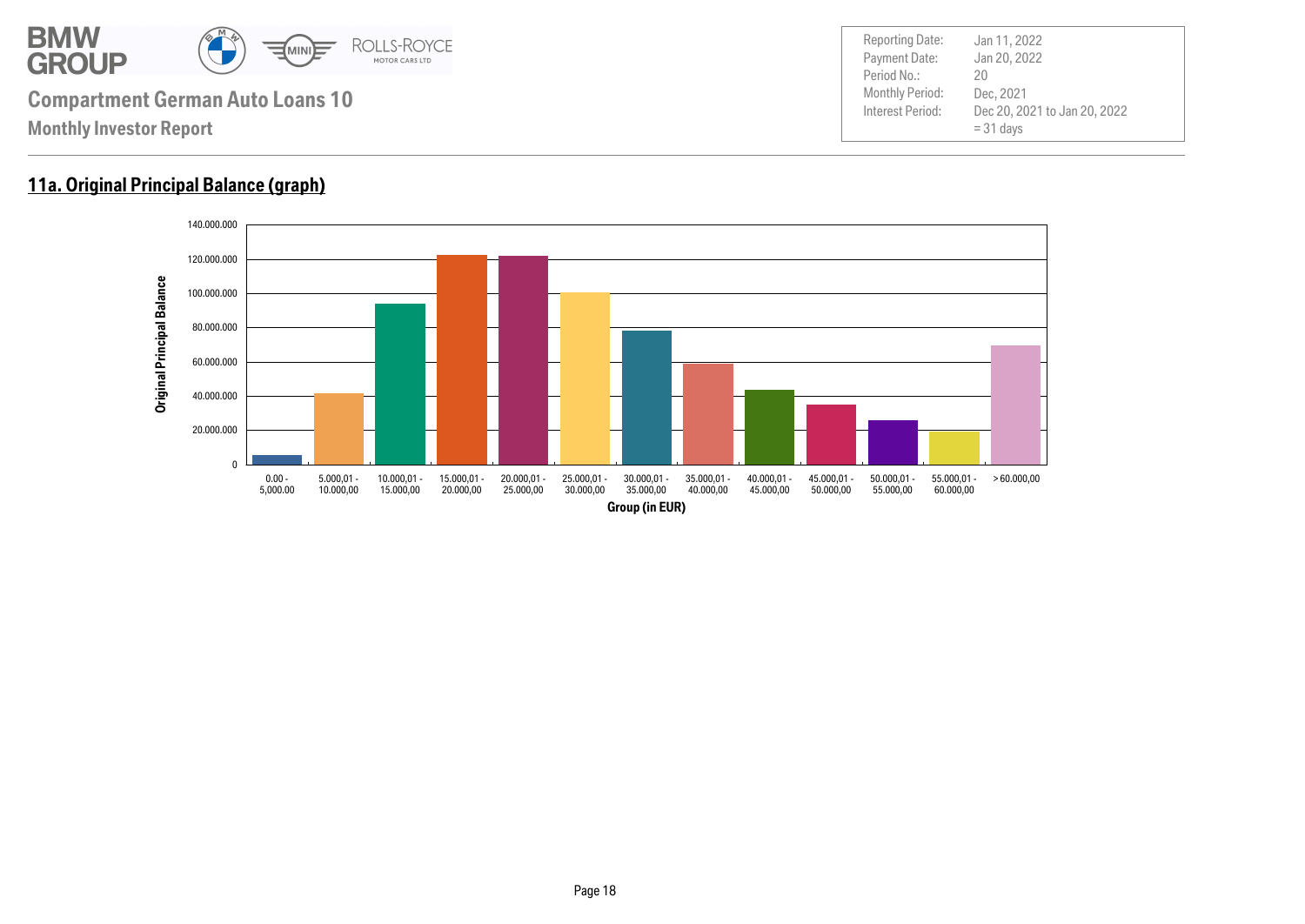

### **11a. Original Principal Balance (graph)**

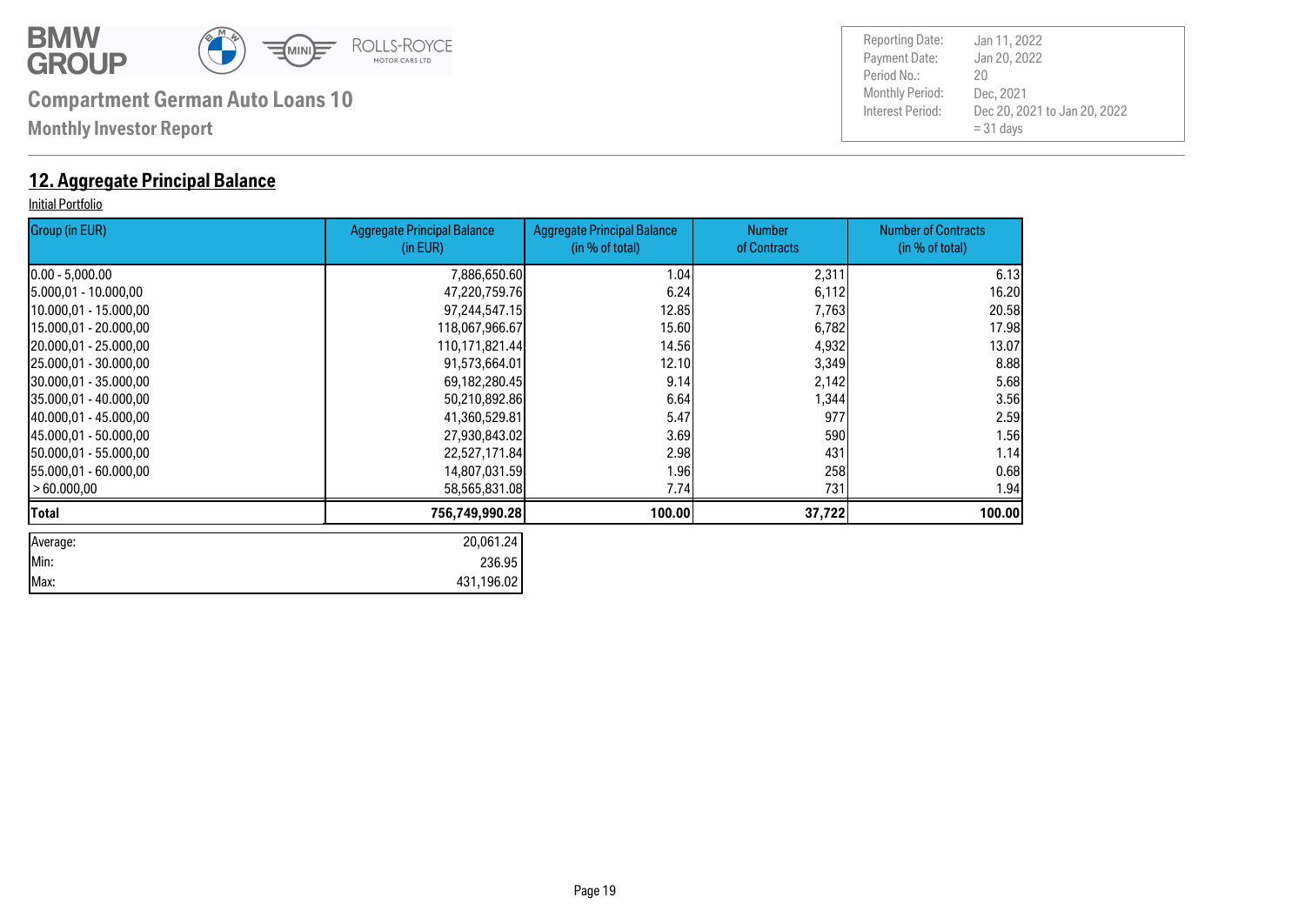![](_page_18_Picture_0.jpeg)

**Monthly Investor Report**

### **12. Aggregate Principal Balance**

#### Initial Portfolio

| Group (in EUR)         | <b>Aggregate Principal Balance</b><br>(in EUR) | <b>Aggregate Principal Balance</b><br>(in % of total) | <b>Number</b><br>of Contracts | <b>Number of Contracts</b><br>(in % of total) |
|------------------------|------------------------------------------------|-------------------------------------------------------|-------------------------------|-----------------------------------------------|
| $[0.00 - 5,000.00]$    | 7,886,650.60                                   | 1.04                                                  | 2,311                         | 6.13                                          |
| 5.000,01 - 10.000,00   | 47,220,759.76                                  | 6.24                                                  | 6,112                         | 16.20                                         |
| 10.000,01 - 15.000,00  | 97,244,547.15                                  | 12.85                                                 | 7,763                         | 20.58                                         |
| 15.000,01 - 20.000,00  | 118,067,966.67                                 | 15.60                                                 | 6,782                         | 17.98                                         |
| 20.000,01 - 25.000,00  | 110,171,821.44                                 | 14.56                                                 | 4,932                         | 13.07                                         |
| 25.000,01 - 30.000,00  | 91,573,664.01                                  | 12.10                                                 | 3,349                         | 8.88                                          |
| 30.000,01 - 35.000,00  | 69,182,280.45                                  | 9.14                                                  | 2,142                         | 5.68                                          |
| 35.000,01 - 40.000,00  | 50,210,892.86                                  | 6.64                                                  | 1,344                         | 3.56                                          |
| 40.000,01 - 45.000,00  | 41,360,529.81                                  | 5.47                                                  | 977                           | 2.59                                          |
| 145.000.01 - 50.000.00 | 27,930,843.02                                  | 3.69                                                  | 590                           | 1.56                                          |
| 150.000,01 - 55.000,00 | 22,527,171.84                                  | 2.98                                                  | 431                           | 1.14                                          |
| 155.000,01 - 60.000,00 | 14,807,031.59                                  | 1.96                                                  | 258                           | 0.68                                          |
| > 60.000,00            | 58,565,831.08                                  | 7.74                                                  | 731                           | 1.94                                          |
| Total                  | 756,749,990.28                                 | 100.00                                                | 37,722                        | 100.00                                        |
| Average:               | 20,061.24                                      |                                                       |                               |                                               |
| Min:                   | 236.95                                         |                                                       |                               |                                               |
| Max:                   | 431,196.02                                     |                                                       |                               |                                               |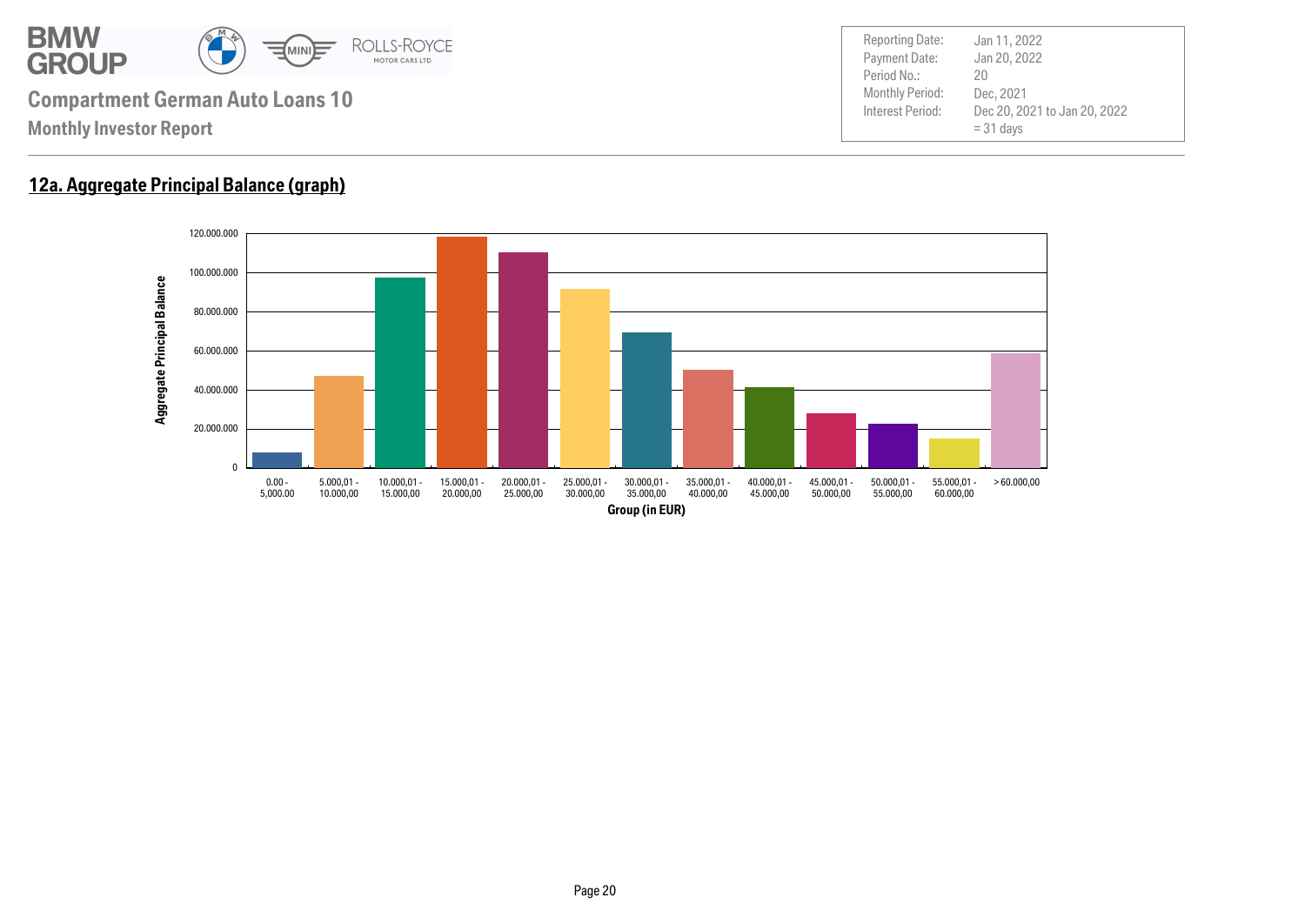![](_page_19_Picture_0.jpeg)

### **12a. Aggregate Principal Balance (graph)**

![](_page_19_Figure_2.jpeg)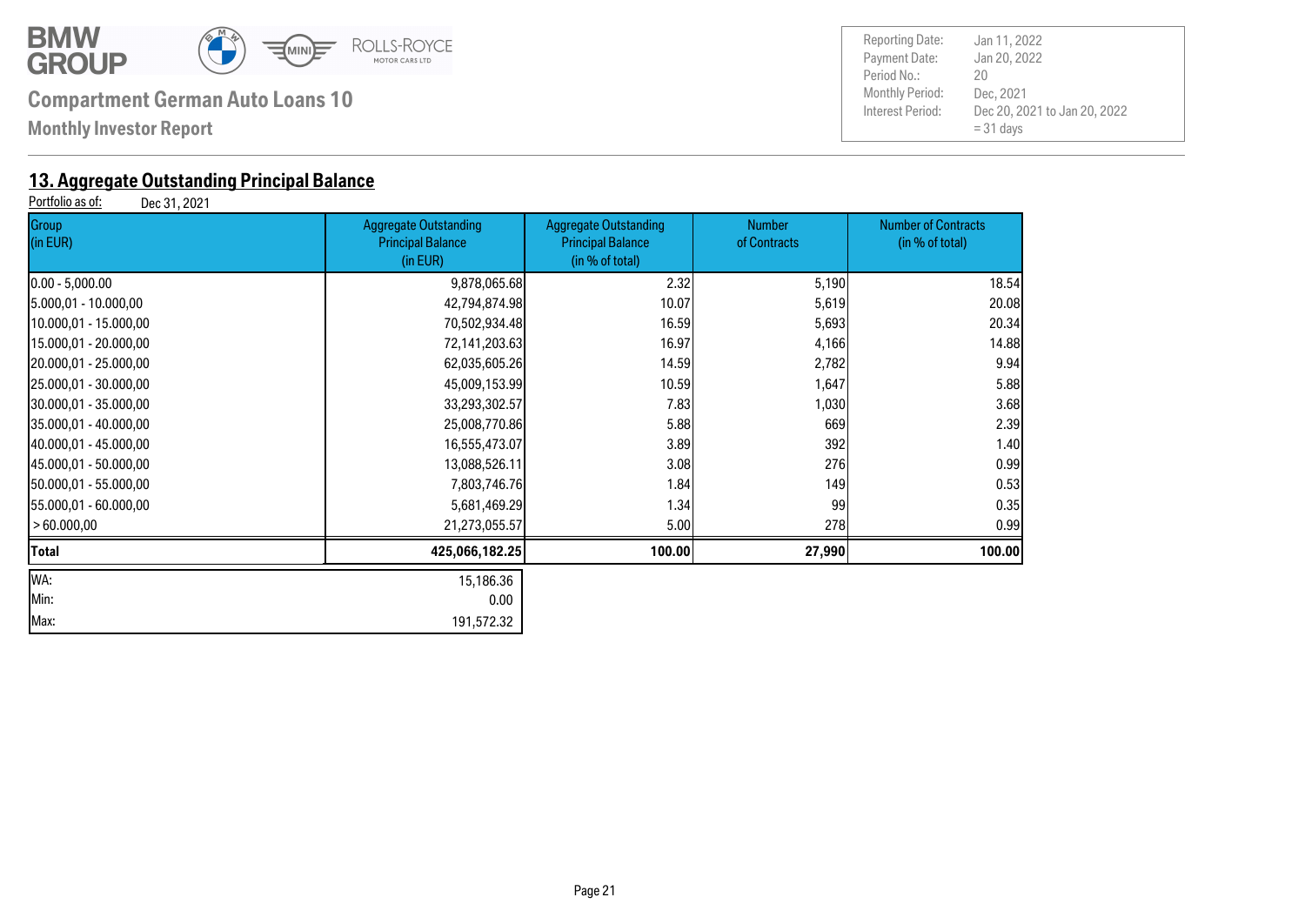![](_page_20_Picture_0.jpeg)

**Monthly Investor Report**

# **13. Aggregate Outstanding Principal Balance**<br>**Portfolio as of:** Dec 31, 2021

Dec 31, 2021

| Group<br>(in EUR)      | <b>Aggregate Outstanding</b><br><b>Principal Balance</b><br>(in EUR) | <b>Aggregate Outstanding</b><br><b>Principal Balance</b><br>(in % of total) | <b>Number</b><br>of Contracts | <b>Number of Contracts</b><br>(in % of total) |
|------------------------|----------------------------------------------------------------------|-----------------------------------------------------------------------------|-------------------------------|-----------------------------------------------|
| $0.00 - 5,000.00$      | 9,878,065.68                                                         | 2.32                                                                        | 5,190                         | 18.54                                         |
| 5.000,01 - 10.000,00   | 42,794,874.98                                                        | 10.07                                                                       | 5,619                         | 20.08                                         |
| 10.000,01 - 15.000,00  | 70,502,934.48                                                        | 16.59                                                                       | 5,693                         | 20.34                                         |
| 15.000,01 - 20.000,00  | 72,141,203.63                                                        | 16.97                                                                       | 4,166                         | 14.88                                         |
| 20.000,01 - 25.000,00  | 62,035,605.26                                                        | 14.59                                                                       | 2,782                         | 9.94                                          |
| 25.000,01 - 30.000,00  | 45,009,153.99                                                        | 10.59                                                                       | 1,647                         | 5.88                                          |
| 30.000,01 - 35.000,00  | 33,293,302.57                                                        | 7.83                                                                        | 1,030                         | 3.68                                          |
| 35.000,01 - 40.000,00  | 25,008,770.86                                                        | 5.88                                                                        | 669                           | 2.39                                          |
| 140.000,01 - 45.000,00 | 16,555,473.07                                                        | 3.89                                                                        | 392                           | 1.40                                          |
| 45.000,01 - 50.000,00  | 13,088,526.11                                                        | 3.08                                                                        | 276                           | 0.99                                          |
| 50.000,01 - 55.000,00  | 7,803,746.76                                                         | 1.84                                                                        | 149                           | 0.53                                          |
| [55.000,01 - 60.000,00 | 5,681,469.29                                                         | 1.34                                                                        | 99                            | 0.35                                          |
| >60.000,00             | 21,273,055.57                                                        | 5.00                                                                        | 278                           | 0.99                                          |
| Total                  | 425,066,182.25                                                       | 100.00                                                                      | 27,990                        | 100.00                                        |
| WA:                    | 15,186.36                                                            |                                                                             |                               |                                               |
| Min:                   | 0.00                                                                 |                                                                             |                               |                                               |
| Max:                   | 191,572.32                                                           |                                                                             |                               |                                               |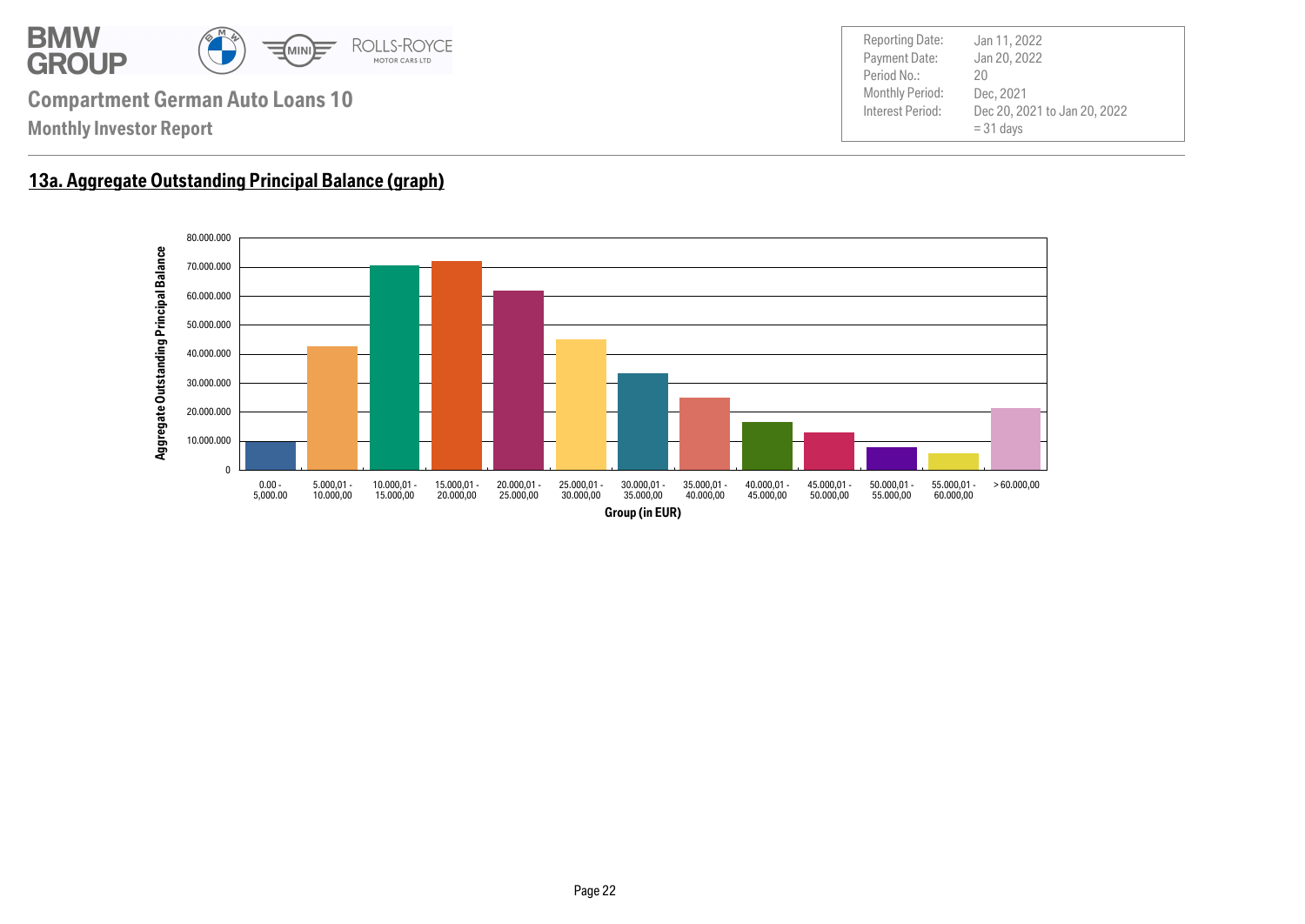![](_page_21_Picture_0.jpeg)

### **13a. Aggregate Outstanding Principal Balance (graph)**

![](_page_21_Figure_3.jpeg)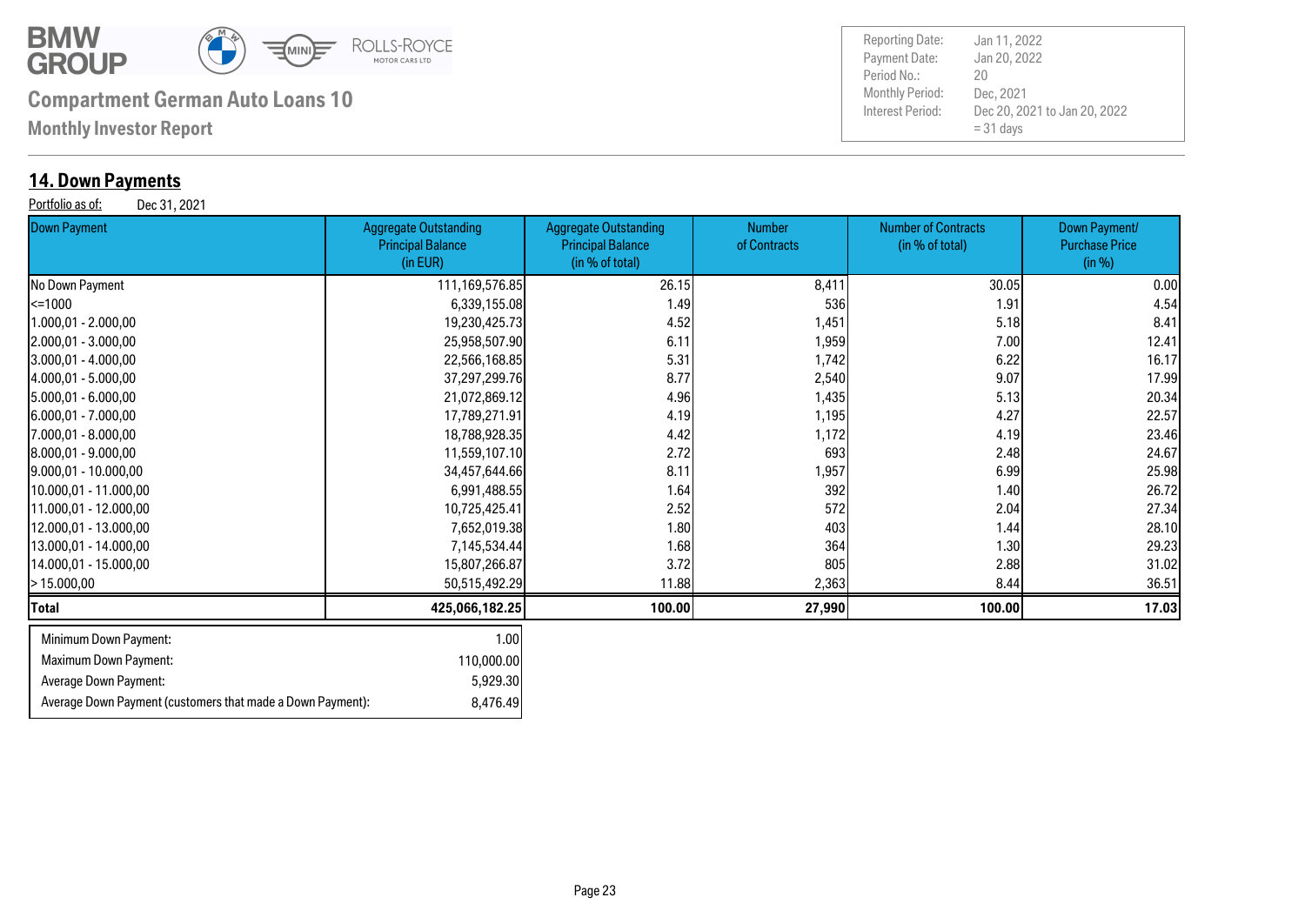![](_page_22_Picture_0.jpeg)

**Monthly Investor Report**

### **14. Down Payments**

Portfolio as of: Dec 31, 2021

| <b>Down Payment</b>                                        | <b>Aggregate Outstanding</b><br><b>Principal Balance</b><br>(in EUR) | <b>Aggregate Outstanding</b><br><b>Principal Balance</b><br>(in % of total) | <b>Number</b><br>of Contracts | <b>Number of Contracts</b><br>(in % of total) | Down Payment/<br><b>Purchase Price</b><br>(in %) |
|------------------------------------------------------------|----------------------------------------------------------------------|-----------------------------------------------------------------------------|-------------------------------|-----------------------------------------------|--------------------------------------------------|
| No Down Payment                                            | 111,169,576.85                                                       | 26.15                                                                       | 8,411                         | 30.05                                         | 0.00                                             |
| $\leq$ 1000                                                | 6,339,155.08                                                         | 1.49                                                                        | 536                           | 1.91                                          | 4.54                                             |
| 1.000,01 - 2.000,00                                        | 19,230,425.73                                                        | 4.52                                                                        | 1,451                         | 5.18                                          | 8.41                                             |
| 2.000,01 - 3.000,00                                        | 25,958,507.90                                                        | 6.11                                                                        | 1,959                         | 7.00                                          | 12.41                                            |
| 3.000,01 - 4.000,00                                        | 22,566,168.85                                                        | 5.31                                                                        | 1,742                         | 6.22                                          | 16.17                                            |
| 4.000,01 - 5.000,00                                        | 37,297,299.76                                                        | 8.77                                                                        | 2,540                         | 9.07                                          | 17.99                                            |
| $5.000,01 - 6.000,00$                                      | 21,072,869.12                                                        | 4.96                                                                        | 1,435                         | 5.13                                          | 20.34                                            |
| $[6.000, 01 - 7.000, 00]$                                  | 17,789,271.91                                                        | 4.19                                                                        | 1,195                         | 4.27                                          | 22.57                                            |
| 7.000,01 - 8.000,00                                        | 18,788,928.35                                                        | 4.42                                                                        | 1,172                         | 4.19                                          | 23.46                                            |
| 8.000,01 - 9.000,00                                        | 11,559,107.10                                                        | 2.72                                                                        | 693                           | 2.48                                          | 24.67                                            |
| $[9.000, 01 - 10.000, 00]$                                 | 34,457,644.66                                                        | 8.11                                                                        | 1,957                         | 6.99                                          | 25.98                                            |
| 10.000,01 - 11.000,00                                      | 6,991,488.55                                                         | 1.64                                                                        | 392                           | 1.40                                          | 26.72                                            |
| 11.000,01 - 12.000,00                                      | 10,725,425.41                                                        | 2.52                                                                        | 572                           | 2.04                                          | 27.34                                            |
| 12.000,01 - 13.000,00                                      | 7,652,019.38                                                         | 1.80                                                                        | 403                           | 1.44                                          | 28.10                                            |
| 13.000,01 - 14.000,00                                      | 7,145,534.44                                                         | 1.68                                                                        | 364                           | 1.30                                          | 29.23                                            |
| 14.000,01 - 15.000,00                                      | 15,807,266.87                                                        | 3.72                                                                        | 805                           | 2.88                                          | 31.02                                            |
| >15.000,00                                                 | 50,515,492.29                                                        | 11.88                                                                       | 2,363                         | 8.44                                          | 36.51                                            |
| <b>Total</b>                                               | 425,066,182.25                                                       | 100.00                                                                      | 27,990                        | 100.00                                        | 17.03                                            |
| Minimum Down Payment:                                      | 1.00                                                                 |                                                                             |                               |                                               |                                                  |
| Maximum Down Payment:                                      | 110,000.00                                                           |                                                                             |                               |                                               |                                                  |
| Average Down Payment:                                      | 5,929.30                                                             |                                                                             |                               |                                               |                                                  |
| Average Down Payment (customers that made a Down Payment): | 8,476.49                                                             |                                                                             |                               |                                               |                                                  |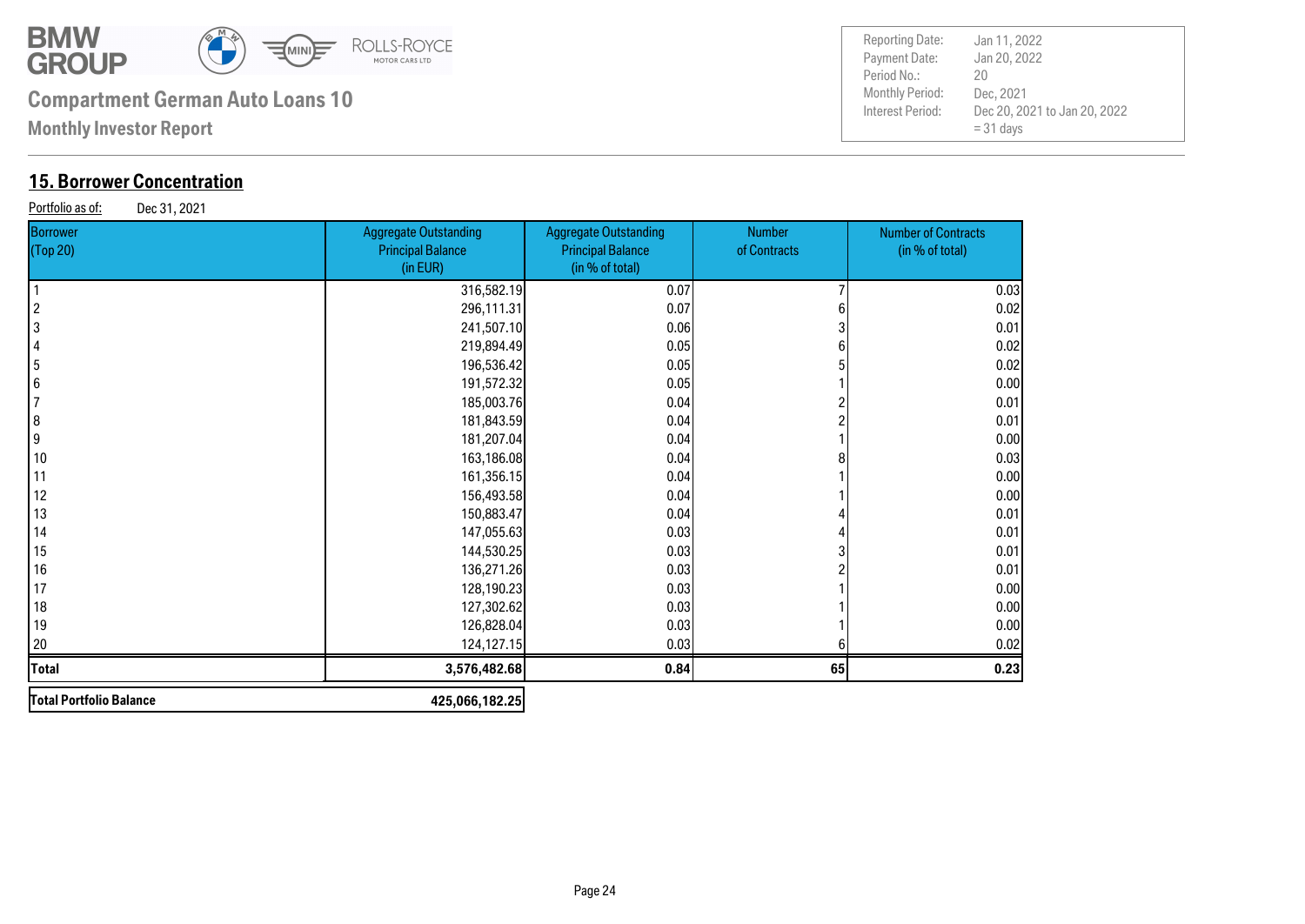![](_page_23_Picture_0.jpeg)

**Monthly Investor Report**

### **15. Borrower Concentration**

Portfolio as of: Dec 31, 2021

| <b>Borrower</b><br>(Top 20) | <b>Aggregate Outstanding</b><br><b>Principal Balance</b><br>(in EUR) | <b>Aggregate Outstanding</b><br><b>Principal Balance</b><br>(in % of total) | Number<br>of Contracts | <b>Number of Contracts</b><br>(in % of total) |
|-----------------------------|----------------------------------------------------------------------|-----------------------------------------------------------------------------|------------------------|-----------------------------------------------|
|                             | 316,582.19                                                           | 0.07                                                                        |                        | 0.03                                          |
| $\overline{c}$              | 296,111.31                                                           | 0.07                                                                        |                        | 0.02                                          |
| 3                           | 241,507.10                                                           | 0.06                                                                        |                        | 0.01                                          |
|                             | 219,894.49                                                           | 0.05                                                                        |                        | 0.02                                          |
| 5                           | 196,536.42                                                           | 0.05                                                                        |                        | 0.02                                          |
| 6                           | 191,572.32                                                           | 0.05                                                                        |                        | 0.00                                          |
|                             | 185,003.76                                                           | 0.04                                                                        |                        | 0.01                                          |
| 8                           | 181,843.59                                                           | 0.04                                                                        |                        | 0.01                                          |
| 9                           | 181,207.04                                                           | 0.04                                                                        |                        | 0.00                                          |
| 10                          | 163,186.08                                                           | 0.04                                                                        |                        | 0.03                                          |
| 11                          | 161,356.15                                                           | 0.04                                                                        |                        | 0.00                                          |
| 12                          | 156,493.58                                                           | 0.04                                                                        |                        | 0.00                                          |
| 13                          | 150,883.47                                                           | 0.04                                                                        |                        | 0.01                                          |
| 14                          | 147,055.63                                                           | 0.03                                                                        |                        | 0.01                                          |
| 15                          | 144,530.25                                                           | 0.03                                                                        |                        | 0.01                                          |
| 16                          | 136,271.26                                                           | 0.03                                                                        |                        | 0.01                                          |
| 17                          | 128,190.23                                                           | 0.03                                                                        |                        | 0.00                                          |
| 18                          | 127,302.62                                                           | 0.03                                                                        |                        | 0.00                                          |
| 19                          | 126,828.04                                                           | 0.03                                                                        |                        | 0.00                                          |
| 20                          | 124,127.15                                                           | 0.03                                                                        |                        | 0.02                                          |
| <b>Total</b>                | 3,576,482.68                                                         | 0.84                                                                        | 65                     | 0.23                                          |
| Total Portfolio Balance     | 425,066,182.25                                                       |                                                                             |                        |                                               |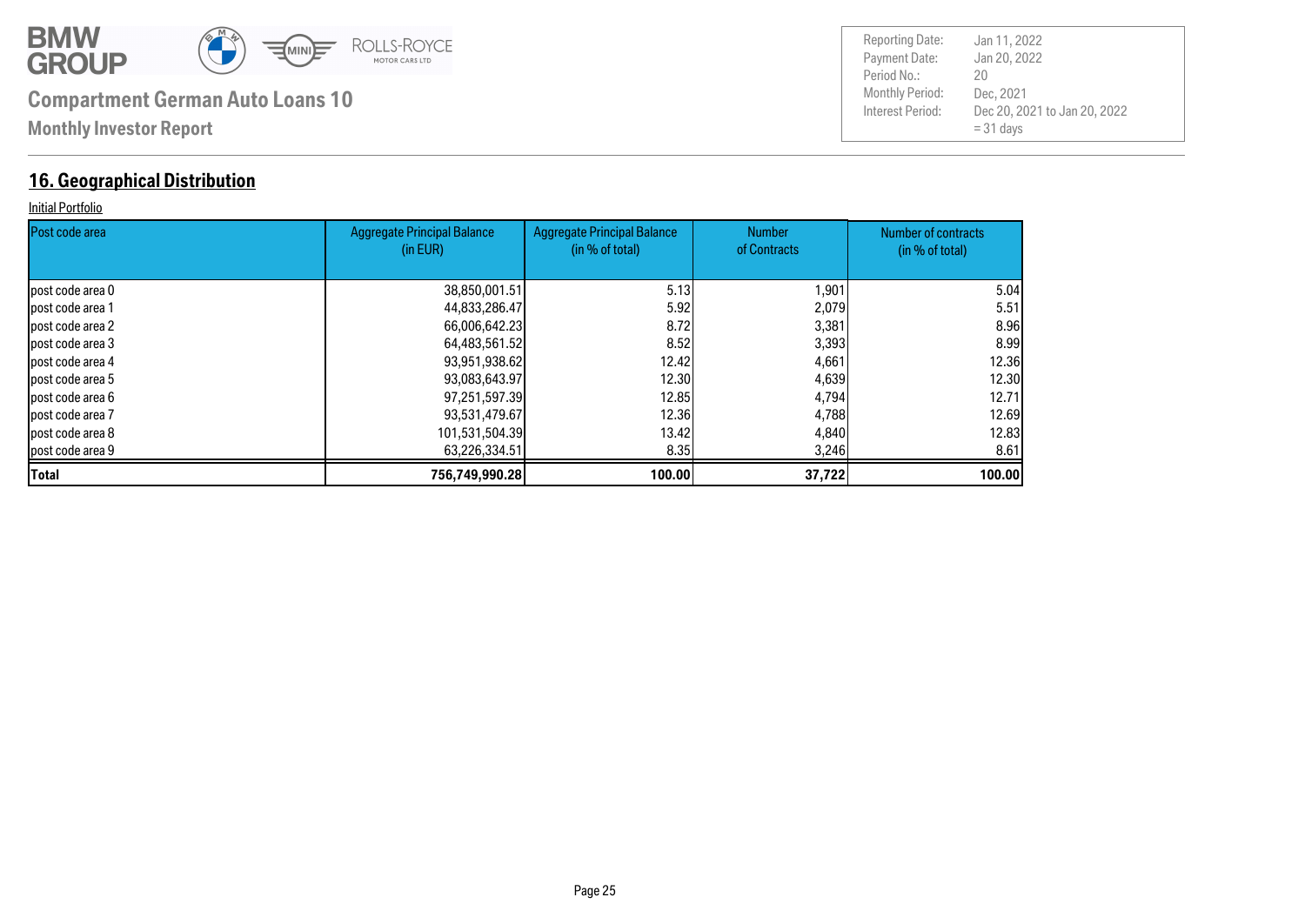![](_page_24_Picture_0.jpeg)

### **16. Geographical Distribution**

#### Initial Portfolio

| Post code area    | Aggregate Principal Balance<br>(in EUR) | <b>Aggregate Principal Balance</b><br>(in % of total) | <b>Number</b><br>of Contracts | Number of contracts<br>(in % of total) |
|-------------------|-----------------------------------------|-------------------------------------------------------|-------------------------------|----------------------------------------|
|                   |                                         |                                                       |                               |                                        |
| lpost code area 0 | 38,850,001.51                           | 5.13                                                  | 1,901                         | 5.04                                   |
| lpost code area 1 | 44,833,286.47                           | 5.92                                                  | 2,079                         | 5.51                                   |
| post code area 2  | 66,006,642.23                           | 8.72                                                  | 3,381                         | 8.96                                   |
| post code area 3  | 64,483,561.52                           | 8.52                                                  | 3,393                         | 8.99                                   |
| lpost code area 4 | 93,951,938.62                           | 12.42l                                                | 4,661                         | 12.36                                  |
| lpost code area 5 | 93,083,643.97                           | 12.30                                                 | 4,639                         | 12.30                                  |
| lpost code area 6 | 97,251,597.39                           | 12.85                                                 | 4,794                         | 12.71                                  |
| lpost code area 7 | 93,531,479.67                           | 12.36                                                 | 4,788                         | 12.69                                  |
| lpost code area 8 | 101,531,504.39                          | 13.42I                                                | 4,840                         | 12,83                                  |
| post code area 9  | 63,226,334.51                           | 8.35                                                  | 3,246                         | 8.61                                   |
| <b>Total</b>      | 756,749,990.28                          | 100.00                                                | 37,722                        | 100.00                                 |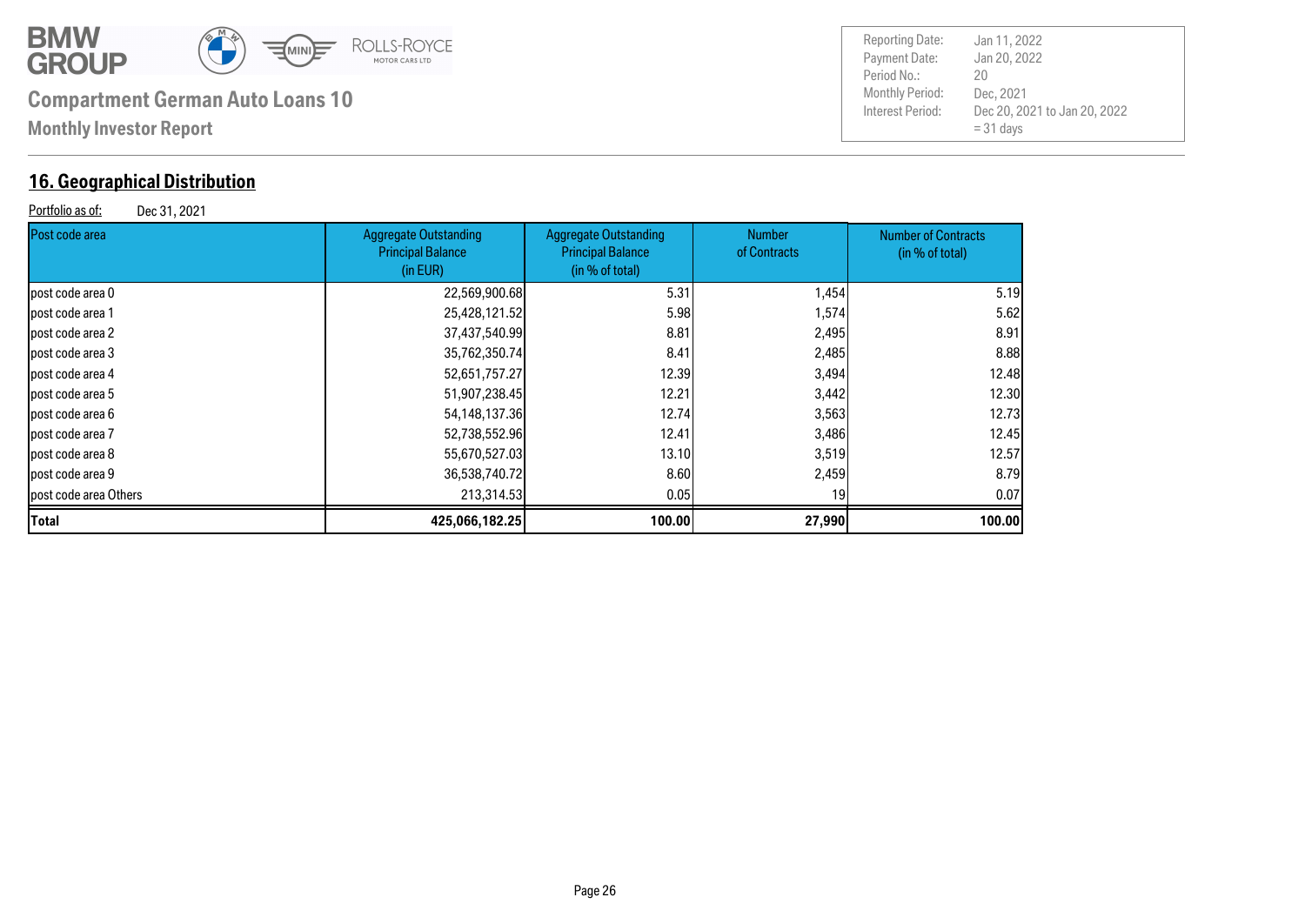![](_page_25_Picture_0.jpeg)

### **16. Geographical Distribution**

Portfolio as of: Dec 31, 2021

| <b>Reporting Date:</b> | Jan 11, 2022                 |
|------------------------|------------------------------|
| Payment Date:          | Jan 20, 2022                 |
| Period No.:            | 20                           |
| <b>Monthly Period:</b> | Dec. 2021                    |
| Interest Period:       | Dec 20, 2021 to Jan 20, 2022 |
|                        | $= 31$ days                  |

| Post code area         | <b>Aggregate Outstanding</b><br><b>Principal Balance</b><br>(in EUR) | <b>Aggregate Outstanding</b><br><b>Principal Balance</b><br>(in % of total) | <b>Number</b><br>of Contracts | <b>Number of Contracts</b><br>(in % of total) |
|------------------------|----------------------------------------------------------------------|-----------------------------------------------------------------------------|-------------------------------|-----------------------------------------------|
| lpost code area 0      | 22,569,900.68                                                        | 5.31                                                                        | 1,454                         | 5.19                                          |
| post code area 1       | 25,428,121.52                                                        | 5.98                                                                        | 1,574                         | 5.62                                          |
| post code area 2       | 37,437,540.99                                                        | 8.81                                                                        | 2,495                         | 8.91                                          |
| post code area 3       | 35,762,350.74                                                        | 8.41                                                                        | 2,485                         | 8.88                                          |
| post code area 4       | 52,651,757.27                                                        | 12.39                                                                       | 3,494                         | 12.48                                         |
| post code area 5       | 51,907,238.45                                                        | 12.21                                                                       | 3,442                         | 12.30                                         |
| post code area 6       | 54,148,137.36                                                        | 12.74                                                                       | 3,563                         | 12.73                                         |
| lpost code area 7      | 52,738,552.96                                                        | 12.41                                                                       | 3,486                         | 12.45                                         |
| post code area 8       | 55,670,527.03                                                        | 13.10                                                                       | 3,519                         | 12.57                                         |
| post code area 9       | 36,538,740.72                                                        | 8.60                                                                        | 2,459                         | 8.79                                          |
| lpost code area Others | 213,314.53                                                           | 0.05                                                                        | 19                            | 0.07                                          |
| <b>Total</b>           | 425,066,182.25                                                       | 100.00                                                                      | 27,990                        | 100.00                                        |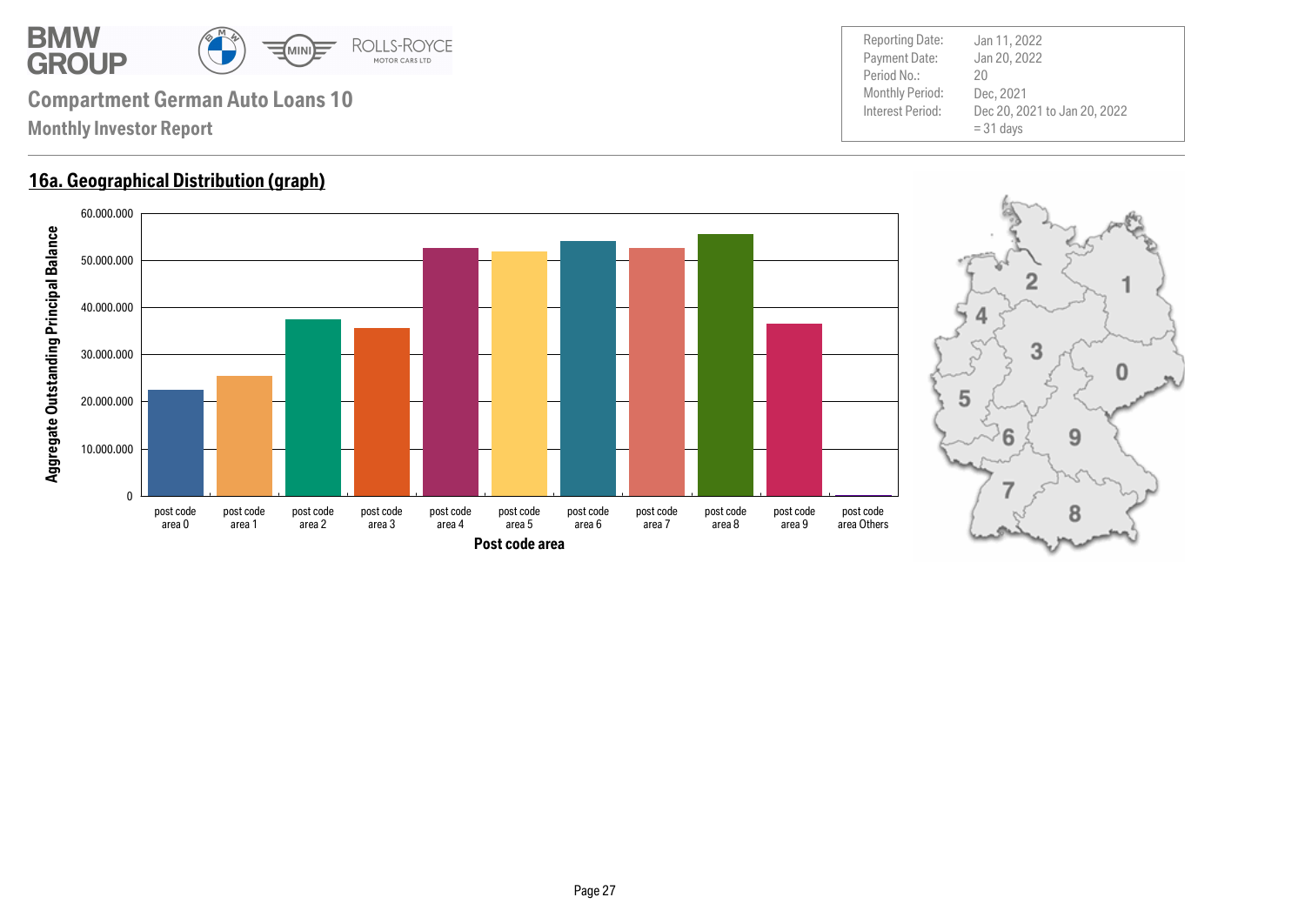![](_page_26_Picture_0.jpeg)

### **16a. Geographical Distribution (graph)**

![](_page_26_Figure_3.jpeg)

![](_page_26_Figure_5.jpeg)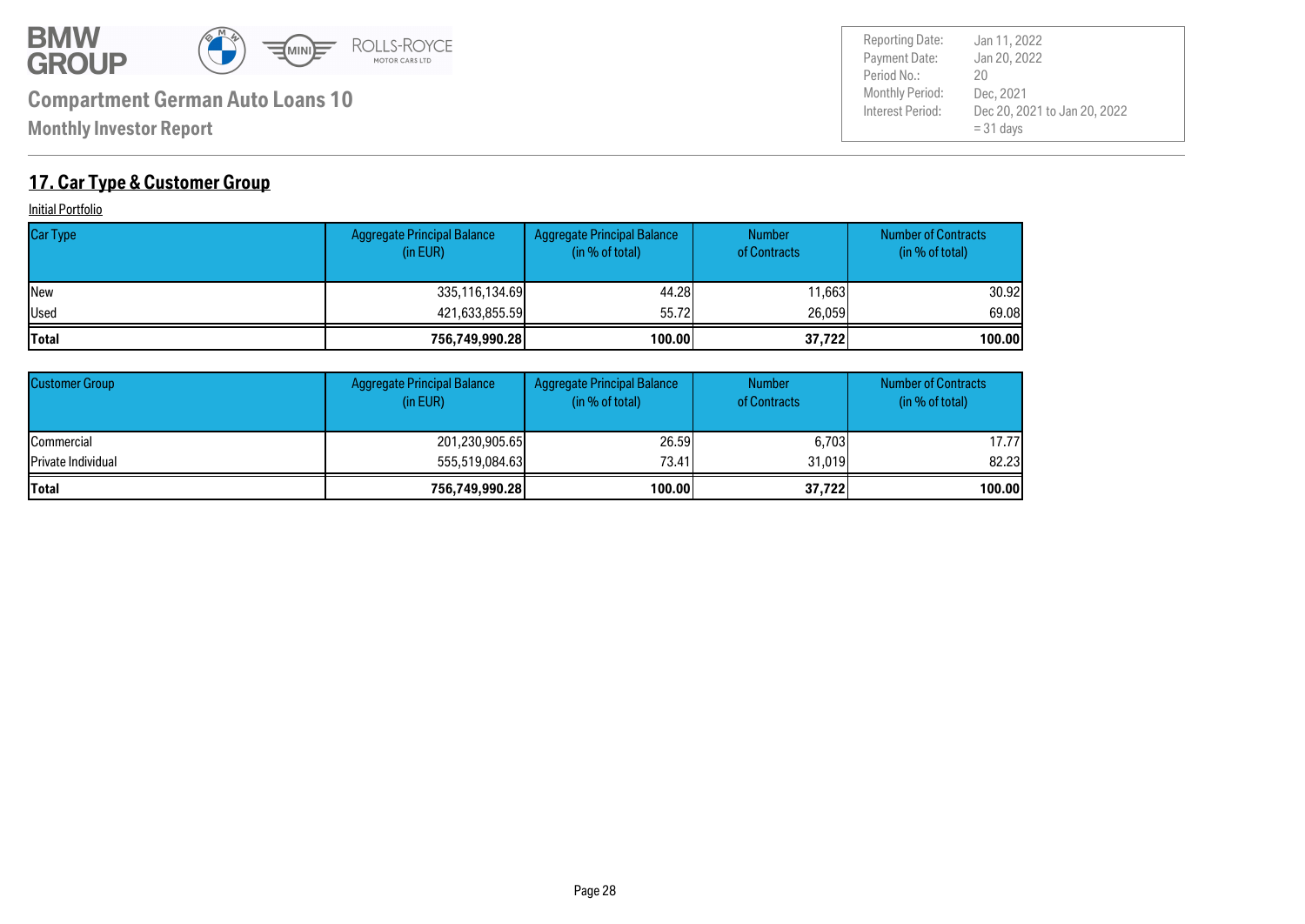![](_page_27_Picture_0.jpeg)

Payment Date: Period No.: Dec 20, 2021 to Jan 20, 2022  $= 31$  days Jan 20, 2022 Dec, 2021 20 Reporting Date: Jan 11, 2022

### **17. Car Type & Customer Group**

**Initial Portfolio** 

| <b>Car Type</b> | <b>Aggregate Principal Balance</b><br>(in EUR) | Aggregate Principal Balance<br>(in % of total) | <b>Number</b><br>of Contracts | <b>Number of Contracts</b><br>(in % of total) |
|-----------------|------------------------------------------------|------------------------------------------------|-------------------------------|-----------------------------------------------|
| <b>INew</b>     | 335,116,134.69                                 | 44.28                                          | 11.663                        | 30.92l                                        |
| Used            | 421,633,855.59                                 | 55.72                                          | 26,059                        | 69.08                                         |
| <b>Total</b>    | 756,749,990.28                                 | 100.00                                         | 37,722                        | 100.00                                        |

| <b>Customer Group</b>      | <b>Aggregate Principal Balance</b><br>(in EUR) | Aggregate Principal Balance<br>(in % of total) | <b>Number</b><br>of Contracts | <b>Number of Contracts</b><br>(in % of total) |
|----------------------------|------------------------------------------------|------------------------------------------------|-------------------------------|-----------------------------------------------|
| <b>ICommercial</b>         | 201,230,905.65                                 | 26,59                                          | 6,703                         | 17.77l                                        |
| <b>IPrivate Individual</b> | 555,519,084,63                                 | 73.41                                          | 31.019                        | 82.23                                         |
| <b>Total</b>               | 756,749,990.28                                 | 100.00                                         | 37,722                        | 100.00                                        |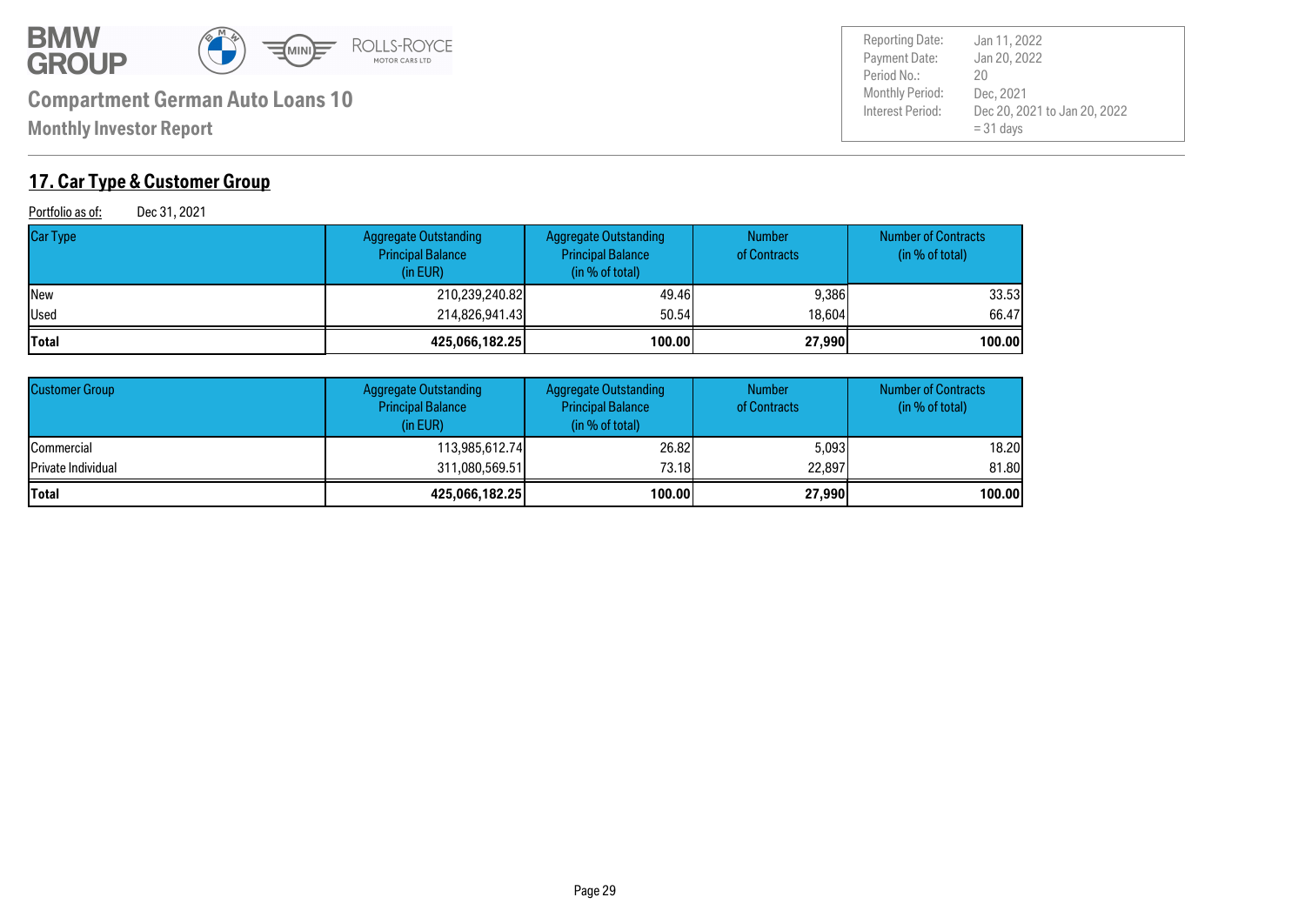![](_page_28_Picture_0.jpeg)

**Monthly Investor Report**

### **17. Car Type & Customer Group**

Portfolio as of: Dec 31, 2021

| <b>Car Type</b> | Aggregate Outstanding<br><b>Principal Balance</b><br>(in EUR) | <b>Aggregate Outstanding</b><br><b>Principal Balance</b><br>(in % of total) | <b>Number</b><br>of Contracts | <b>Number of Contracts</b><br>(in % of total) |
|-----------------|---------------------------------------------------------------|-----------------------------------------------------------------------------|-------------------------------|-----------------------------------------------|
| <b>New</b>      | 210,239,240.82                                                | 49.46                                                                       | 9,386                         | 33.53                                         |
| Used            | 214,826,941.43                                                | 50,54                                                                       | 18,604                        | 66.47                                         |
| Total           | 425,066,182.25                                                | 100.00                                                                      | 27,990                        | 100.00                                        |

| <b>Customer Group</b>      | <b>Aggregate Outstanding</b><br><b>Principal Balance</b><br>(in EUR) | <b>Aggregate Outstanding</b><br><b>Principal Balance</b><br>(in % of total) | <b>Number</b><br>of Contracts | <b>Number of Contracts</b><br>(in % of total) |
|----------------------------|----------------------------------------------------------------------|-----------------------------------------------------------------------------|-------------------------------|-----------------------------------------------|
| <b>Commercial</b>          | 113,985,612.74                                                       | 26,82                                                                       | 5.0931                        | 18.20                                         |
| <b>IPrivate Individual</b> | 311,080,569.51                                                       | 73.18l                                                                      | 22,897                        | 81,80                                         |
| <b>Total</b>               | 425,066,182.25                                                       | 100.00                                                                      | 27,990                        | 100.00                                        |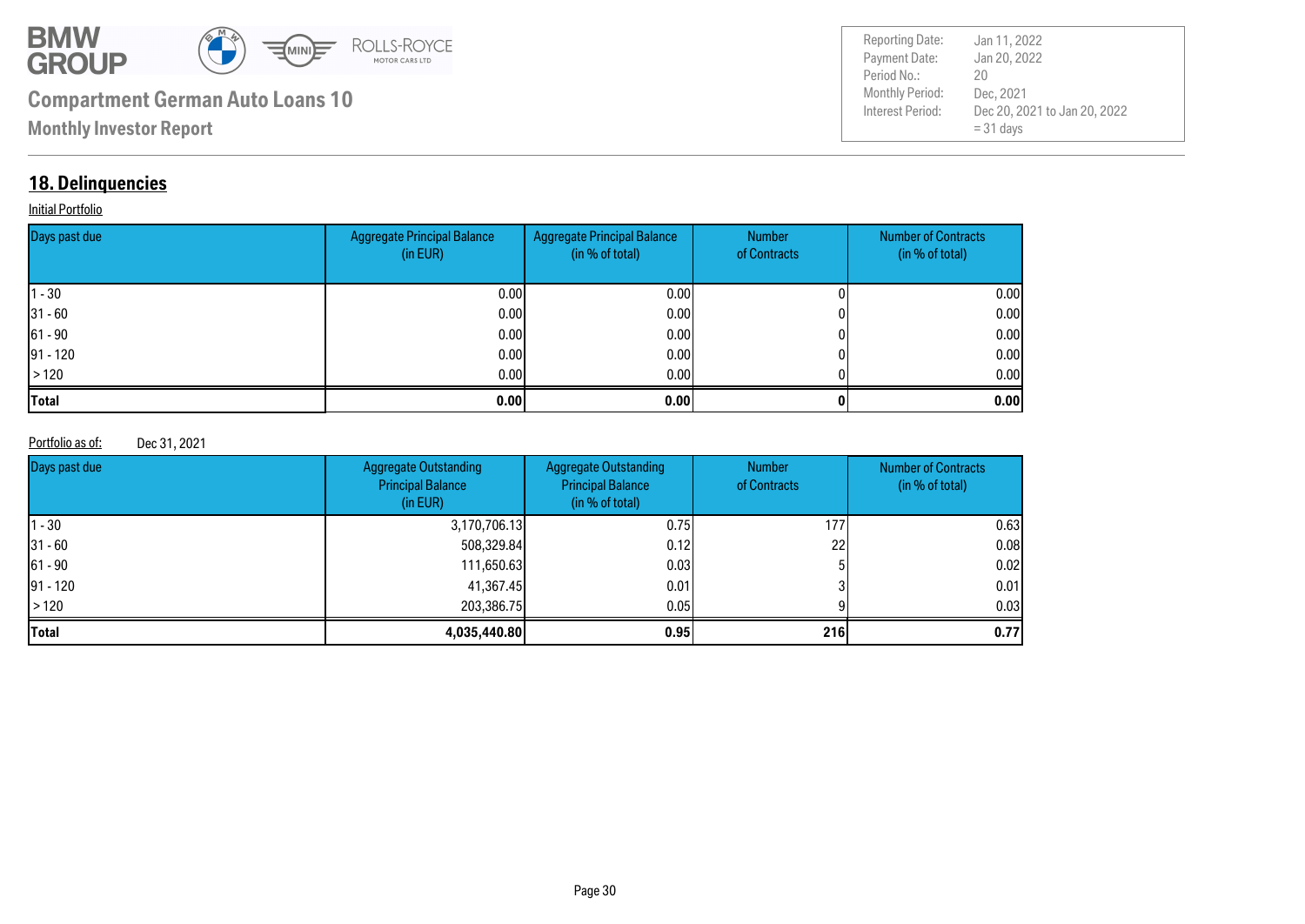![](_page_29_Picture_0.jpeg)

Payment Date: Period No.: Dec 20, 2021 to Jan 20, 2022  $= 31$  days Jan 20, 2022 Dec, 2021 20 Reporting Date: Jan 11, 2022

### **18. Delinquencies**

#### **Initial Portfolio**

| Days past due | <b>Aggregate Principal Balance</b><br>(in EUR) | Aggregate Principal Balance<br>(in % of total) | Number<br>of Contracts | <b>Number of Contracts</b><br>(in % of total) |
|---------------|------------------------------------------------|------------------------------------------------|------------------------|-----------------------------------------------|
| $ 1 - 30 $    | 0.00                                           | 0.00 <sub>l</sub>                              |                        | 0.00                                          |
| $ 31 - 60 $   | 0.00                                           | 0.001                                          |                        | 0.00                                          |
| $ 61 - 90 $   | 0.00                                           | 0.001                                          |                        | 0.00                                          |
| $ 91 - 120 $  | 0.00                                           | 0.001                                          |                        | 0.00                                          |
| >120          | 0.00                                           | 0.001                                          |                        | 0.00                                          |
| <b>Total</b>  | 0.00                                           | 0.00                                           |                        | 0.00                                          |

#### Portfolio as of: Dec 31, 2021

| Days past due | <b>Aggregate Outstanding</b><br><b>Principal Balance</b><br>(in EUR) | <b>Aggregate Outstanding</b><br><b>Principal Balance</b><br>(in % of total) | <b>Number</b><br>of Contracts | <b>Number of Contracts</b><br>(in % of total) |
|---------------|----------------------------------------------------------------------|-----------------------------------------------------------------------------|-------------------------------|-----------------------------------------------|
| $ 1 - 30 $    | 3,170,706.13                                                         | 0.751                                                                       | 1771                          | 0.63                                          |
| $31 - 60$     | 508,329.84                                                           | 0.12                                                                        | 22I                           | 0.08                                          |
| $ 61 - 90 $   | 111,650.63                                                           | 0.031                                                                       |                               | 0.02                                          |
| $91 - 120$    | 41,367.45                                                            | 0.01                                                                        |                               | 0.01                                          |
| $\vert$ > 120 | 203,386,75                                                           | 0.05 <sub>l</sub>                                                           |                               | 0.03                                          |
| <b>Total</b>  | 4,035,440.80                                                         | 0.95                                                                        | 216                           | 0.77                                          |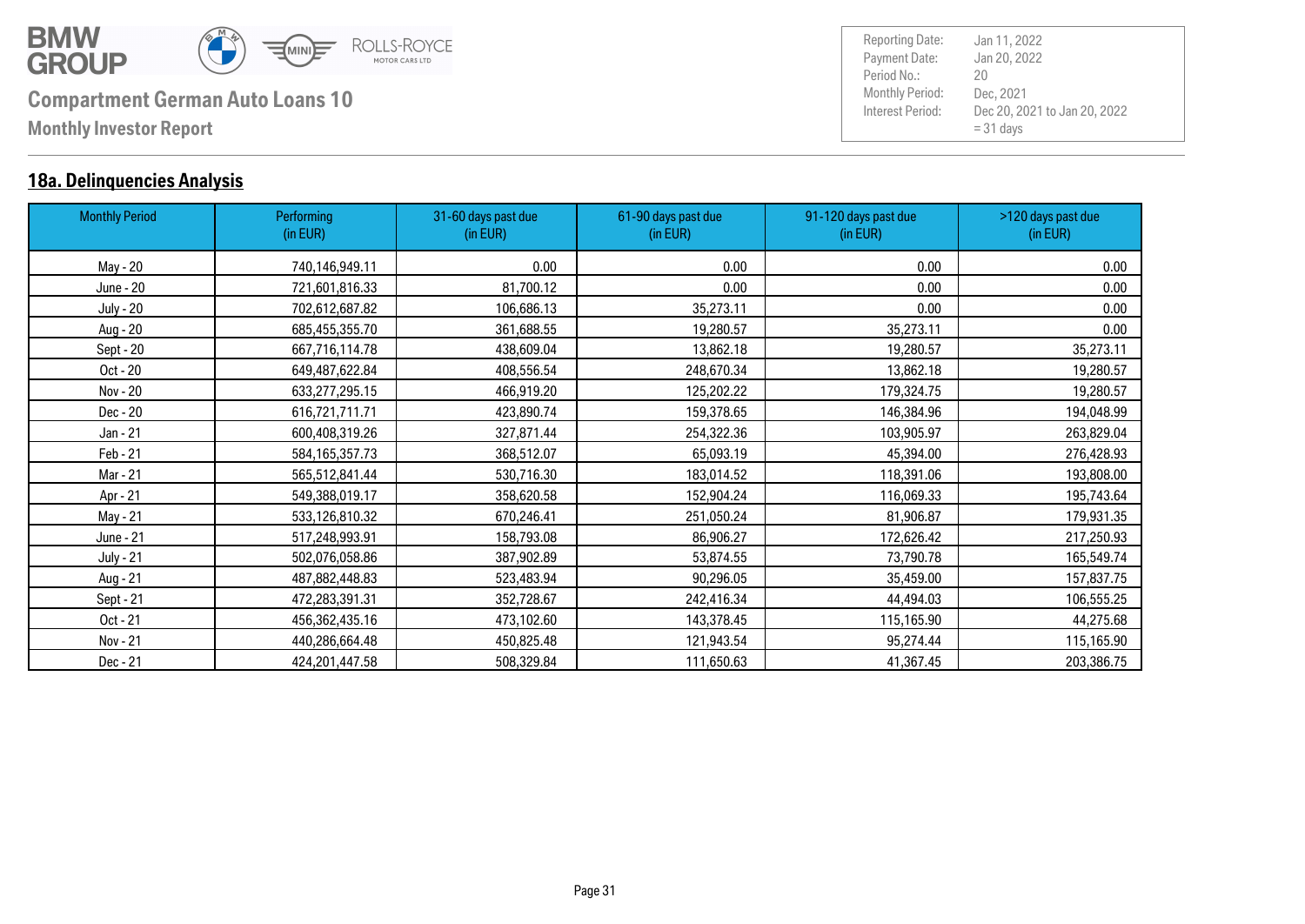![](_page_30_Picture_0.jpeg)

### **18a. Delinquencies Analysis**

| <b>Monthly Period</b> | Performing<br>(in EUR) | 31-60 days past due<br>(in EUR) | 61-90 days past due<br>(in EUR) | 91-120 days past due<br>(in EUR) | >120 days past due<br>(in EUR) |
|-----------------------|------------------------|---------------------------------|---------------------------------|----------------------------------|--------------------------------|
| May - 20              | 740,146,949.11         | 0.00                            | 0.00                            | 0.00                             | 0.00                           |
| June - 20             | 721,601,816.33         | 81,700.12                       | 0.00                            | 0.00                             | 0.00                           |
| <b>July - 20</b>      | 702,612,687.82         | 106,686.13                      | 35,273.11                       | 0.00                             | 0.00                           |
| Aug - 20              | 685,455,355.70         | 361,688.55                      | 19,280.57                       | 35,273.11                        | 0.00                           |
| Sept - 20             | 667,716,114.78         | 438,609.04                      | 13,862.18                       | 19,280.57                        | 35,273.11                      |
| Oct - 20              | 649,487,622.84         | 408,556.54                      | 248,670.34                      | 13,862.18                        | 19,280.57                      |
| Nov - 20              | 633,277,295.15         | 466,919.20                      | 125,202.22                      | 179,324.75                       | 19,280.57                      |
| Dec - 20              | 616,721,711.71         | 423,890.74                      | 159,378.65                      | 146,384.96                       | 194,048.99                     |
| Jan - 21              | 600,408,319.26         | 327,871.44                      | 254,322.36                      | 103,905.97                       | 263,829.04                     |
| Feb - 21              | 584, 165, 357. 73      | 368,512.07                      | 65,093.19                       | 45,394.00                        | 276,428.93                     |
| Mar - 21              | 565,512,841.44         | 530,716.30                      | 183,014.52                      | 118,391.06                       | 193,808.00                     |
| Apr - 21              | 549,388,019.17         | 358,620.58                      | 152,904.24                      | 116,069.33                       | 195,743.64                     |
| May - 21              | 533,126,810.32         | 670,246.41                      | 251,050.24                      | 81,906.87                        | 179,931.35                     |
| June - 21             | 517,248,993.91         | 158,793.08                      | 86,906.27                       | 172,626.42                       | 217,250.93                     |
| <b>July - 21</b>      | 502,076,058.86         | 387,902.89                      | 53,874.55                       | 73,790.78                        | 165,549.74                     |
| Aug - 21              | 487,882,448.83         | 523,483.94                      | 90,296.05                       | 35,459.00                        | 157,837.75                     |
| Sept - 21             | 472,283,391.31         | 352,728.67                      | 242,416.34                      | 44,494.03                        | 106,555.25                     |
| Oct - 21              | 456,362,435.16         | 473,102.60                      | 143,378.45                      | 115,165.90                       | 44,275.68                      |
| Nov - 21              | 440,286,664.48         | 450,825.48                      | 121,943.54                      | 95,274.44                        | 115,165.90                     |
| Dec - 21              | 424,201,447.58         | 508,329.84                      | 111,650.63                      | 41,367.45                        | 203,386.75                     |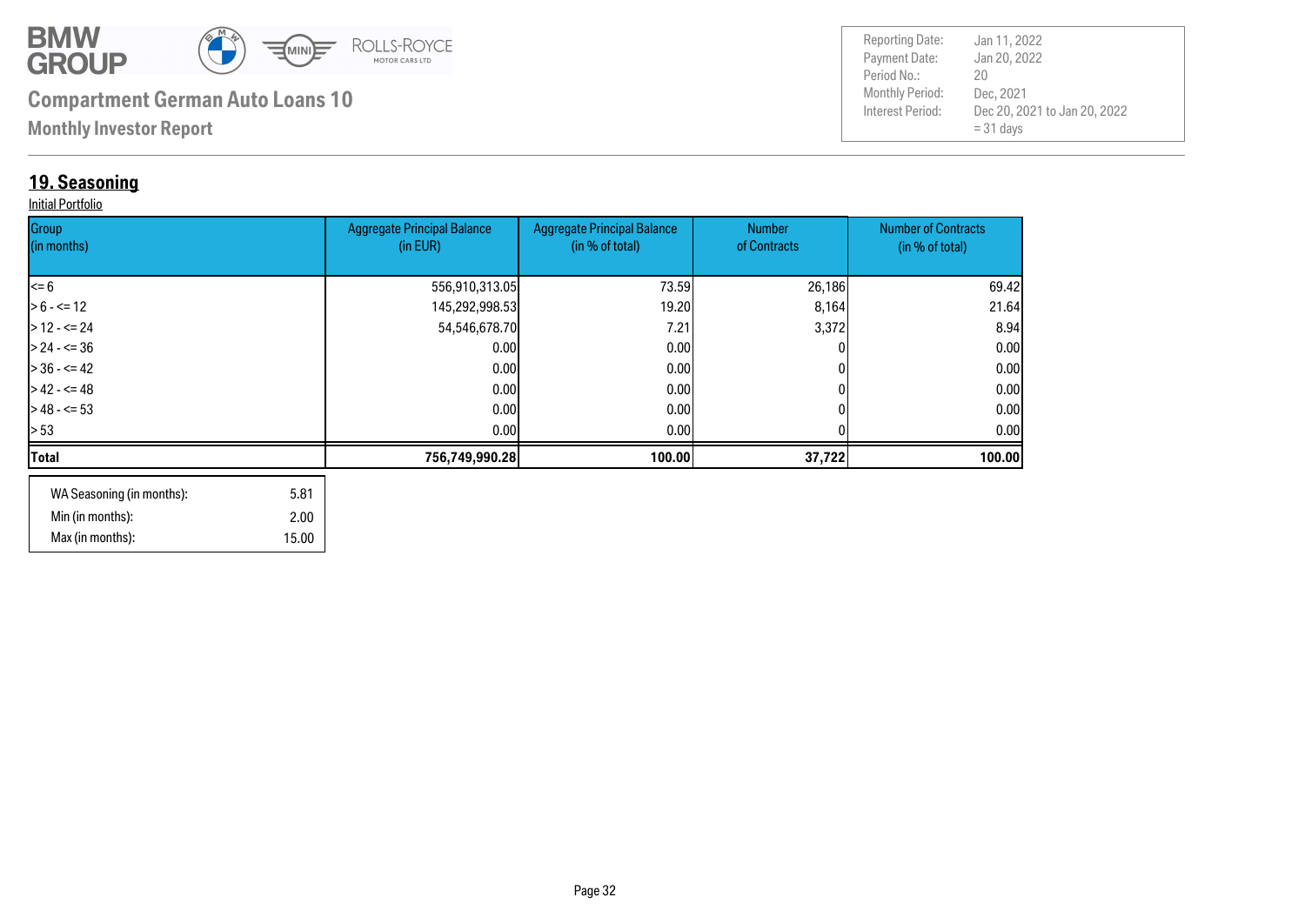![](_page_31_Picture_0.jpeg)

**Monthly Investor Report**

### **19. Seasoning**

#### Initial Portfolio

| Group<br>(in months) | <b>Aggregate Principal Balance</b><br>(in EUR) | <b>Aggregate Principal Balance</b><br>(in % of total) | <b>Number</b><br>of Contracts | <b>Number of Contracts</b><br>(in % of total) |
|----------------------|------------------------------------------------|-------------------------------------------------------|-------------------------------|-----------------------------------------------|
|                      |                                                |                                                       |                               |                                               |
| $\leq 6$             | 556,910,313.05                                 | 73.59                                                 | 26,186                        | 69.42                                         |
| $> 6 - \le 12$       | 145,292,998.53                                 | 19.20                                                 | 8,164                         | 21.64                                         |
| $>12 - 5 = 24$       | 54,546,678.70                                  | 7.21                                                  | 3,372                         | 8.94                                          |
| $> 24 - 5 = 36$      | 0.00                                           | 0.00                                                  |                               | 0.00                                          |
| $> 36 - 5 = 42$      | 0.00                                           | 0.00 <sub>l</sub>                                     |                               | 0.00                                          |
| $>42 - 5 = 48$       | 0.00                                           | 0.00 <sub>l</sub>                                     |                               | 0.00                                          |
| $>$ 48 - <= 53       | 0.001                                          | 0.001                                                 |                               | 0.00                                          |
| > 53                 | 0.00                                           | 0.001                                                 |                               | 0.00 <sub>l</sub>                             |
| Total                | 756,749,990.28                                 | 100.00                                                | 37,722                        | 100.00                                        |
|                      |                                                |                                                       |                               |                                               |

| WA Seasoning (in months): | 5.81  |
|---------------------------|-------|
| Min (in months):          | 2.00  |
| Max (in months):          | 15.00 |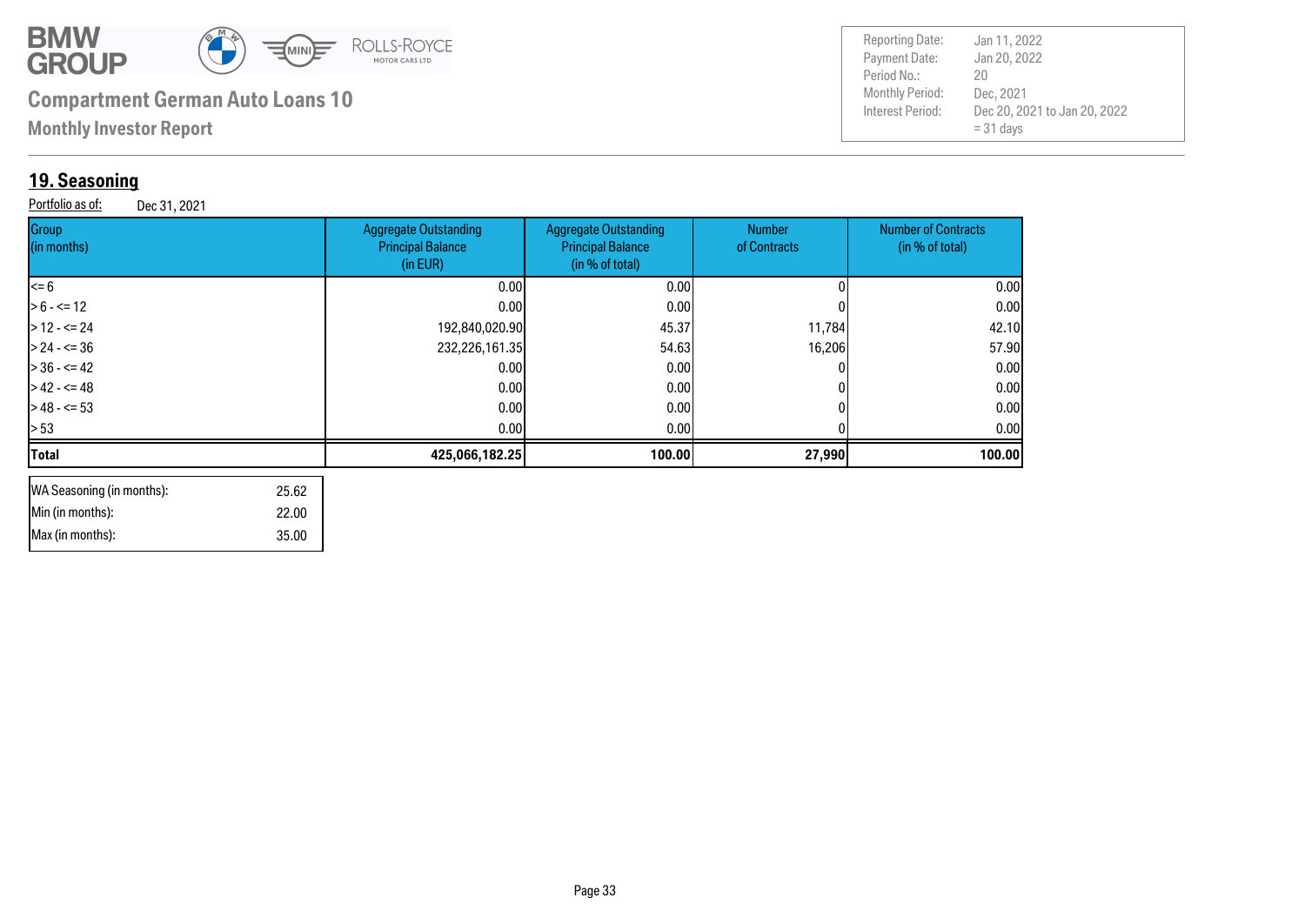![](_page_32_Picture_0.jpeg)

 35.00 22.00

# **Compartment German Auto Loans 10**

**Monthly Investor Report**

### **19. Seasoning**

 Min (in months): Max (in months):

Portfolio as of: Dec 31, 2021

| <b>Reporting Date:</b><br>Jan 11, 2022           |  |
|--------------------------------------------------|--|
| Payment Date:<br>Jan 20, 2022                    |  |
| Period No.:<br>20                                |  |
| Monthly Period:<br>Dec. 2021                     |  |
| Interest Period:<br>Dec 20, 2021 to Jan 20, 2022 |  |
| $= 31$ days                                      |  |
|                                                  |  |

| Group<br>(in months)      | <b>Aggregate Outstanding</b><br><b>Principal Balance</b><br>(in EUR) | <b>Aggregate Outstanding</b><br><b>Principal Balance</b><br>(in % of total) | Number<br>of Contracts | <b>Number of Contracts</b><br>(in % of total) |
|---------------------------|----------------------------------------------------------------------|-----------------------------------------------------------------------------|------------------------|-----------------------------------------------|
| <= 6                      | 0.00                                                                 | 0.00                                                                        |                        | 0.00                                          |
| $> 6 - \le 12$            | 0.00                                                                 | 0.001                                                                       |                        | 0.00                                          |
| $>$ 12 - <= 24            | 192,840,020.90                                                       | 45.37                                                                       | 11,784                 | 42.10                                         |
| $> 24 - 5 = 36$           | 232,226,161.35                                                       | 54.63                                                                       | 16,206                 | 57.90                                         |
| $>$ 36 - <= 42            | 0.00                                                                 | 0.00                                                                        |                        | 0.00                                          |
| $>42 - 548$               | 0.00                                                                 | 0.00                                                                        |                        | 0.00                                          |
| $>48 - 53$                | 0.00                                                                 | 0.00                                                                        |                        | 0.00                                          |
| > 53                      | 0.00                                                                 | 0.00                                                                        |                        | 0.00                                          |
| Total                     | 425,066,182.25                                                       | 100.00                                                                      | 27,990                 | 100.00                                        |
| WA Seasoning (in months): | 25.62                                                                |                                                                             |                        |                                               |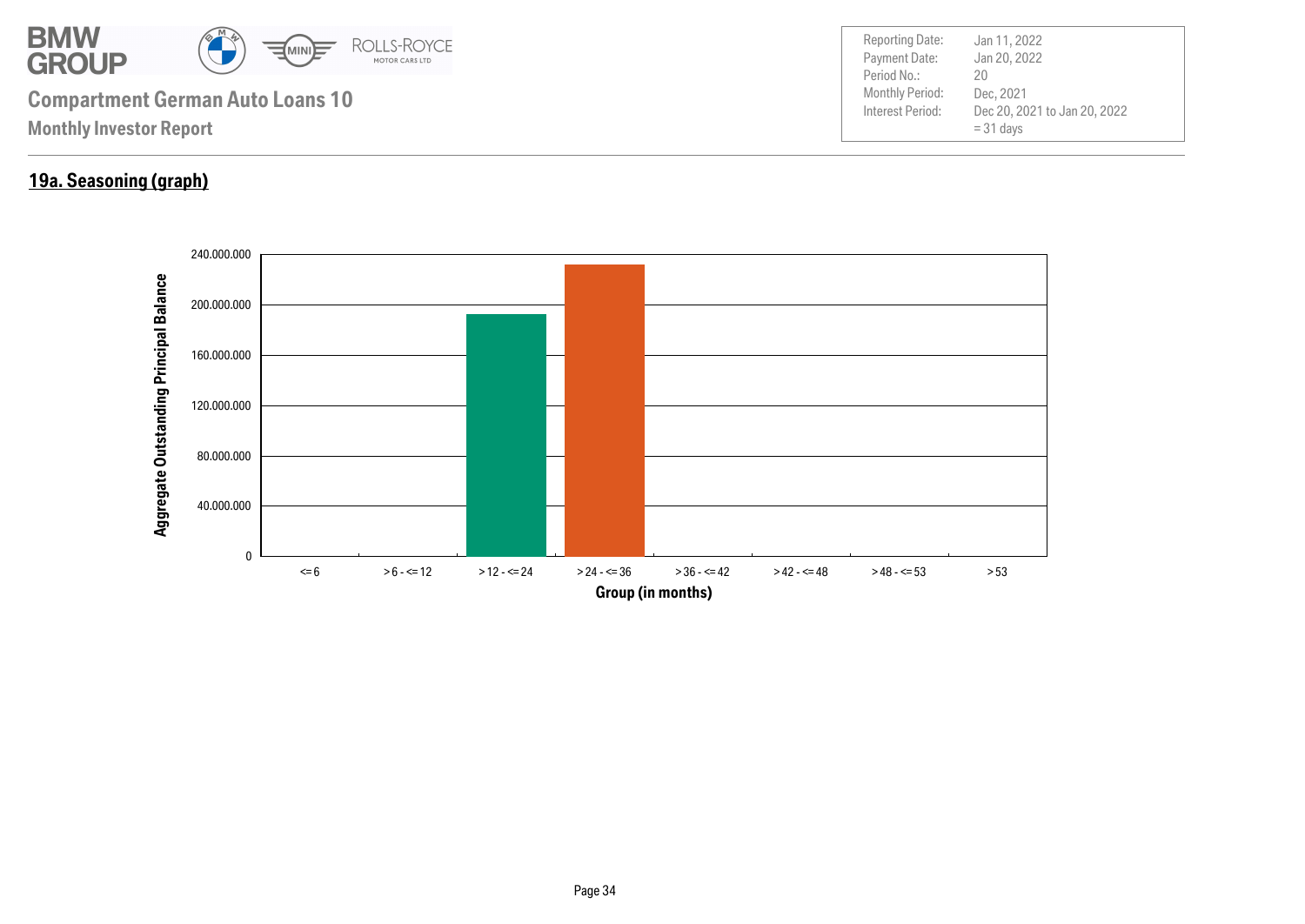![](_page_33_Picture_0.jpeg)

### **19a. Seasoning (graph)**

![](_page_33_Figure_2.jpeg)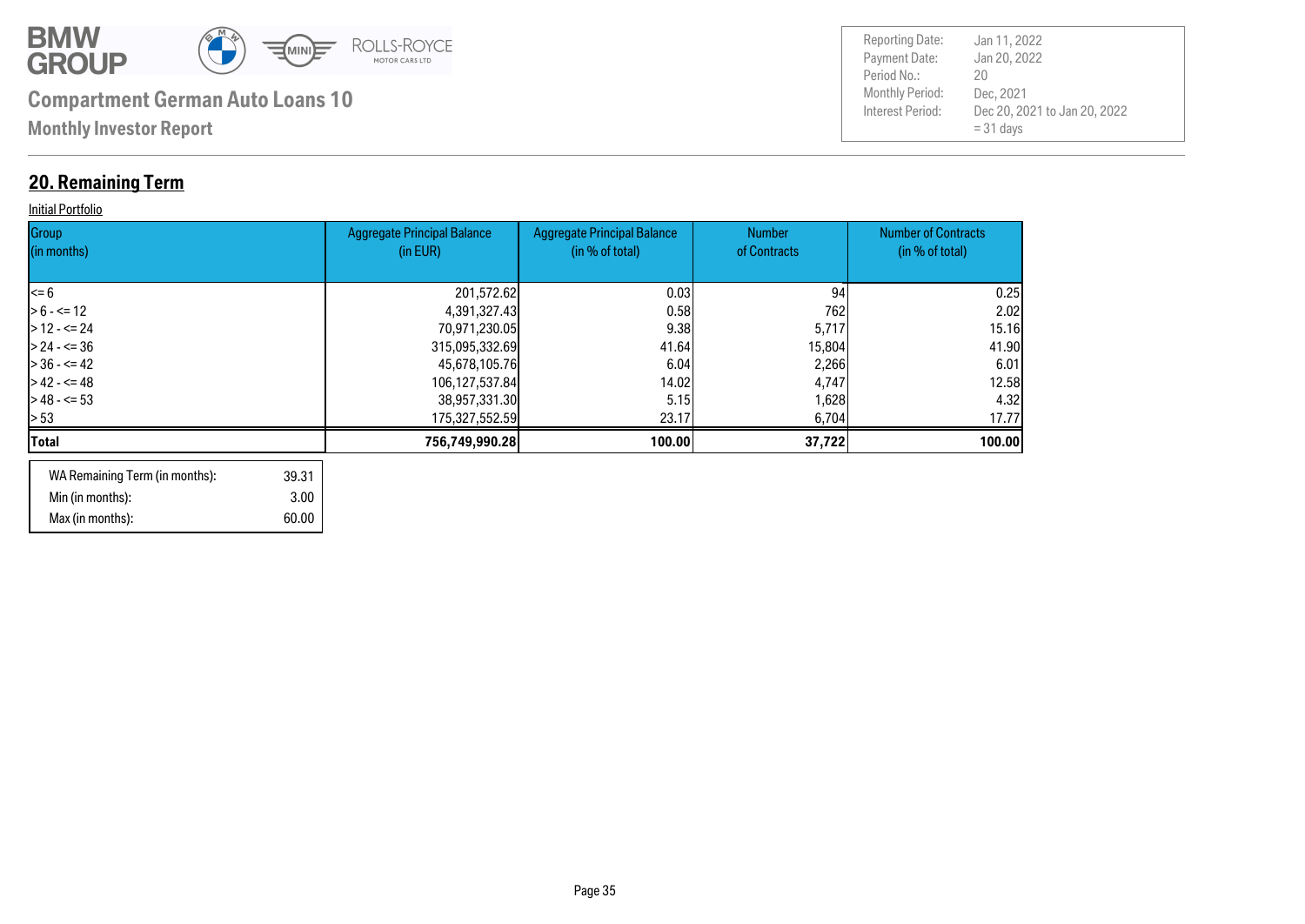![](_page_34_Picture_0.jpeg)

## **20. Remaining Term**

#### **Initial Portfolio**

| Group<br>(in months) | <b>Aggregate Principal Balance</b><br>(in EUR) | <b>Aggregate Principal Balance</b><br>(in % of total) | <b>Number</b><br>of Contracts | <b>Number of Contracts</b><br>(in % of total) |
|----------------------|------------------------------------------------|-------------------------------------------------------|-------------------------------|-----------------------------------------------|
| l<= 6                | 201,572.62                                     | 0.03                                                  | 94                            | 0.25                                          |
| $> 6 - \le 12$       | 4,391,327.43                                   | 0.58                                                  | 762                           | 2.02                                          |
| $>12 - 524$          | 70,971,230.05                                  | 9.38                                                  | 5,717                         | 15.16                                         |
| $> 24 - 5 = 36$      | 315,095,332.69                                 | 41.64                                                 | 15,804                        | 41.90                                         |
| $> 36 - 5 = 42$      | 45,678,105.76                                  | 6.04                                                  | 2,266                         | 6.01                                          |
| $> 42 - 5 = 48$      | 106,127,537.84                                 | 14.02                                                 | 4,747                         | 12.58                                         |
| $> 48 - 53$          | 38,957,331.30                                  | 5.15                                                  | 1,628                         | 4.32                                          |
| > 53                 | 175,327,552.59                                 | 23.17                                                 | 6,704                         | 17.77                                         |
| Total                | 756,749,990.28                                 | 100.00                                                | 37,722                        | 100.00                                        |
|                      |                                                |                                                       |                               |                                               |

| WA Remaining Term (in months): | 39.31 |
|--------------------------------|-------|
| Min (in months):               | 3.00  |
| Max (in months):               | 60.00 |

| <b>Reporting Date:</b><br>Payment Date:<br>Period No.: | Jan 11, 2022<br>Jan 20, 2022<br>20                       |
|--------------------------------------------------------|----------------------------------------------------------|
| Monthly Period:<br>Interest Period:                    | Dec, 2021<br>Dec 20, 2021 to Jan 20, 2022<br>$= 31$ days |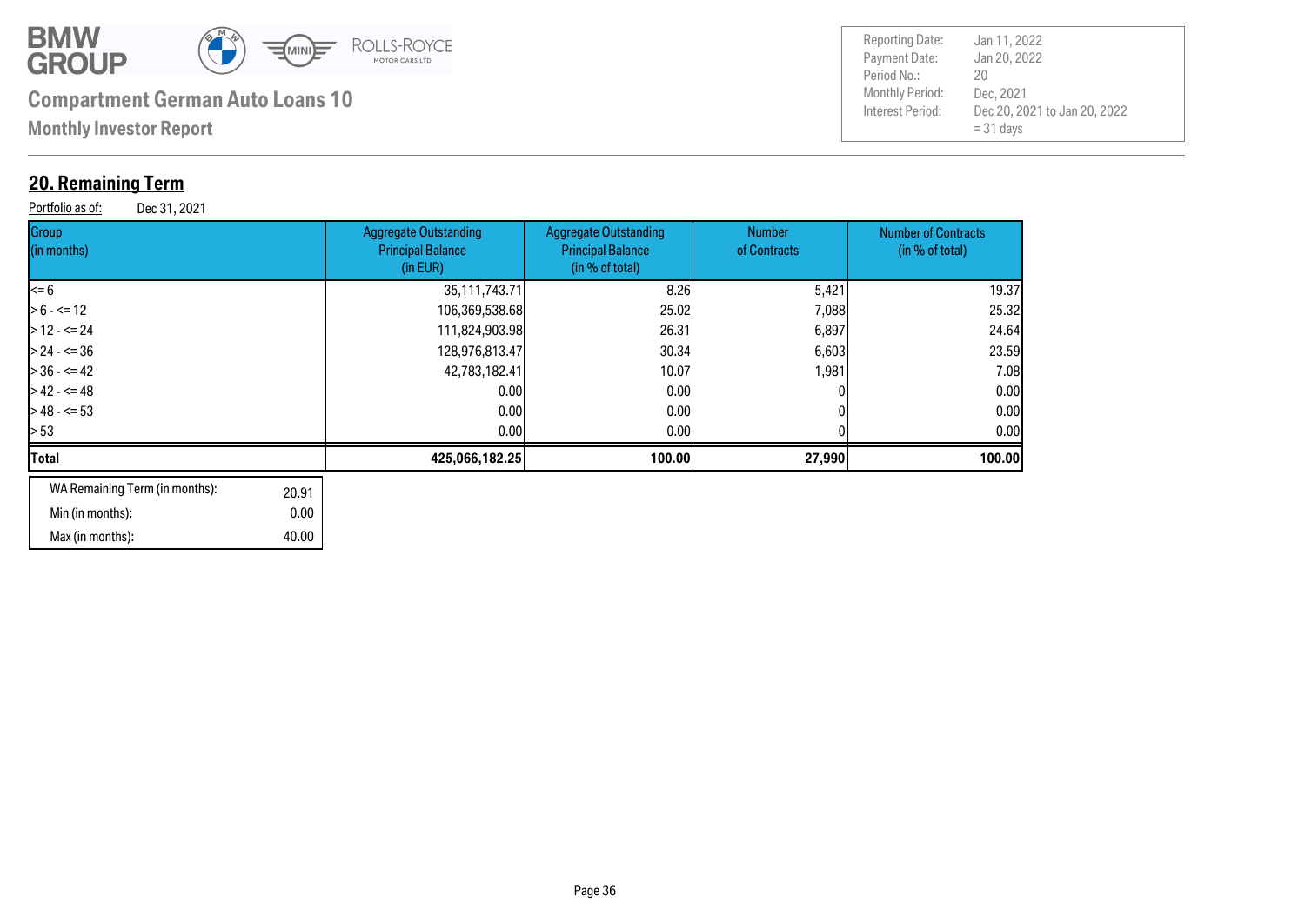![](_page_35_Picture_0.jpeg)

**Monthly Investor Report**

### **20. Remaining Term**

Portfolio as of: Dec 31, 2021

| Group<br>(in months)                    | <b>Aggregate Outstanding</b><br><b>Principal Balance</b><br>(in EUR) | <b>Aggregate Outstanding</b><br><b>Principal Balance</b><br>(in % of total) | <b>Number</b><br>of Contracts | <b>Number of Contracts</b><br>(in % of total) |
|-----------------------------------------|----------------------------------------------------------------------|-----------------------------------------------------------------------------|-------------------------------|-----------------------------------------------|
| <= 6                                    | 35,111,743.71                                                        | 8.26                                                                        | 5,421                         | 19.37                                         |
| $> 6 - \le 12$                          | 106,369,538.68                                                       | 25.02                                                                       | 7,088                         | 25.32                                         |
| $>$ 12 - <= 24                          | 111,824,903.98                                                       | 26.31                                                                       | 6,897                         | 24.64                                         |
| > 24 - <= 36                            | 128,976,813.47                                                       | 30.34                                                                       | 6,603                         | 23.59                                         |
| $>$ 36 - <= 42                          | 42,783,182.41                                                        | 10.07                                                                       | 1,981                         | 7.08                                          |
| > 42 - <= 48                            | 0.00                                                                 | 0.00 <sub>l</sub>                                                           |                               | 0.00                                          |
| > 48 - <= 53                            | 0.00                                                                 | 0.00                                                                        |                               | 0.00                                          |
| > 53                                    | 0.00                                                                 | 0.00                                                                        |                               | 0.00                                          |
| Total                                   | 425,066,182.25                                                       | 100.00                                                                      | 27,990                        | 100.00                                        |
| WA Remaining Term (in months):<br>20.91 |                                                                      |                                                                             |                               |                                               |

| WA REINAINING TEHTI (IN MONUS). | 20.91 |
|---------------------------------|-------|
| Min (in months):                | 0.00  |
| Max (in months):                | 40.00 |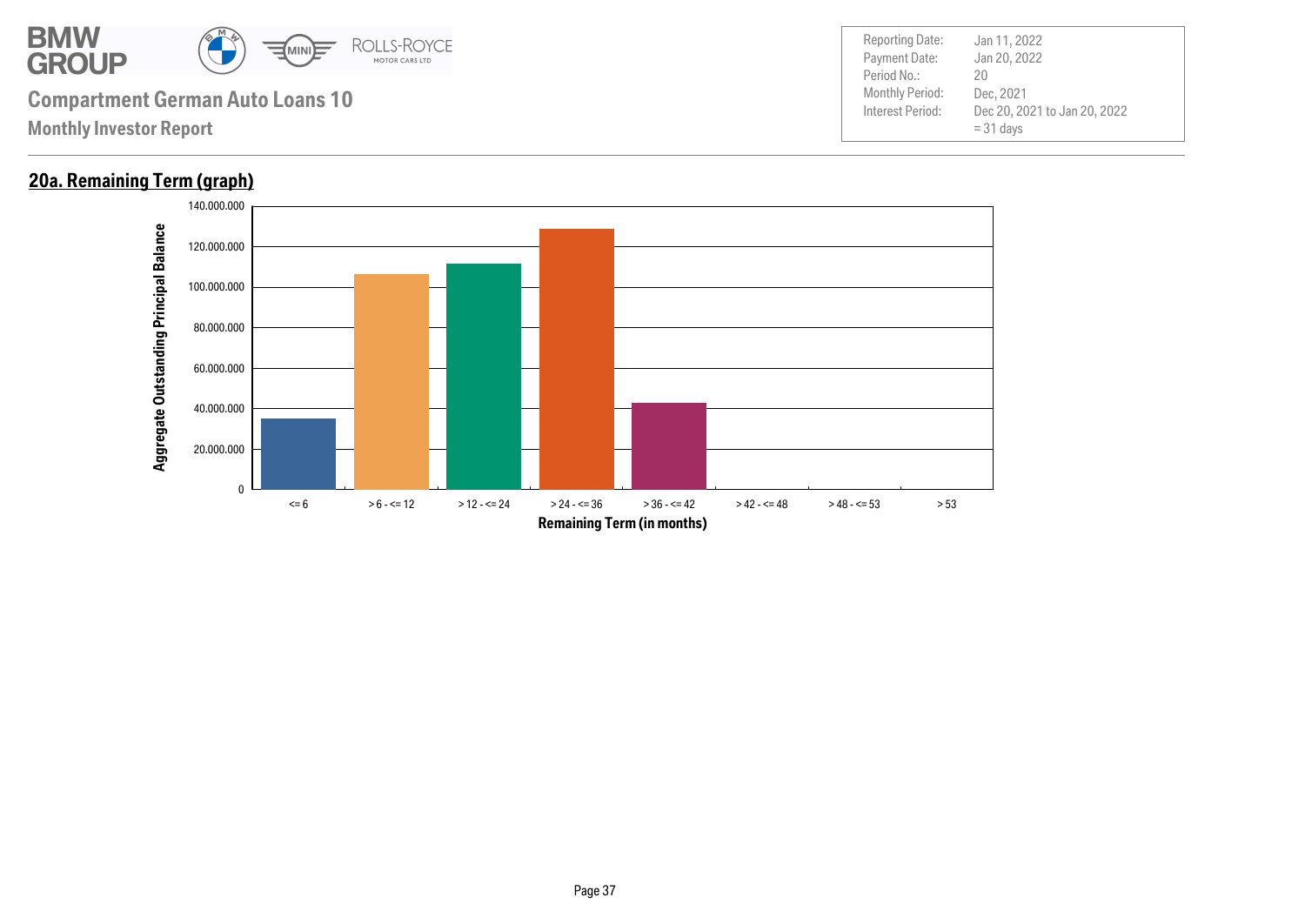![](_page_36_Picture_0.jpeg)

### **20a. Remaining Term (graph)**

![](_page_36_Figure_3.jpeg)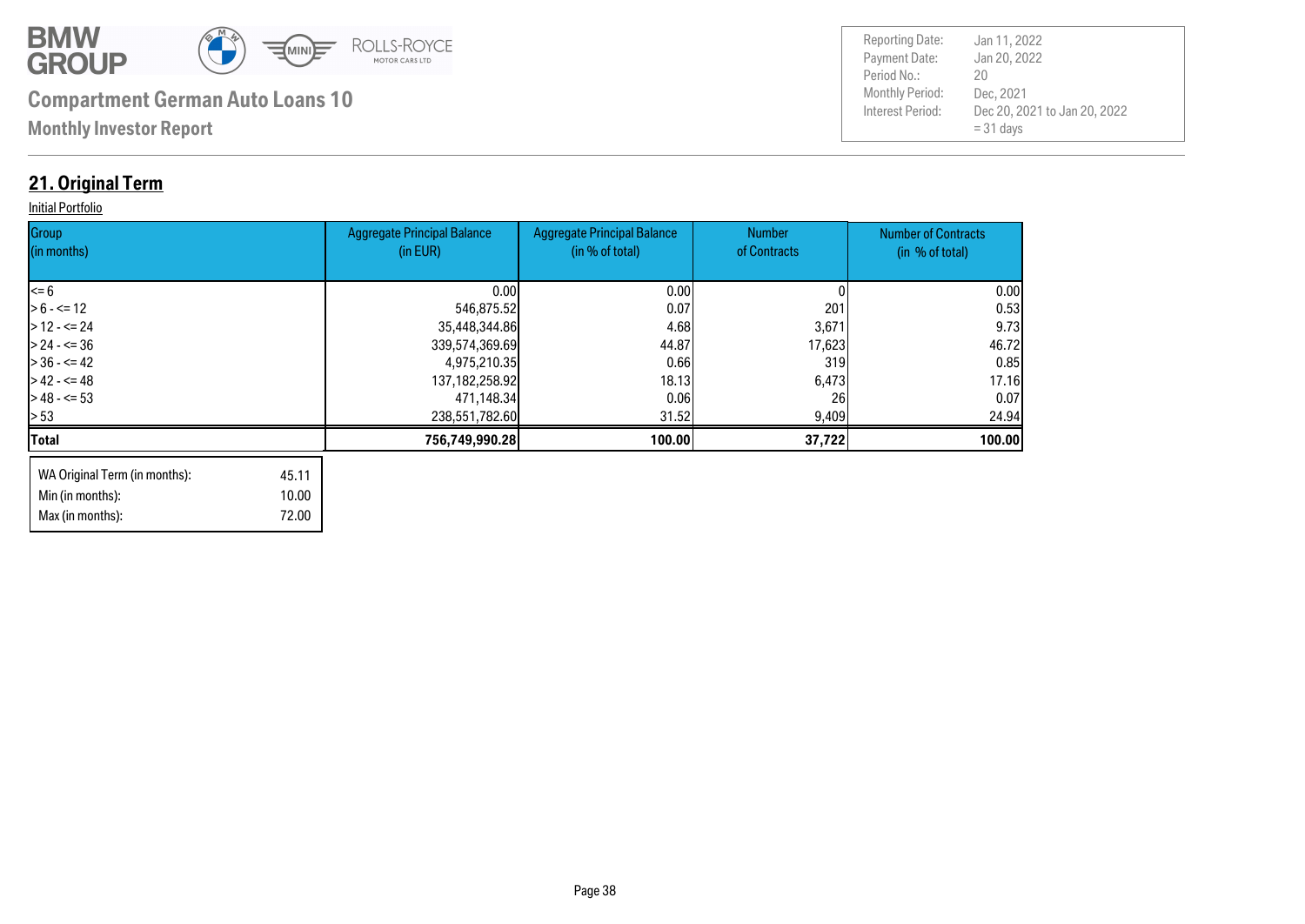![](_page_37_Picture_0.jpeg)

Max (in months): 72.00

| <b>Reporting Date:</b> | Jan 11, 2022                                |
|------------------------|---------------------------------------------|
| Payment Date:          | Jan 20, 2022                                |
| Period No.:            | 20                                          |
| Monthly Period:        | Dec, 2021                                   |
| Interest Period:       | Dec 20, 2021 to Jan 20, 2022<br>$= 31$ days |

### **21. Original Term**

#### **Initial Portfolio**

| Group<br>(in months)          |       | <b>Aggregate Principal Balance</b><br>(in EUR) | <b>Aggregate Principal Balance</b><br>(in % of total) | Number<br>of Contracts | <b>Number of Contracts</b><br>(in % of total) |
|-------------------------------|-------|------------------------------------------------|-------------------------------------------------------|------------------------|-----------------------------------------------|
|                               |       |                                                |                                                       |                        |                                               |
| $\leq 6$                      |       | 0.00                                           | 0.00                                                  |                        | 0.00                                          |
| $> 6 - \le 12$                |       | 546,875.52                                     | 0.07                                                  | 201                    | 0.53                                          |
| $> 12 - 5 = 24$               |       | 35,448,344.86                                  | 4.68                                                  | 3,671                  | 9.73                                          |
| $> 24 - 5 = 36$               |       | 339,574,369.69                                 | 44.87                                                 | 17,623                 | 46.72                                         |
| $> 36 - 42$                   |       | 4,975,210.35                                   | 0.66                                                  | 319                    | 0.85                                          |
| $> 42 - 5 = 48$               |       | 137, 182, 258. 92                              | 18.13                                                 | 6,473                  | 17.16                                         |
| $> 48 - 53$                   |       | 471,148.34                                     | 0.06                                                  | 26                     | 0.07                                          |
| $\geq 53$                     |       | 238,551,782.60                                 | 31.52                                                 | 9,409                  | 24.94                                         |
| <b>Total</b>                  |       | 756,749,990.28                                 | 100.00                                                | 37,722                 | 100.00                                        |
| WA Original Term (in months): | 45.11 |                                                |                                                       |                        |                                               |
| Min (in months):              | 10.00 |                                                |                                                       |                        |                                               |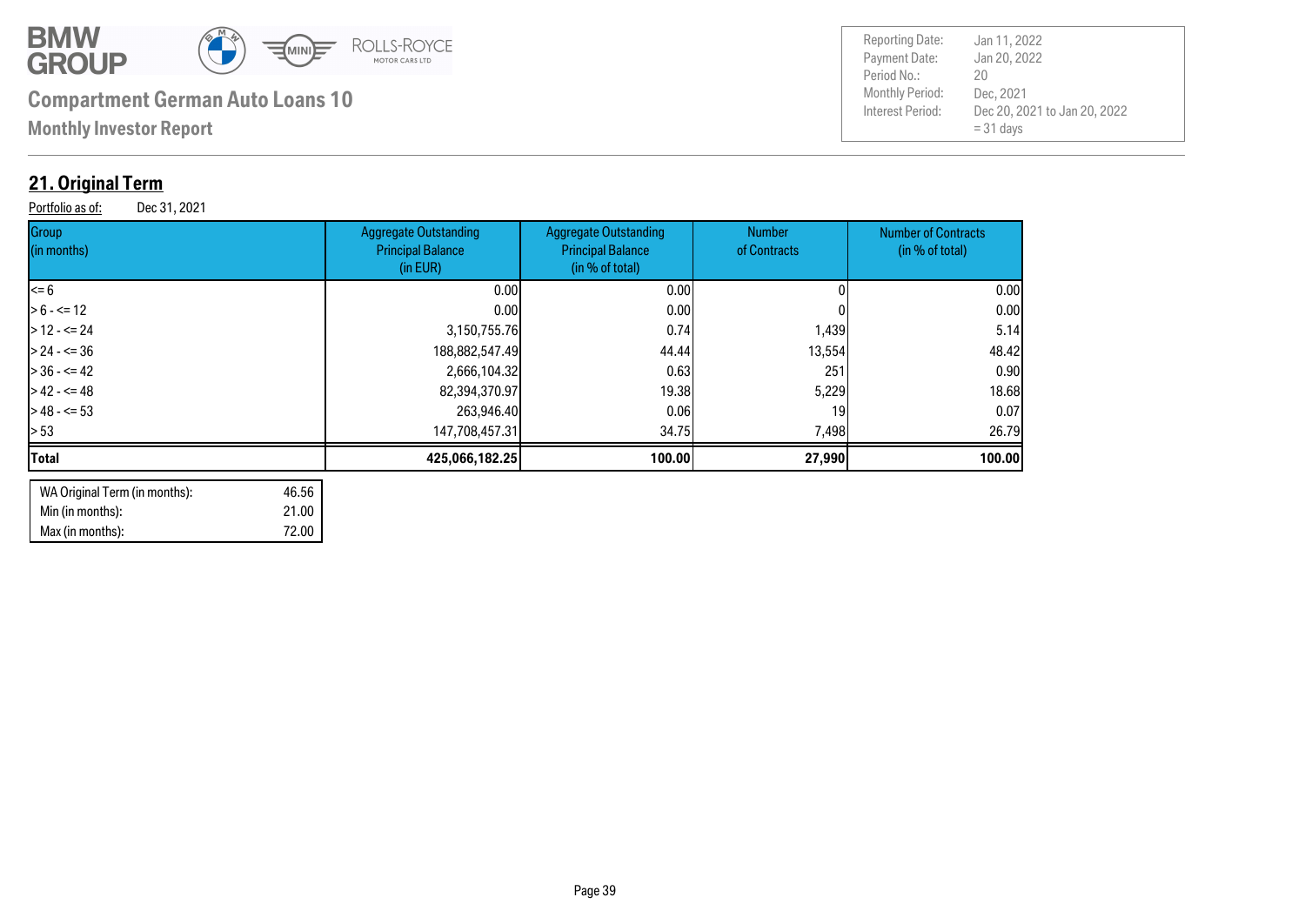![](_page_38_Picture_0.jpeg)

**Monthly Investor Report**

### **21. Original Term**

Portfolio as of: Dec 31, 2021

| Group<br>(in months) | <b>Aggregate Outstanding</b><br><b>Principal Balance</b><br>(in EUR) | Aggregate Outstanding<br><b>Principal Balance</b><br>(in % of total) | <b>Number</b><br>of Contracts | <b>Number of Contracts</b><br>(in % of total) |
|----------------------|----------------------------------------------------------------------|----------------------------------------------------------------------|-------------------------------|-----------------------------------------------|
| $= 6$                | 0.00 <sub>l</sub>                                                    | 0.00 <sub>l</sub>                                                    |                               | 0.00                                          |
| $> 6 - \le 12$       | 0.00 <sub>l</sub>                                                    | 0.00 <sub>l</sub>                                                    |                               | 0.00                                          |
| $>12 - 524$          | 3,150,755.76                                                         | 0.74                                                                 | 1,439                         | 5.14                                          |
| $> 24 - 50$          | 188,882,547.49                                                       | 44.44                                                                | 13,554                        | 48.42                                         |
| $> 36 - 42$          | 2,666,104.32                                                         | 0.63                                                                 | 251                           | 0.90                                          |
| $>42 - 5 = 48$       | 82,394,370.97                                                        | 19,38                                                                | 5,229                         | 18.68                                         |
| $>48 - 53$           | 263,946.40                                                           | 0.061                                                                | 19                            | 0.07                                          |
| > 53                 | 147,708,457.31                                                       | 34.75                                                                | 7,498                         | 26.79                                         |
| <b>Total</b>         | 425,066,182.25                                                       | 100.00                                                               | 27,990                        | 100.00                                        |
|                      |                                                                      |                                                                      |                               |                                               |

| WA Original Term (in months): | 46.56 |
|-------------------------------|-------|
| Min (in months):              | 21.00 |
| Max (in months):              | 72.00 |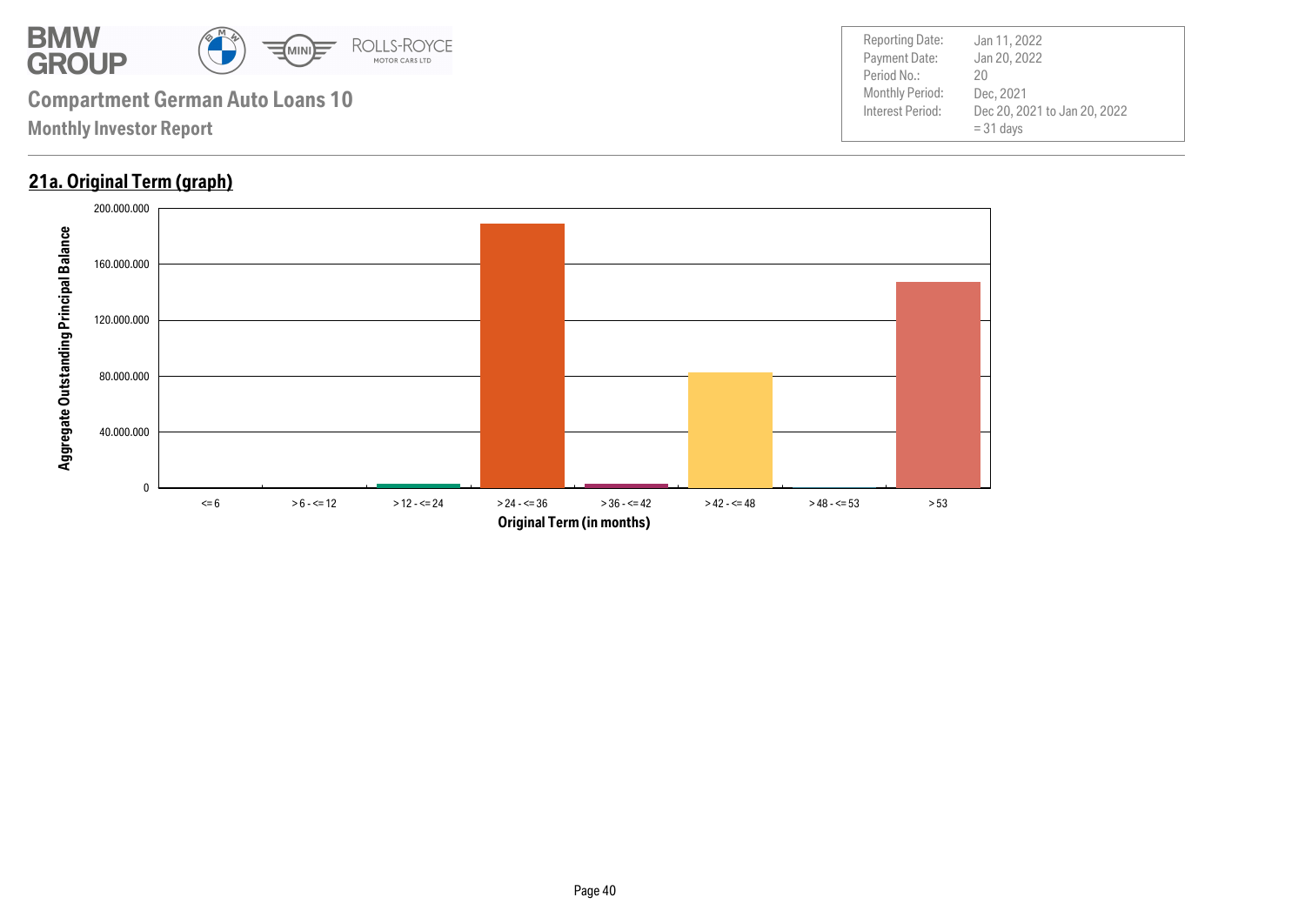![](_page_39_Picture_0.jpeg)

### **21a. Original Term (graph)**

![](_page_39_Figure_3.jpeg)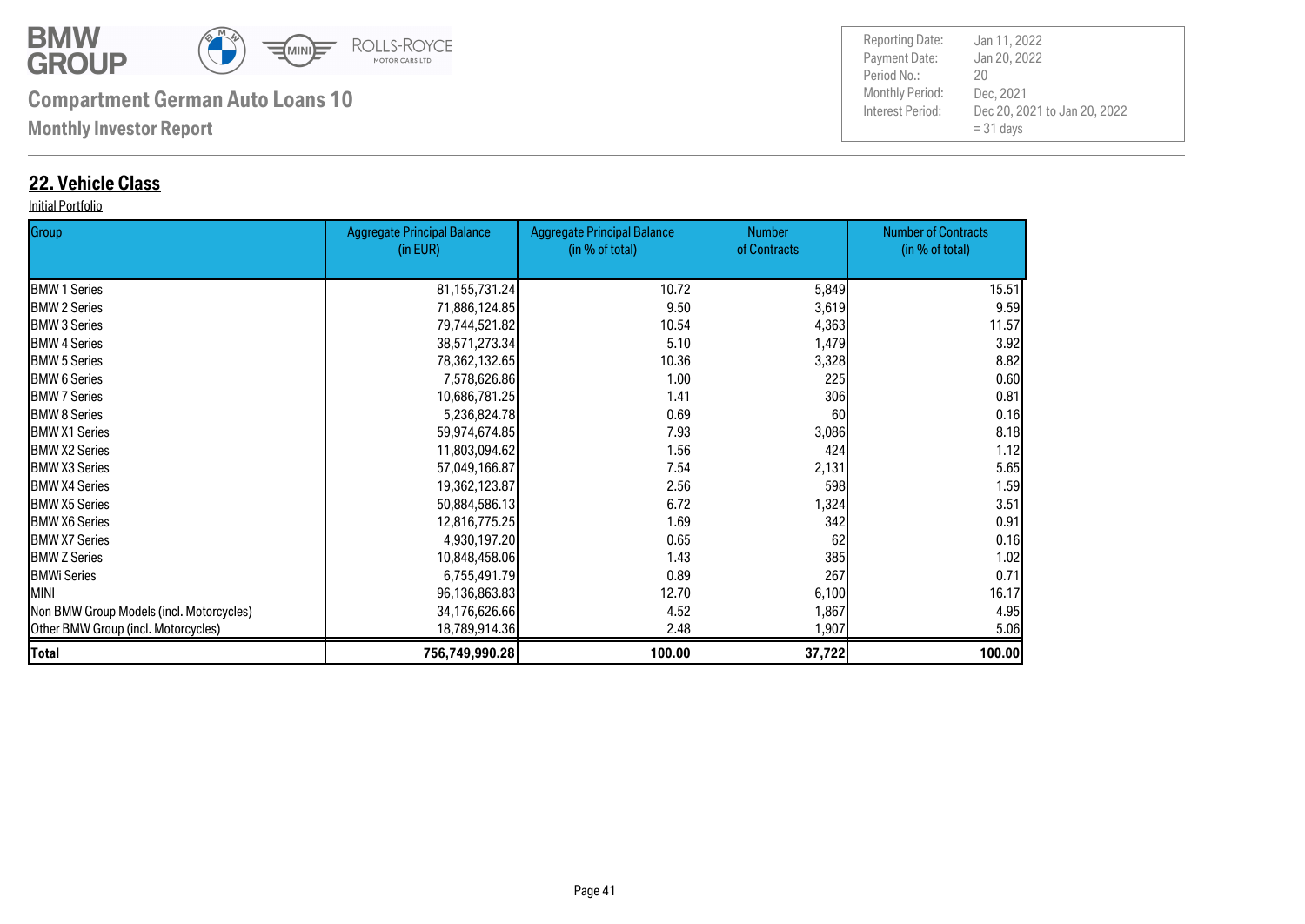![](_page_40_Picture_0.jpeg)

**Monthly Investor Report**

### **22. Vehicle Class**

#### Initial Portfolio

| Group                                    | <b>Aggregate Principal Balance</b> | <b>Aggregate Principal Balance</b> | <b>Number</b> | <b>Number of Contracts</b> |
|------------------------------------------|------------------------------------|------------------------------------|---------------|----------------------------|
|                                          | (in EUR)                           | (in % of total)                    | of Contracts  | (in % of total)            |
| <b>BMW 1 Series</b>                      | 81, 155, 731. 24                   | 10.72                              | 5,849         | 15.51                      |
| <b>BMW 2 Series</b>                      | 71,886,124.85                      | 9.50                               | 3,619         | 9.59                       |
| <b>I</b> BMW 3 Series                    | 79,744,521.82                      | 10.54                              | 4,363         | 11.57                      |
| <b>BMW 4 Series</b>                      | 38,571,273.34                      | 5.10                               | 1,479         | 3.92                       |
| <b>BMW 5 Series</b>                      | 78,362,132.65                      | 10.36                              | 3,328         | 8.82                       |
| <b>BMW 6 Series</b>                      | 7,578,626.86                       | 1.00                               | 225           | 0.60                       |
| <b>I</b> BMW 7 Series                    | 10,686,781.25                      | 1.41                               | 306           | 0.81                       |
| <b>I</b> BMW 8 Series                    | 5,236,824.78                       | 0.69                               | 60            | 0.16                       |
| <b>IBMW X1 Series</b>                    | 59,974,674.85                      | 7.93                               | 3,086         | 8.18                       |
| <b>IBMW X2 Series</b>                    | 11,803,094.62                      | 1.56                               | 424           | 1.12                       |
| <b>IBMW X3 Series</b>                    | 57,049,166.87                      | 7.54                               | 2,131         | 5.65                       |
| <b>BMW X4 Series</b>                     | 19,362,123.87                      | 2.56                               | 598           | 1.59                       |
| <b>IBMW X5 Series</b>                    | 50,884,586.13                      | 6.72                               | 1,324         | 3.51                       |
| <b>BMW X6 Series</b>                     | 12,816,775.25                      | 1.69                               | 342           | 0.91                       |
| <b>BMW X7 Series</b>                     | 4,930,197.20                       | 0.65                               | 62            | 0.16                       |
| <b>BMW Z Series</b>                      | 10,848,458.06                      | 1.43                               | 385           | 1.02                       |
| <b>BMWi Series</b>                       | 6,755,491.79                       | 0.89                               | 267           | 0.71                       |
| <b>MINI</b>                              | 96,136,863.83                      | 12.70                              | 6,100         | 16.17                      |
| Non BMW Group Models (incl. Motorcycles) | 34,176,626.66                      | 4.52                               | 1,867         | 4.95                       |
| Other BMW Group (incl. Motorcycles)      | 18,789,914.36                      | 2.48                               | 1,907         | 5.06                       |
| <b>Total</b>                             | 756,749,990.28                     | 100.00                             | 37,722        | 100.00                     |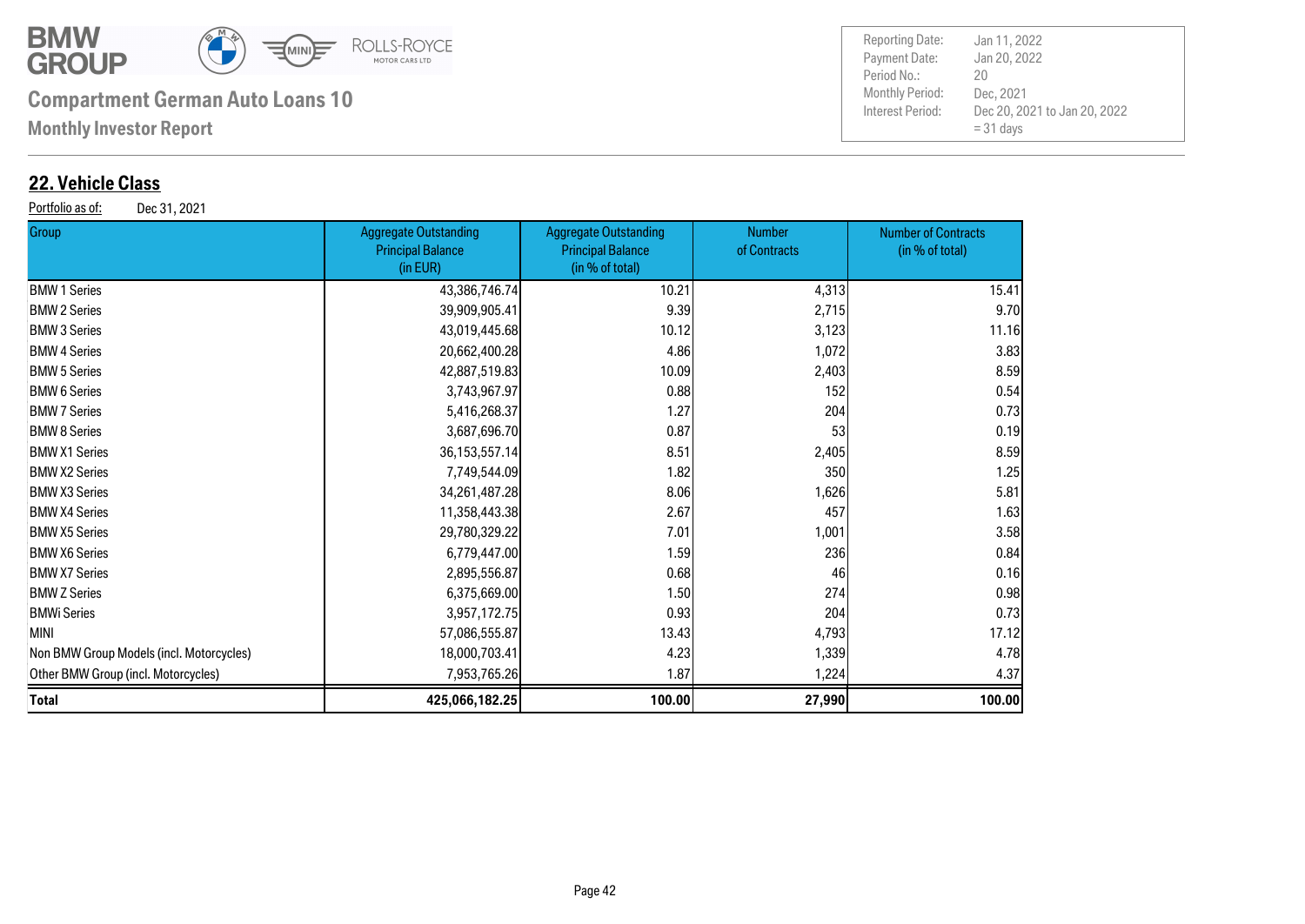![](_page_41_Picture_0.jpeg)

**Monthly Investor Report**

### **22. Vehicle Class**

Portfolio as of: Dec 31, 2021

| <b>Group</b>                             | <b>Aggregate Outstanding</b><br><b>Principal Balance</b><br>(in EUR) | <b>Aggregate Outstanding</b><br><b>Principal Balance</b><br>(in % of total) | <b>Number</b><br>of Contracts | <b>Number of Contracts</b><br>(in % of total) |
|------------------------------------------|----------------------------------------------------------------------|-----------------------------------------------------------------------------|-------------------------------|-----------------------------------------------|
| <b>BMW 1 Series</b>                      | 43,386,746.74                                                        | 10.21                                                                       | 4,313                         | 15.41                                         |
| <b>BMW 2 Series</b>                      | 39,909,905.41                                                        | 9.39                                                                        | 2,715                         | 9.70                                          |
| <b>BMW 3 Series</b>                      | 43,019,445.68                                                        | 10.12                                                                       | 3,123                         | 11.16                                         |
| <b>BMW 4 Series</b>                      | 20,662,400.28                                                        | 4.86                                                                        | 1,072                         | 3.83                                          |
| <b>BMW 5 Series</b>                      | 42,887,519.83                                                        | 10.09                                                                       | 2,403                         | 8.59                                          |
| <b>BMW 6 Series</b>                      | 3,743,967.97                                                         | 0.88                                                                        | 152                           | 0.54                                          |
| <b>BMW 7 Series</b>                      | 5,416,268.37                                                         | 1.27                                                                        | 204                           | 0.73                                          |
| <b>BMW 8 Series</b>                      | 3,687,696.70                                                         | 0.87                                                                        | 53                            | 0.19                                          |
| <b>BMW X1 Series</b>                     | 36, 153, 557. 14                                                     | 8.51                                                                        | 2,405                         | 8.59                                          |
| <b>BMW X2 Series</b>                     | 7,749,544.09                                                         | 1.82                                                                        | 350                           | 1.25                                          |
| <b>BMW X3 Series</b>                     | 34, 261, 487. 28                                                     | 8.06                                                                        | 1,626                         | 5.81                                          |
| <b>BMW X4 Series</b>                     | 11,358,443.38                                                        | 2.67                                                                        | 457                           | 1.63                                          |
| <b>BMW X5 Series</b>                     | 29,780,329.22                                                        | 7.01                                                                        | 1,001                         | 3.58                                          |
| <b>BMW X6 Series</b>                     | 6,779,447.00                                                         | 1.59                                                                        | 236                           | 0.84                                          |
| <b>BMW X7 Series</b>                     | 2,895,556.87                                                         | 0.68                                                                        | 46                            | 0.16                                          |
| <b>BMW Z Series</b>                      | 6,375,669.00                                                         | 1.50                                                                        | 274                           | 0.98                                          |
| BMWi Series                              | 3,957,172.75                                                         | 0.93                                                                        | 204                           | 0.73                                          |
| MINI                                     | 57,086,555.87                                                        | 13.43                                                                       | 4,793                         | 17.12                                         |
| Non BMW Group Models (incl. Motorcycles) | 18,000,703.41                                                        | 4.23                                                                        | 1,339                         | 4.78                                          |
| Other BMW Group (incl. Motorcycles)      | 7,953,765.26                                                         | 1.87                                                                        | 1,224                         | 4.37                                          |
| Total                                    | 425,066,182.25                                                       | 100.00                                                                      | 27,990                        | 100.00                                        |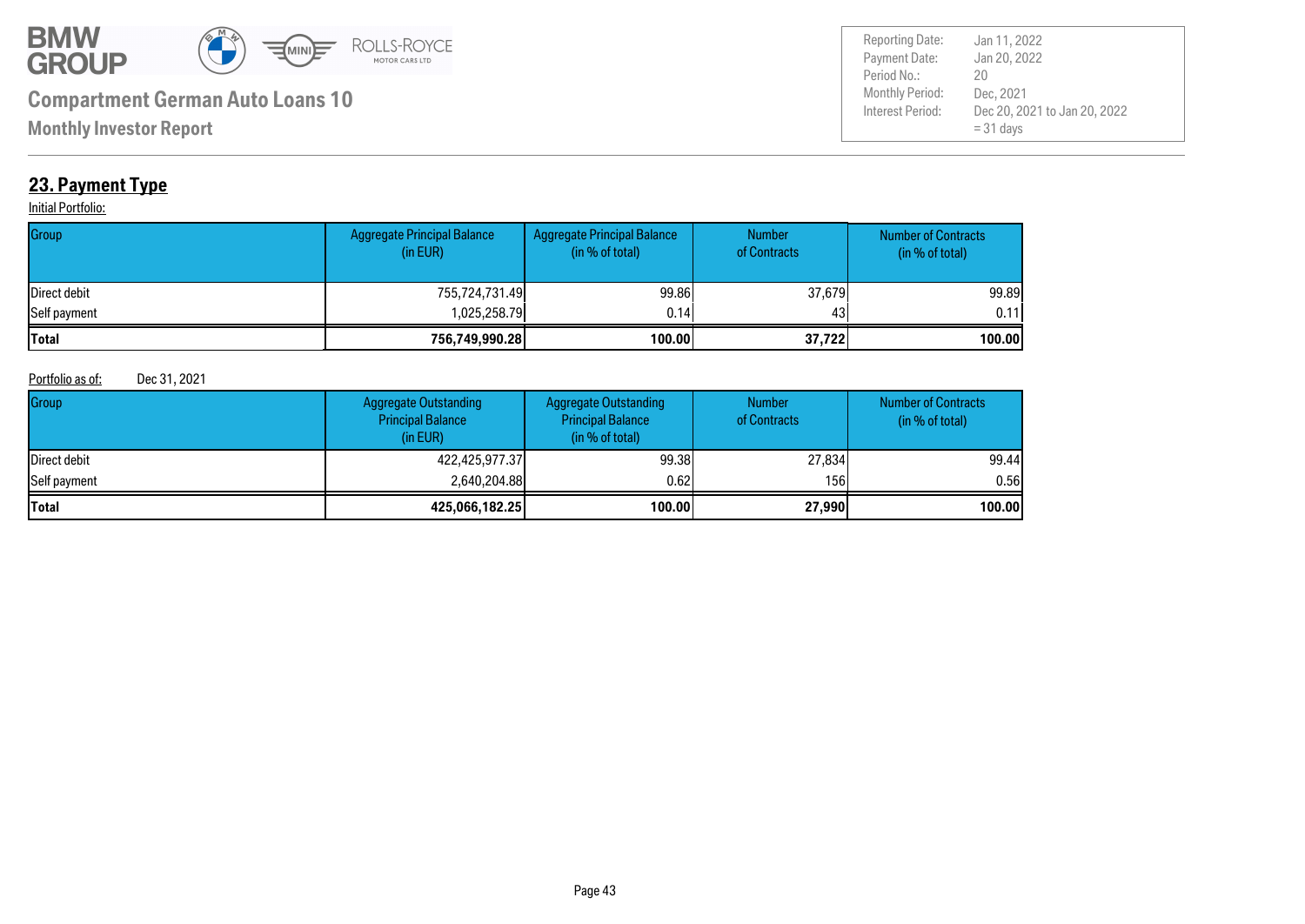![](_page_42_Picture_0.jpeg)

Payment Date: Period No.: Dec 20, 2021 to Jan 20, 2022  $= 31$  days Jan 20, 2022 Dec, 2021 20 Reporting Date: Jan 11, 2022

**Monthly Investor Report**

### **23. Payment Type**

#### **Initial Portfolio:**

| Group        | Aggregate Principal Balance<br>(in EUR) | Aggregate Principal Balance<br>(in % of total) | <b>Number</b><br>of Contracts | <b>Number of Contracts</b><br>(in % of total) |
|--------------|-----------------------------------------|------------------------------------------------|-------------------------------|-----------------------------------------------|
| Direct debit | 755,724,731.49                          | 99.86                                          | 37,679                        | 99.89                                         |
| Self payment | 1.025.258.79l                           | 0.14                                           | 43                            | 0.11                                          |
| <b>Total</b> | 756,749,990.28                          | 100.00                                         | 37,722                        | 100.00l                                       |

#### Portfolio as of: Dec 31, 2021

| Group        | <b>Aggregate Outstanding</b><br><b>Principal Balance</b><br>(in EUR) | <b>Aggregate Outstanding</b><br><b>Principal Balance</b><br>(in % of total) | <b>Number</b><br>of Contracts | <b>Number of Contracts</b><br>(in % of total) |
|--------------|----------------------------------------------------------------------|-----------------------------------------------------------------------------|-------------------------------|-----------------------------------------------|
| Direct debit | 422,425,977.37                                                       | 99.38                                                                       | 27,834                        | 99.44                                         |
| Self payment | 2,640,204.88                                                         | 0.621                                                                       | 156I                          | 0.56I                                         |
| <b>Total</b> | 425,066,182.25                                                       | 100.00                                                                      | 27,990                        | 100.00                                        |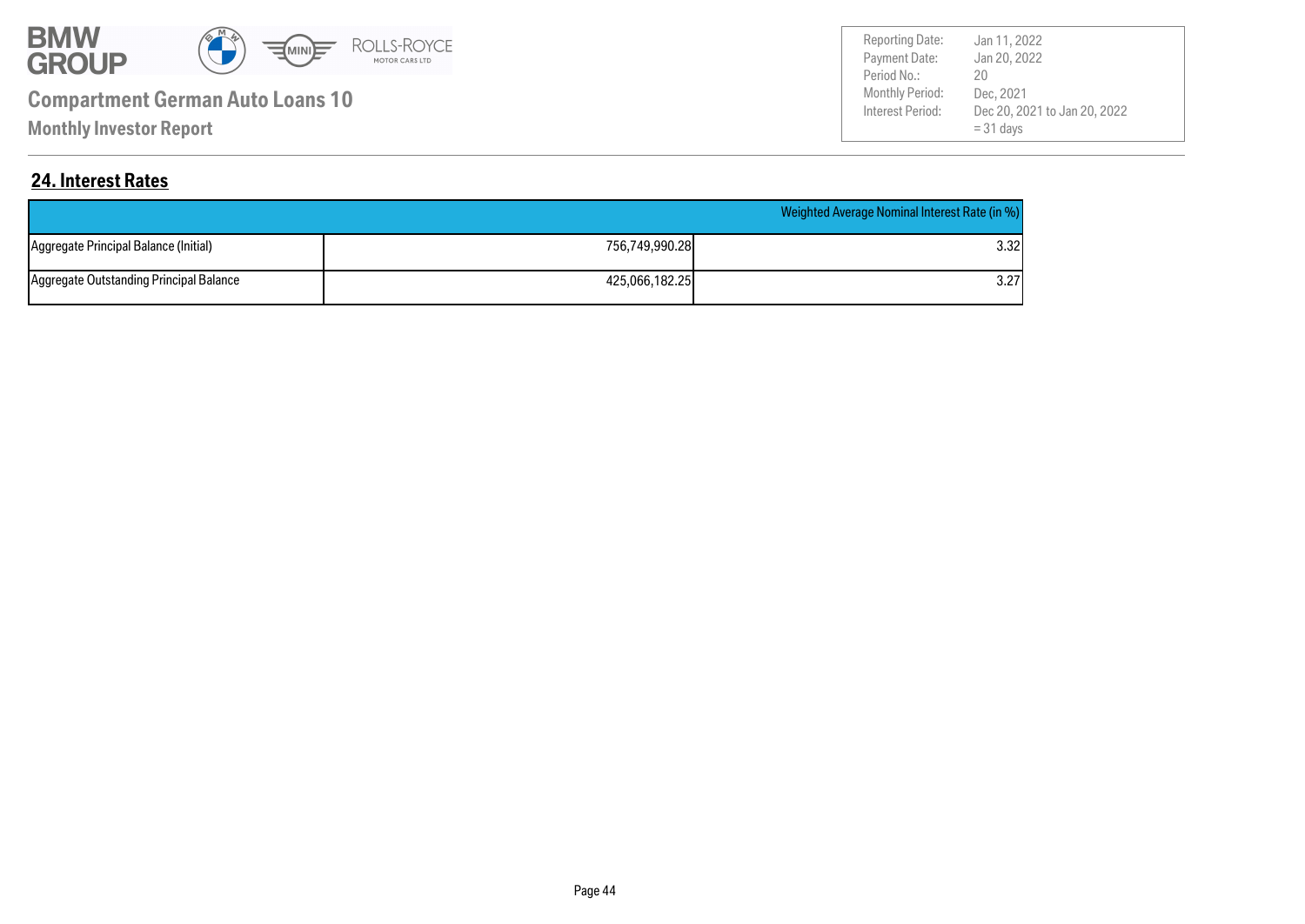![](_page_43_Picture_0.jpeg)

**Monthly Investor Report**

Payment Date: Period No.: Dec 20, 2021 to Jan 20, 2022  $= 31$  days Jan 20, 2022 Dec, 2021 20 Reporting Date: Jan 11, 2022

### **24. Interest Rates**

|                                         |                | Weighted Average Nominal Interest Rate (in %) |
|-----------------------------------------|----------------|-----------------------------------------------|
| Aggregate Principal Balance (Initial)   | 756.749.990.28 | 3.32I                                         |
| Aggregate Outstanding Principal Balance | 425.066.182.25 | 3.27                                          |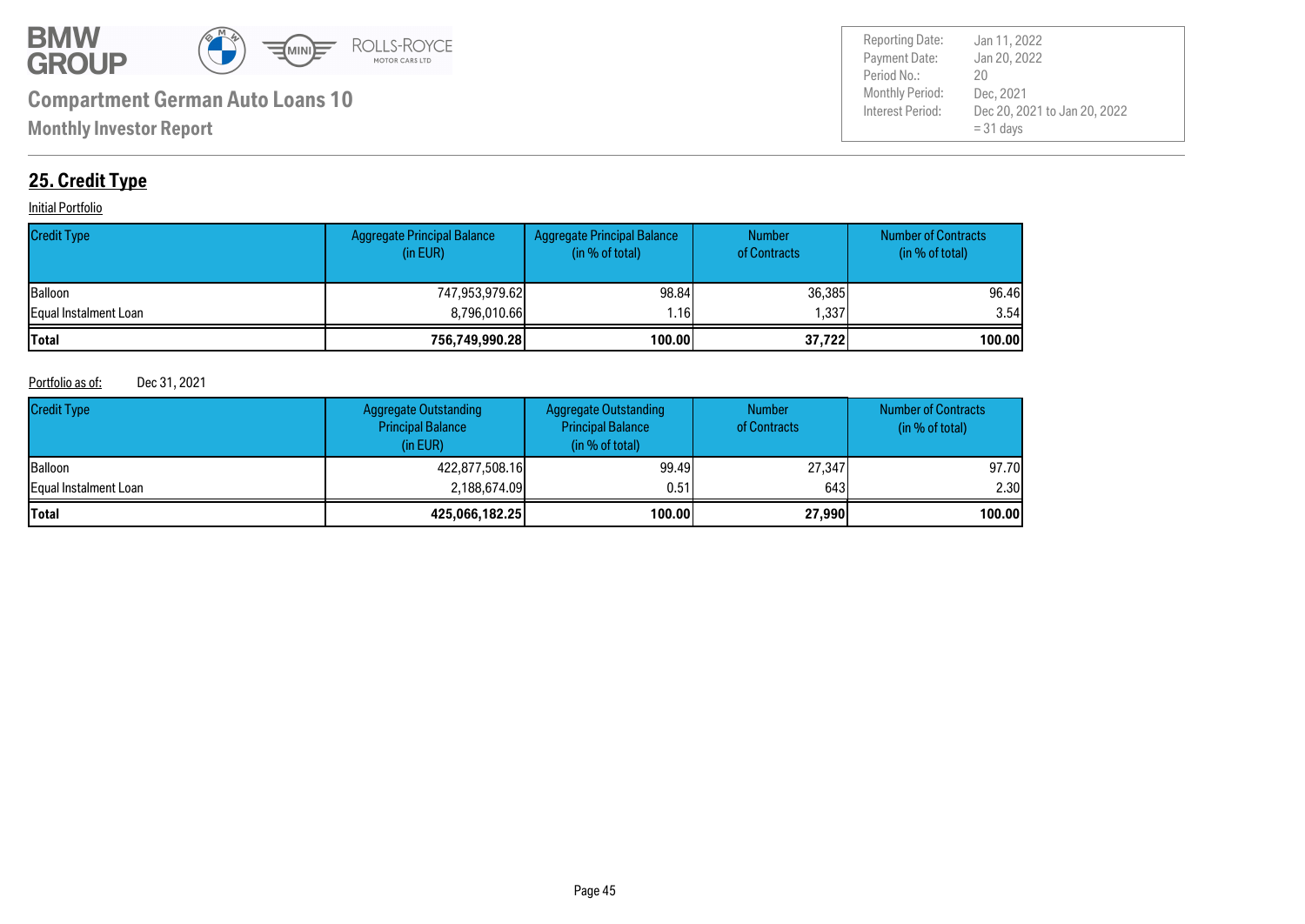![](_page_44_Picture_0.jpeg)

Payment Date: Period No.: Dec 20, 2021 to Jan 20, 2022  $= 31$  days Jan 20, 2022 Dec, 2021 20 Reporting Date: Jan 11, 2022

### **25. Credit Type**

#### **Initial Portfolio**

| <b>Credit Type</b>    | <b>Aggregate Principal Balance</b><br>(in EUR) | Aggregate Principal Balance<br>(in % of total) | <b>Number</b><br>of Contracts | <b>Number of Contracts</b><br>(in % of total) |
|-----------------------|------------------------------------------------|------------------------------------------------|-------------------------------|-----------------------------------------------|
| <b>Balloon</b>        | 747.953.979.62                                 | 98.84                                          | 36,385                        | 96.46                                         |
| Equal Instalment Loan | 8.796.010.66                                   | l.16İ                                          | 1.337                         | 3.54                                          |
| Total                 | 756,749,990.28                                 | 100.00                                         | 37,722                        | 100.00                                        |

#### Portfolio as of: Dec 31, 2021

| <b>Credit Type</b>    | <b>Aggregate Outstanding</b><br><b>Principal Balance</b><br>(in EUR) | Aggregate Outstanding<br><b>Principal Balance</b><br>(in % of total) | <b>Number</b><br>of Contracts | <b>Number of Contracts</b><br>(in % of total) |
|-----------------------|----------------------------------------------------------------------|----------------------------------------------------------------------|-------------------------------|-----------------------------------------------|
| <b>Balloon</b>        | 422,877,508.16                                                       | 99.49                                                                | 27,347                        | 97.70I                                        |
| Equal Instalment Loan | 2,188,674.09                                                         | 0.51                                                                 | 643                           | 2.30                                          |
| <b>Total</b>          | 425,066,182.25                                                       | 100.00                                                               | 27,990                        | 100.00                                        |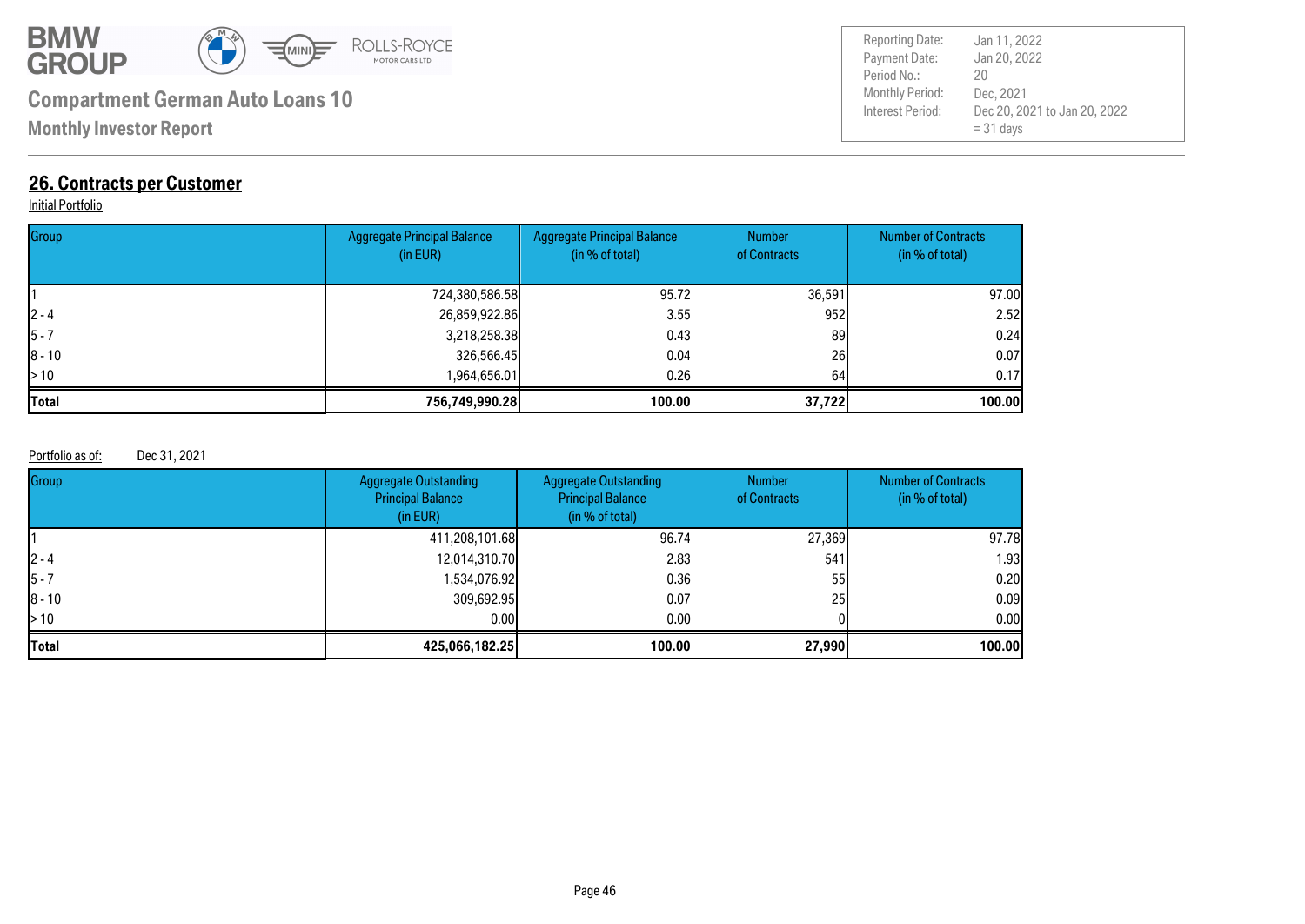![](_page_45_Picture_0.jpeg)

**Monthly Investor Report**

### **26. Contracts per Customer**

#### Initial Portfolio

| Group        | <b>Aggregate Principal Balance</b><br>(in EUR) | <b>Aggregate Principal Balance</b><br>(in % of total) | <b>Number</b><br>of Contracts | <b>Number of Contracts</b><br>(in % of total) |
|--------------|------------------------------------------------|-------------------------------------------------------|-------------------------------|-----------------------------------------------|
|              | 724,380,586.58                                 | 95.72                                                 | 36,591                        | 97.00                                         |
| $ 2 - 4 $    | 26,859,922.86                                  | 3.55                                                  | 952                           | 2.52                                          |
| $ 5 - 7$     | 3,218,258.38                                   | 0.43                                                  | 89                            | 0.24                                          |
| $ 8 - 10$    | 326,566.45                                     | 0.04                                                  | 26                            | 0.07                                          |
| $\geq 10$    | 1,964,656.01                                   | 0.261                                                 | 64                            | 0.17                                          |
| <b>Total</b> | 756,749,990.28                                 | 100.00                                                | 37,722                        | 100.00                                        |

#### Portfolio as of: Dec 31, 2021

| Group                    | <b>Aggregate Outstanding</b><br><b>Principal Balance</b><br>(in EUR) | <b>Aggregate Outstanding</b><br><b>Principal Balance</b><br>(in % of total) | <b>Number</b><br>of Contracts | <b>Number of Contracts</b><br>(in % of total) |
|--------------------------|----------------------------------------------------------------------|-----------------------------------------------------------------------------|-------------------------------|-----------------------------------------------|
|                          | 411,208,101.68                                                       | 96.74                                                                       | 27,369                        | 97.78                                         |
| $ 2 - 4 $                | 12,014,310.70                                                        | 2.83                                                                        | 541                           | 1.93                                          |
| $ 5 - 7 $                | 1,534,076.92                                                         | 0.361                                                                       | 55                            | 0.20                                          |
| $ 8 - 10$                | 309,692.95                                                           | 0.07                                                                        | 25                            | 0.09                                          |
| $\blacktriangleright$ 10 | 0.00                                                                 | 0.001                                                                       |                               | 0.00                                          |
| <b>Total</b>             | 425,066,182.25                                                       | 100.00                                                                      | 27,990                        | 100.00                                        |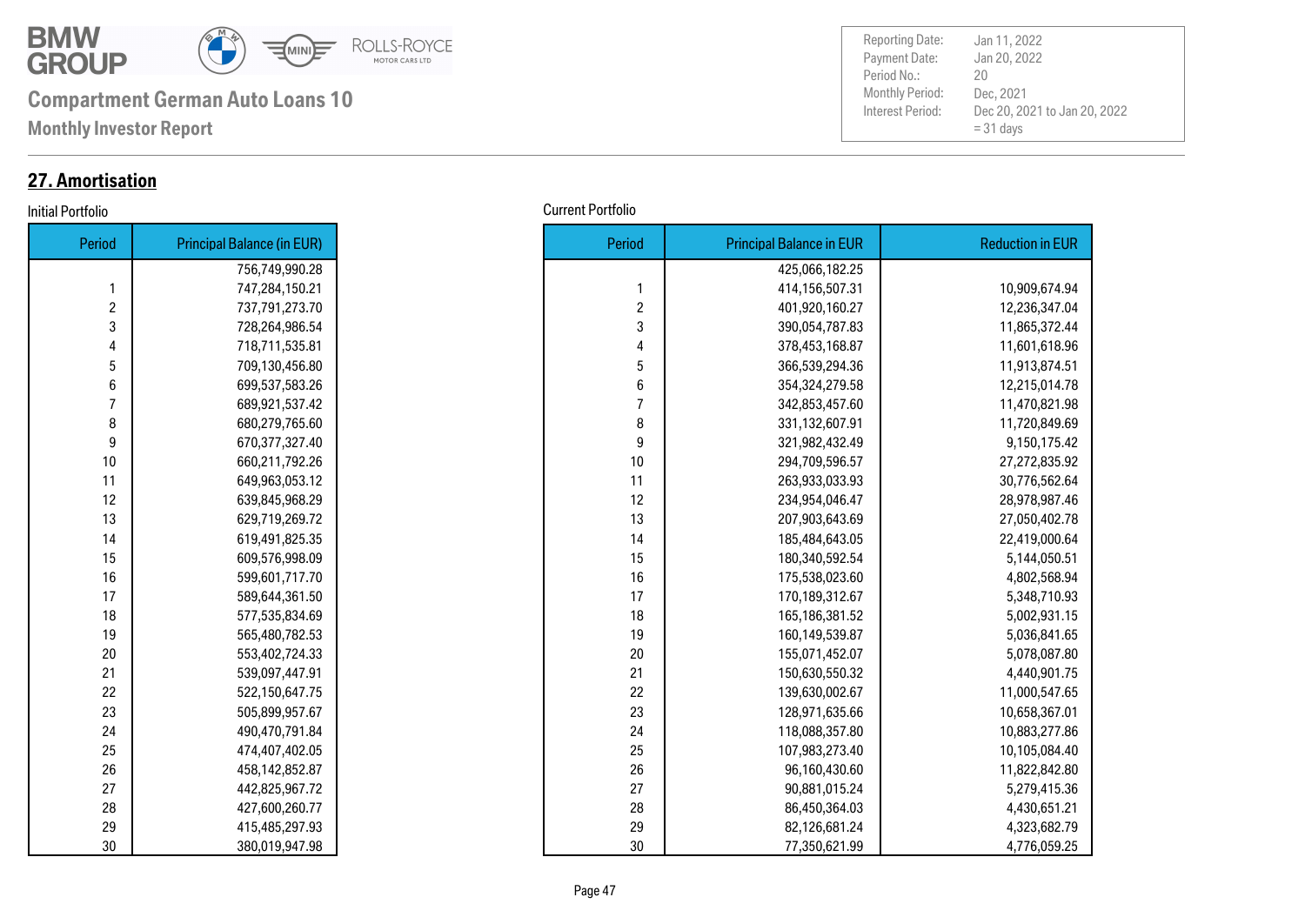![](_page_46_Picture_0.jpeg)

**Monthly Investor Report**

### **27. Amortisation**

| Period         | <b>Principal Balance (in EUR)</b> |
|----------------|-----------------------------------|
|                | 756,749,990.28                    |
| 1              | 747,284,150.21                    |
| $\overline{c}$ | 737,791,273.70                    |
| 3              | 728,264,986.54                    |
| 4              | 718,711,535.81                    |
| 5              | 709,130,456.80                    |
| 6              | 699,537,583.26                    |
| 7              | 689,921,537.42                    |
| 8              | 680,279,765.60                    |
| 9              | 670,377,327.40                    |
| 10             | 660,211,792.26                    |
| 11             | 649,963,053.12                    |
| 12             | 639,845,968.29                    |
| 13             | 629,719,269.72                    |
| 14             | 619,491,825.35                    |
| 15             | 609,576,998.09                    |
| 16             | 599,601,717.70                    |
| 17             | 589,644,361.50                    |
| 18             | 577,535,834.69                    |
| 19             | 565,480,782.53                    |
| 20             | 553,402,724.33                    |
| 21             | 539,097,447.91                    |
| 22             | 522,150,647.75                    |
| 23             | 505,899,957.67                    |
| 24             | 490,470,791.84                    |
| 25             | 474,407,402.05                    |
| 26             | 458,142,852.87                    |
| 27             | 442,825,967.72                    |
| 28             | 427,600,260.77                    |
| 29             | 415,485,297.93                    |
| 30             | 380,019,947.98                    |

| Initial Portfolio | <b>Current Portfolio</b> |
|-------------------|--------------------------|
|-------------------|--------------------------|

| Period         | <b>Principal Balance (in EUR)</b> |
|----------------|-----------------------------------|
|                | 756,749,990.28                    |
| 1              | 747,284,150.21                    |
| $\overline{c}$ | 737,791,273.70                    |
| 3              | 728,264,986.54                    |
| 4              | 718,711,535.81                    |
| 5              | 709,130,456.80                    |
| 6              | 699,537,583.26                    |
| $\overline{7}$ | 689,921,537.42                    |
| 8              | 680,279,765.60                    |
| 9              | 670,377,327.40                    |
| 10             | 660,211,792.26                    |
| 11             | 649,963,053.12                    |
| 12             | 639,845,968.29                    |
| 13             | 629,719,269.72                    |
| 14             | 619,491,825.35                    |
| 15             | 609,576,998.09                    |
| 16             | 599,601,717.70                    |
| 17             | 589,644,361.50                    |
| 18             | 577,535,834.69                    |
| 19             | 565,480,782.53                    |
| 20             | 553,402,724.33                    |
| 21             | 539,097,447.91                    |
| 22             | 522,150,647.75                    |
| 23             | 505,899,957.67                    |
| 24             | 490,470,791.84                    |
| 25             | 474,407,402.05                    |
|                | 458,142,852.87                    |
| 27             | 442,825,967.72                    |
| 28             | 427,600,260.77                    |
| 29             | 415,485,297.93                    |
| 30             | 380,019,947.98                    |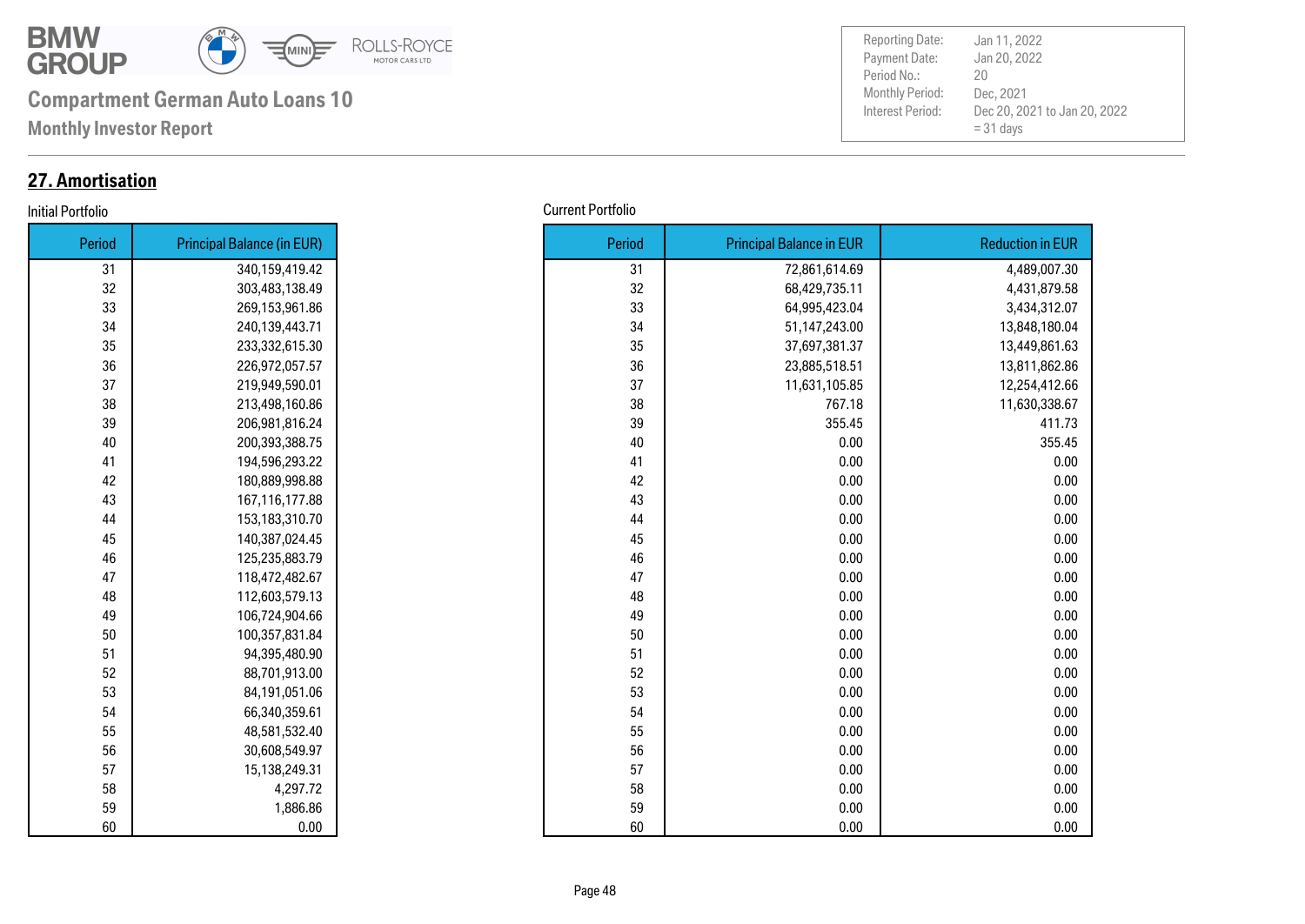![](_page_47_Picture_0.jpeg)

**Monthly Investor Report**

### **27. Amortisation**

#### Initial Portfolio Current Portfolio

| Period | <b>Principal Balance (in EUR)</b> |
|--------|-----------------------------------|
| 31     | 340,159,419.42                    |
| 32     | 303,483,138.49                    |
| 33     | 269,153,961.86                    |
| 34     | 240,139,443.71                    |
| 35     | 233,332,615.30                    |
| 36     | 226,972,057.57                    |
| 37     | 219,949,590.01                    |
| 38     | 213,498,160.86                    |
| 39     | 206,981,816.24                    |
| 40     | 200,393,388.75                    |
| 41     | 194,596,293.22                    |
| 42     | 180,889,998.88                    |
| 43     | 167,116,177.88                    |
| 44     | 153,183,310.70                    |
| 45     | 140,387,024.45                    |
| 46     | 125,235,883.79                    |
| 47     | 118,472,482.67                    |
| 48     | 112,603,579.13                    |
| 49     | 106,724,904.66                    |
| 50     | 100,357,831.84                    |
| 51     | 94,395,480.90                     |
| 52     | 88,701,913.00                     |
| 53     | 84,191,051.06                     |
| 54     | 66,340,359.61                     |
| 55     | 48,581,532.40                     |
| 56     | 30,608,549.97                     |
| 57     | 15,138,249.31                     |
| 58     | 4,297.72                          |
| 59     | 1,886.86                          |
| 60     | 0.00                              |

| Period | <b>Principal Balance (in EUR)</b> |
|--------|-----------------------------------|
| 31     | 340,159,419.42                    |
| 32     | 303,483,138.49                    |
| 33     | 269,153,961.86                    |
| 34     | 240,139,443.71                    |
| 35     | 233,332,615.30                    |
| 36     | 226,972,057.57                    |
| 37     | 219,949,590.01                    |
| 38     | 213,498,160.86                    |
| 39     | 206,981,816.24                    |
| 40     | 200,393,388.75                    |
| 41     | 194,596,293.22                    |
| 42     | 180,889,998.88                    |
| 43     | 167,116,177.88                    |
| 44     | 153,183,310.70                    |
| 45     | 140,387,024.45                    |
| 46     | 125,235,883.79                    |
| 47     | 118,472,482.67                    |
| 48     | 112,603,579.13                    |
| 49     | 106,724,904.66                    |
| 50     | 100,357,831.84                    |
| 51     | 94,395,480.90                     |
| 52     | 88,701,913.00                     |
| 53     | 84,191,051.06                     |
| 54     | 66,340,359.61                     |
| 55     | 48,581,532.40                     |
| 56     | 30,608,549.97                     |
| 57     | 15,138,249.31                     |
| 58     | 4,297.72                          |
| 59     | 1,886.86                          |
| 60     | 0.00                              |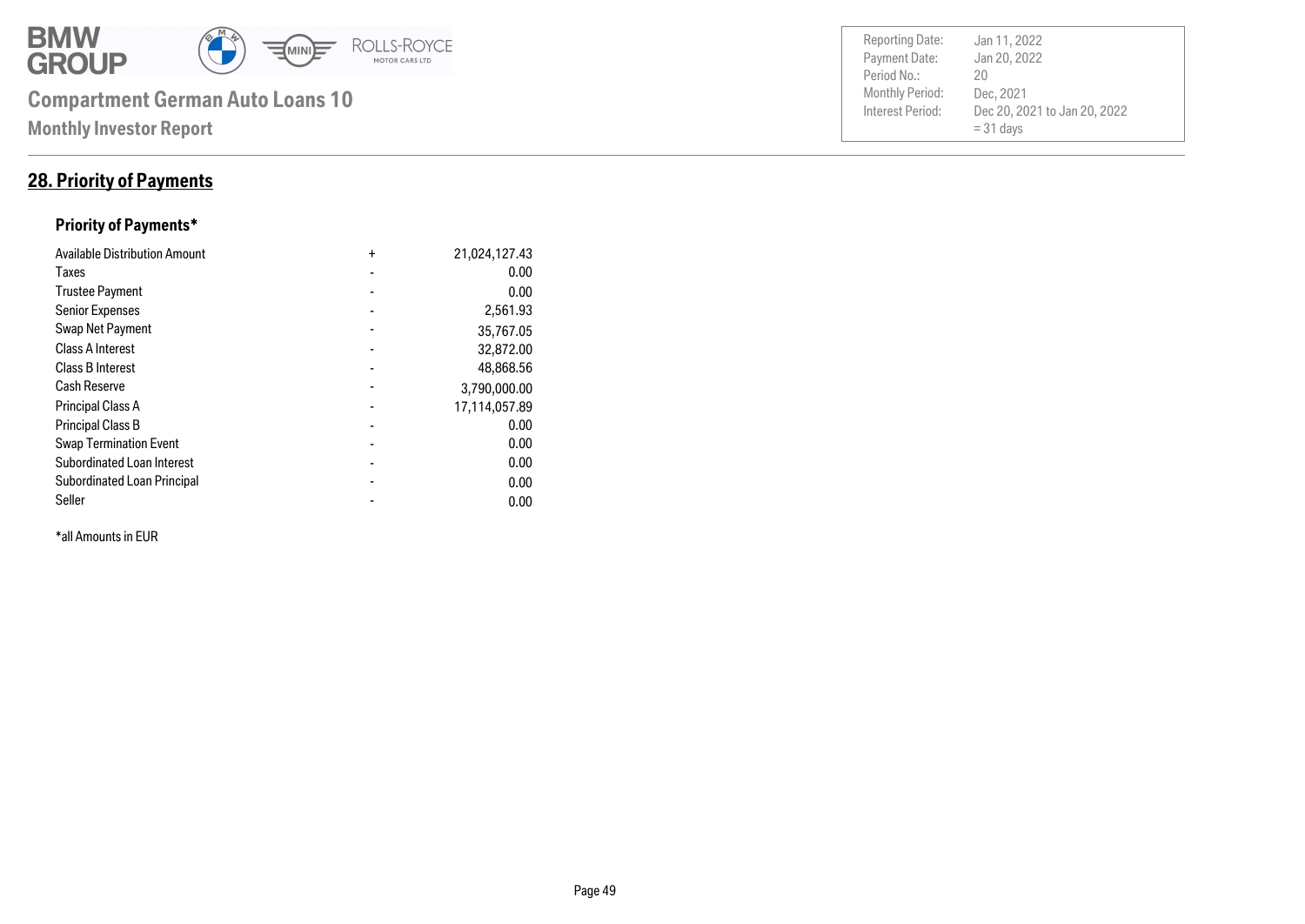![](_page_48_Picture_0.jpeg)

### **28. Priority of Payments**

### **Priority of Payments\***

| <b>Available Distribution Amount</b> | $\ddot{}$      | 21,024,127.43 |
|--------------------------------------|----------------|---------------|
| Taxes                                |                | 0.00          |
| <b>Trustee Payment</b>               |                | 0.00          |
| <b>Senior Expenses</b>               |                | 2,561.93      |
| Swap Net Payment                     |                | 35,767.05     |
| <b>Class A Interest</b>              |                | 32,872.00     |
| <b>Class B Interest</b>              |                | 48,868.56     |
| <b>Cash Reserve</b>                  |                | 3,790,000.00  |
| <b>Principal Class A</b>             |                | 17,114,057.89 |
| <b>Principal Class B</b>             |                | 0.00          |
| <b>Swap Termination Event</b>        |                | 0.00          |
| <b>Subordinated Loan Interest</b>    | $\blacksquare$ | 0.00          |
| <b>Subordinated Loan Principal</b>   |                | 0.00          |
| Seller                               |                | 0.00          |

\*all Amounts in EUR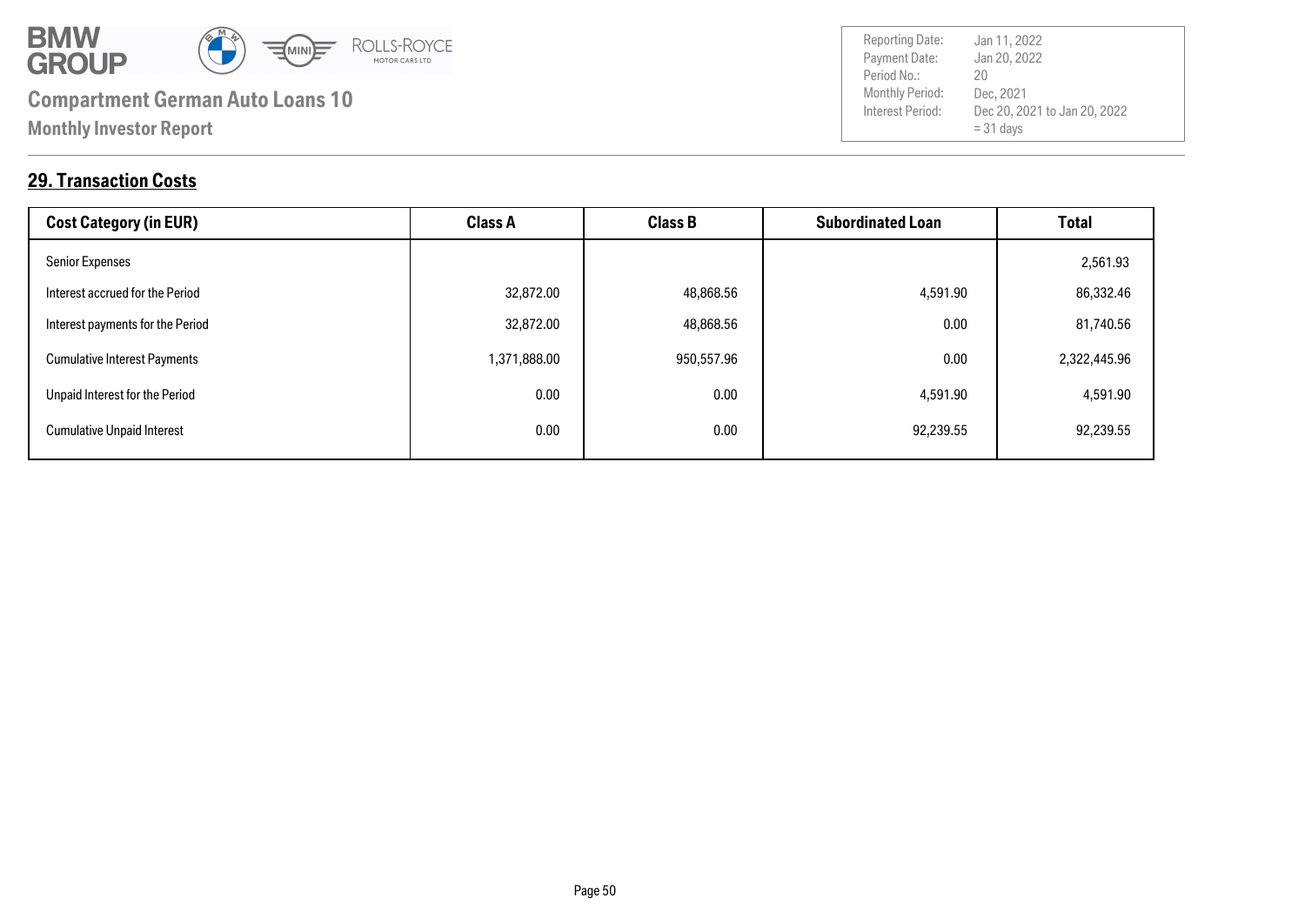![](_page_49_Picture_0.jpeg)

**29. Transaction Costs**

| <b>Cost Category (in EUR)</b>       | <b>Class A</b> | <b>Class B</b> | <b>Subordinated Loan</b> | <b>Total</b> |
|-------------------------------------|----------------|----------------|--------------------------|--------------|
| <b>Senior Expenses</b>              |                |                |                          | 2,561.93     |
| Interest accrued for the Period     | 32,872.00      | 48,868.56      | 4,591.90                 | 86,332.46    |
| Interest payments for the Period    | 32,872.00      | 48,868.56      | 0.00                     | 81,740.56    |
| <b>Cumulative Interest Payments</b> | 1,371,888.00   | 950,557.96     | 0.00                     | 2,322,445.96 |
| Unpaid Interest for the Period      | 0.00           | 0.00           | 4,591.90                 | 4,591.90     |
| <b>Cumulative Unpaid Interest</b>   | 0.00           | 0.00           | 92,239.55                | 92,239.55    |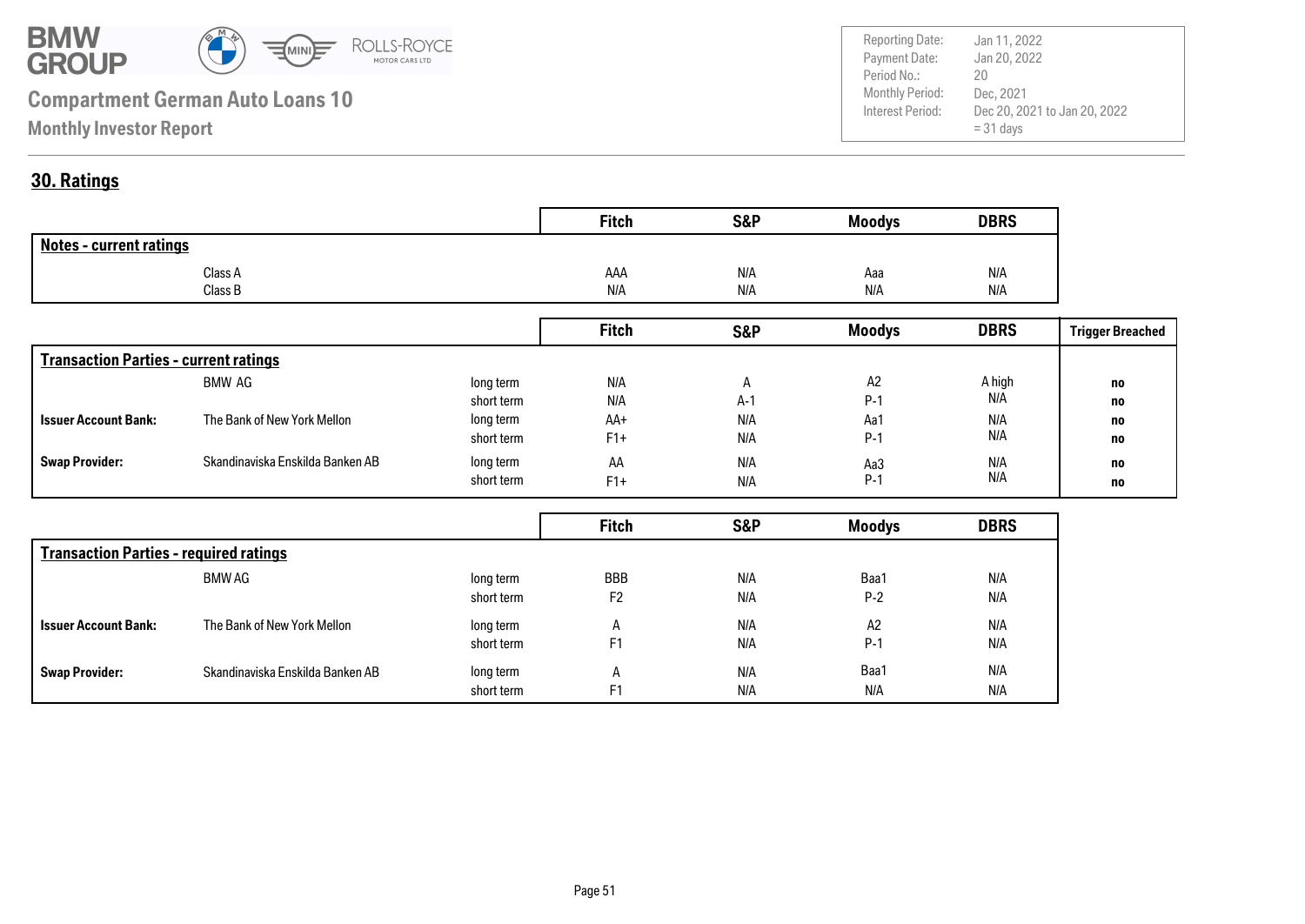![](_page_50_Picture_0.jpeg)

Payment Date: Period No.: Dec 20, 2021 to Jan 20, 2022  $= 31$  days Jan 20, 2022 Dec, 2021 20 Reporting Date: Jan 11, 2022

### **30. Ratings**

|                                | <b>Fitch</b> | <b>S&amp;P</b> | <b>Moodys</b> | <b>DBRS</b> |
|--------------------------------|--------------|----------------|---------------|-------------|
| <b>Notes - current ratings</b> |              |                |               |             |
| Class A                        | AAA          | N/A            | Aaa           | N/A         |
| Class B                        | N/A          | N/A            | N/A           | N/A         |

|                                              |                                  |            | <b>Fitch</b> | <b>S&amp;P</b> | <b>Moodys</b> | <b>DBRS</b> | <b>Trigger Breached</b> |
|----------------------------------------------|----------------------------------|------------|--------------|----------------|---------------|-------------|-------------------------|
| <b>Transaction Parties - current ratings</b> |                                  |            |              |                |               |             |                         |
|                                              | BMW AG                           | long term  | N/A          |                | A2            | A high      | no                      |
|                                              |                                  | short term | N/A          | $A-1$          | $P-1$         | N/A         | no                      |
| <b>Issuer Account Bank:</b>                  | The Bank of New York Mellon      | long term  | AA+          | N/A            | Aa1           | N/A         | no                      |
|                                              |                                  | short term | $F1+$        | N/A            | $P-1$         | N/A         | no                      |
| <b>Swap Provider:</b>                        | Skandinaviska Enskilda Banken AB | long term  | AA           | N/A            | Aa3           | N/A         | no                      |
|                                              |                                  | short term | $F1+$        | N/A            | $P-1$         | N/A         | no                      |

|                                               |                                  |            | <b>Fitch</b>   | S&P | <b>Moodys</b> | <b>DBRS</b> |  |
|-----------------------------------------------|----------------------------------|------------|----------------|-----|---------------|-------------|--|
| <b>Transaction Parties - required ratings</b> |                                  |            |                |     |               |             |  |
|                                               | BMW AG                           | long term  | <b>BBB</b>     | N/A | Baa1          | N/A         |  |
|                                               |                                  | short term | F <sub>2</sub> | N/A | $P-2$         | N/A         |  |
| <b>Issuer Account Bank:</b>                   | The Bank of New York Mellon      | long term  | A              | N/A | A2            | N/A         |  |
|                                               |                                  | short term | F <sub>1</sub> | N/A | $P-1$         | N/A         |  |
| <b>Swap Provider:</b>                         | Skandinaviska Enskilda Banken AB | long term  | A              | N/A | Baa1          | N/A         |  |
|                                               |                                  | short term | F <sub>1</sub> | N/A | N/A           | N/A         |  |